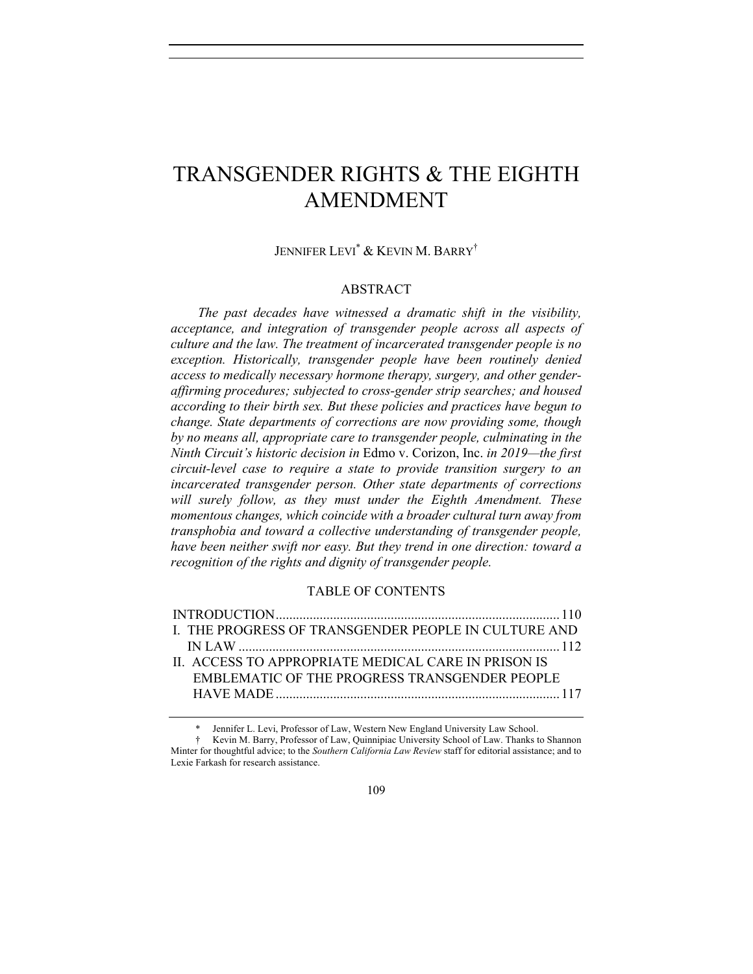# TRANSGENDER RIGHTS & THE EIGHTH AMENDMENT

JENNIFER LEVI\* & KEVIN M. BARRY†

## ABSTRACT

*The past decades have witnessed a dramatic shift in the visibility, acceptance, and integration of transgender people across all aspects of culture and the law. The treatment of incarcerated transgender people is no exception. Historically, transgender people have been routinely denied access to medically necessary hormone therapy, surgery, and other genderaffirming procedures; subjected to cross-gender strip searches; and housed according to their birth sex. But these policies and practices have begun to change. State departments of corrections are now providing some, though by no means all, appropriate care to transgender people, culminating in the Ninth Circuit's historic decision in* Edmo v. Corizon, Inc. *in 2019—the first circuit-level case to require a state to provide transition surgery to an incarcerated transgender person. Other state departments of corrections will surely follow, as they must under the Eighth Amendment. These momentous changes, which coincide with a broader cultural turn away from transphobia and toward a collective understanding of transgender people, have been neither swift nor easy. But they trend in one direction: toward a recognition of the rights and dignity of transgender people.*

# TABLE OF CONTENTS

| I. THE PROGRESS OF TRANSGENDER PEOPLE IN CULTURE AND |  |
|------------------------------------------------------|--|
|                                                      |  |
| IL ACCESS TO APPROPRIATE MEDICAL CARE IN PRISON IS   |  |
| EMBLEMATIC OF THE PROGRESS TRANSGENDER PEOPLE        |  |
|                                                      |  |

Jennifer L. Levi, Professor of Law, Western New England University Law School.

<sup>†</sup> Kevin M. Barry, Professor of Law, Quinnipiac University School of Law. Thanks to Shannon Minter for thoughtful advice; to the *Southern California Law Review* staff for editorial assistance; and to Lexie Farkash for research assistance.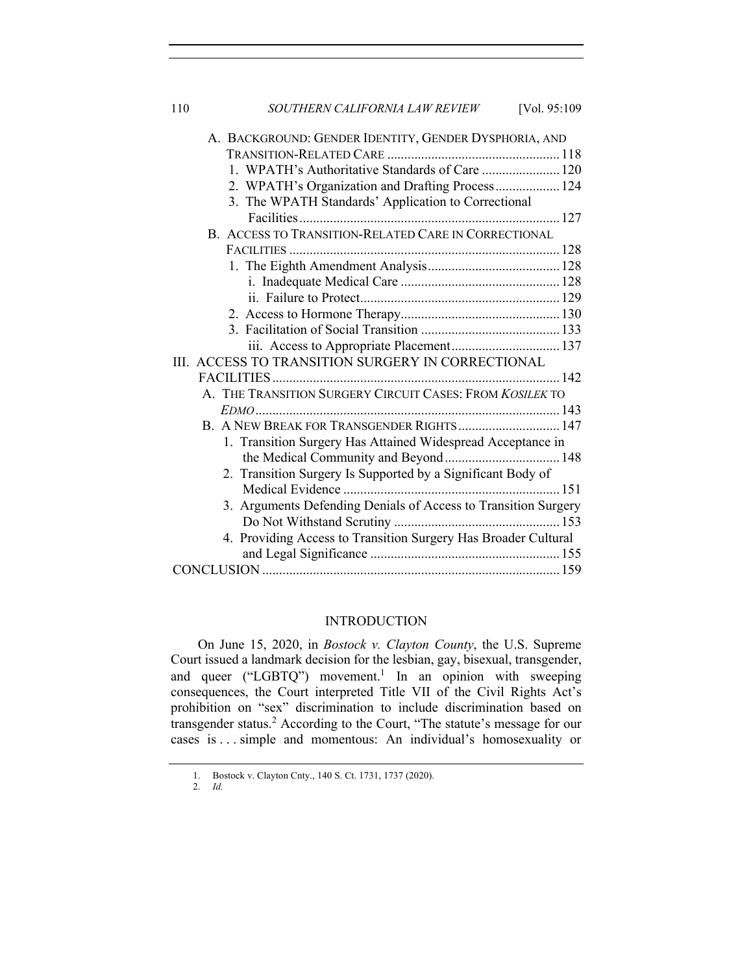110 *SOUTHERN CALIFORNIA LAW REVIEW* [Vol. 95:109

| A. BACKGROUND: GENDER IDENTITY, GENDER DYSPHORIA, AND          |  |
|----------------------------------------------------------------|--|
|                                                                |  |
| 1. WPATH's Authoritative Standards of Care  120                |  |
| 2. WPATH's Organization and Drafting Process 124               |  |
| 3. The WPATH Standards' Application to Correctional            |  |
|                                                                |  |
| B. ACCESS TO TRANSITION-RELATED CARE IN CORRECTIONAL           |  |
|                                                                |  |
|                                                                |  |
|                                                                |  |
|                                                                |  |
|                                                                |  |
|                                                                |  |
|                                                                |  |
| III. ACCESS TO TRANSITION SURGERY IN CORRECTIONAL              |  |
|                                                                |  |
| A. THE TRANSITION SURGERY CIRCUIT CASES: FROM KOSILEK TO       |  |
|                                                                |  |
| B. A NEW BREAK FOR TRANSGENDER RIGHTS  147                     |  |
| 1. Transition Surgery Has Attained Widespread Acceptance in    |  |
|                                                                |  |
| 2. Transition Surgery Is Supported by a Significant Body of    |  |
|                                                                |  |
| 3. Arguments Defending Denials of Access to Transition Surgery |  |
|                                                                |  |
| 4. Providing Access to Transition Surgery Has Broader Cultural |  |
|                                                                |  |
|                                                                |  |

#### INTRODUCTION

On June 15, 2020, in *Bostock v. Clayton County*, the U.S. Supreme Court issued a landmark decision for the lesbian, gay, bisexual, transgender, and queer ("LGBTQ") movement.<sup>1</sup> In an opinion with sweeping consequences, the Court interpreted Title VII of the Civil Rights Act's prohibition on "sex" discrimination to include discrimination based on transgender status.<sup>2</sup> According to the Court, "The statute's message for our cases is . . . simple and momentous: An individual's homosexuality or

<sup>1.</sup> Bostock v. Clayton Cnty., 140 S. Ct. 1731, 1737 (2020).

<sup>2.</sup> *Id.*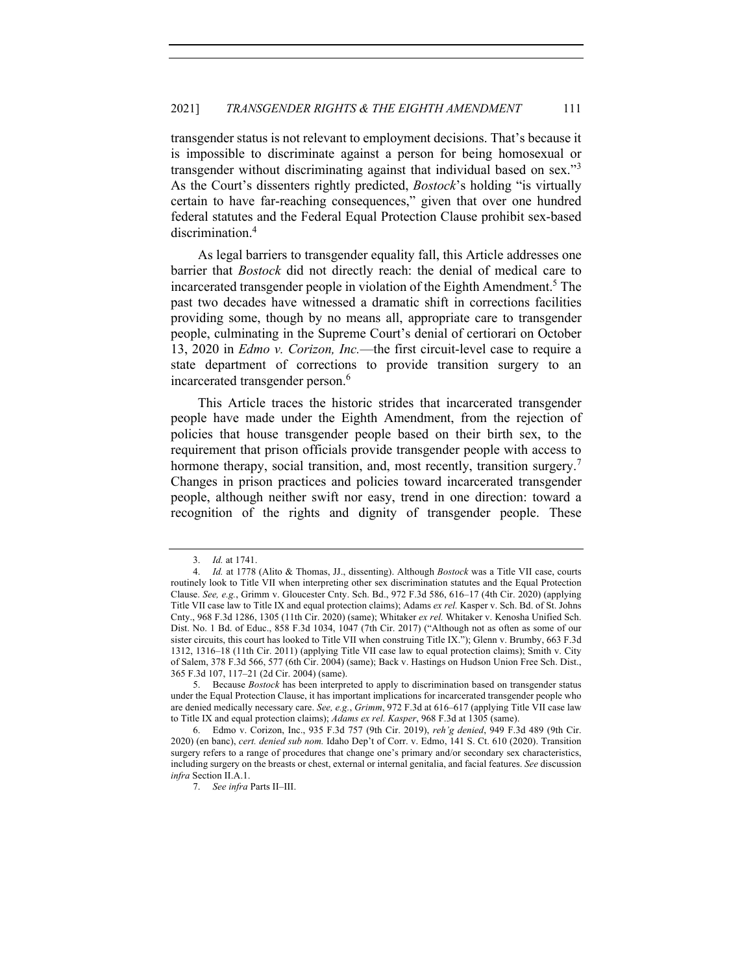transgender status is not relevant to employment decisions. That's because it is impossible to discriminate against a person for being homosexual or transgender without discriminating against that individual based on sex."<sup>3</sup> As the Court's dissenters rightly predicted, *Bostock*'s holding "is virtually certain to have far-reaching consequences," given that over one hundred federal statutes and the Federal Equal Protection Clause prohibit sex-based discrimination.<sup>4</sup>

As legal barriers to transgender equality fall, this Article addresses one barrier that *Bostock* did not directly reach: the denial of medical care to incarcerated transgender people in violation of the Eighth Amendment.<sup>5</sup> The past two decades have witnessed a dramatic shift in corrections facilities providing some, though by no means all, appropriate care to transgender people, culminating in the Supreme Court's denial of certiorari on October 13, 2020 in *Edmo v. Corizon, Inc.*—the first circuit-level case to require a state department of corrections to provide transition surgery to an incarcerated transgender person.<sup>6</sup>

This Article traces the historic strides that incarcerated transgender people have made under the Eighth Amendment, from the rejection of policies that house transgender people based on their birth sex, to the requirement that prison officials provide transgender people with access to hormone therapy, social transition, and, most recently, transition surgery.<sup>7</sup> Changes in prison practices and policies toward incarcerated transgender people, although neither swift nor easy, trend in one direction: toward a recognition of the rights and dignity of transgender people. These

<sup>3.</sup> *Id.* at 1741.

<sup>4.</sup> *Id.* at 1778 (Alito & Thomas, JJ., dissenting). Although *Bostock* was a Title VII case, courts routinely look to Title VII when interpreting other sex discrimination statutes and the Equal Protection Clause. *See, e.g.*, Grimm v. Gloucester Cnty. Sch. Bd., 972 F.3d 586, 616–17 (4th Cir. 2020) (applying Title VII case law to Title IX and equal protection claims); Adams *ex rel.* Kasper v. Sch. Bd. of St. Johns Cnty., 968 F.3d 1286, 1305 (11th Cir. 2020) (same); Whitaker *ex rel.* Whitaker v. Kenosha Unified Sch. Dist. No. 1 Bd. of Educ., 858 F.3d 1034, 1047 (7th Cir. 2017) ("Although not as often as some of our sister circuits, this court has looked to Title VII when construing Title IX."); Glenn v. Brumby, 663 F.3d 1312, 1316–18 (11th Cir. 2011) (applying Title VII case law to equal protection claims); Smith v. City of Salem, 378 F.3d 566, 577 (6th Cir. 2004) (same); Back v. Hastings on Hudson Union Free Sch. Dist., 365 F.3d 107, 117–21 (2d Cir. 2004) (same).

<sup>5.</sup> Because *Bostock* has been interpreted to apply to discrimination based on transgender status under the Equal Protection Clause, it has important implications for incarcerated transgender people who are denied medically necessary care. *See, e.g.*, *Grimm*, 972 F.3d at 616–617 (applying Title VII case law to Title IX and equal protection claims); *Adams ex rel. Kasper*, 968 F.3d at 1305 (same).

<sup>6.</sup> Edmo v. Corizon, Inc., 935 F.3d 757 (9th Cir. 2019), *reh'g denied*, 949 F.3d 489 (9th Cir. 2020) (en banc), *cert. denied sub nom.* Idaho Dep't of Corr. v. Edmo, 141 S. Ct. 610 (2020). Transition surgery refers to a range of procedures that change one's primary and/or secondary sex characteristics, including surgery on the breasts or chest, external or internal genitalia, and facial features. *See* discussion *infra* Section II.A.1.

<sup>7.</sup> *See infra* Parts II–III.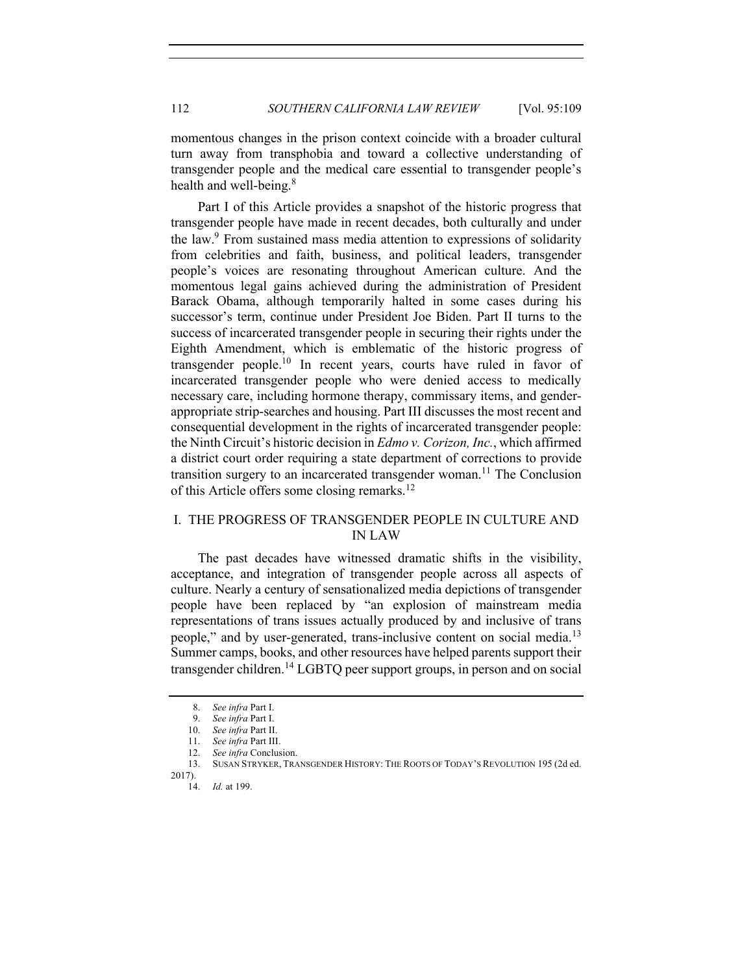momentous changes in the prison context coincide with a broader cultural turn away from transphobia and toward a collective understanding of transgender people and the medical care essential to transgender people's health and well-being.<sup>8</sup>

Part I of this Article provides a snapshot of the historic progress that transgender people have made in recent decades, both culturally and under the law.9 From sustained mass media attention to expressions of solidarity from celebrities and faith, business, and political leaders, transgender people's voices are resonating throughout American culture. And the momentous legal gains achieved during the administration of President Barack Obama, although temporarily halted in some cases during his successor's term, continue under President Joe Biden. Part II turns to the success of incarcerated transgender people in securing their rights under the Eighth Amendment, which is emblematic of the historic progress of transgender people.<sup>10</sup> In recent years, courts have ruled in favor of incarcerated transgender people who were denied access to medically necessary care, including hormone therapy, commissary items, and genderappropriate strip-searches and housing. Part III discusses the most recent and consequential development in the rights of incarcerated transgender people: the Ninth Circuit's historic decision in *Edmo v. Corizon, Inc.*, which affirmed a district court order requiring a state department of corrections to provide transition surgery to an incarcerated transgender woman.<sup>11</sup> The Conclusion of this Article offers some closing remarks.<sup>12</sup>

# I. THE PROGRESS OF TRANSGENDER PEOPLE IN CULTURE AND IN LAW

The past decades have witnessed dramatic shifts in the visibility, acceptance, and integration of transgender people across all aspects of culture. Nearly a century of sensationalized media depictions of transgender people have been replaced by "an explosion of mainstream media representations of trans issues actually produced by and inclusive of trans people," and by user-generated, trans-inclusive content on social media.<sup>13</sup> Summer camps, books, and other resources have helped parents support their transgender children.<sup>14</sup> LGBTQ peer support groups, in person and on social

2017).

<sup>8.</sup> *See infra* Part I.

<sup>9.</sup> *See infra* Part I.

<sup>10.</sup> *See infra* Part II.

<sup>11.</sup> *See infra* Part III.

<sup>12.</sup> *See infra* Conclusion.

<sup>13.</sup> SUSAN STRYKER, TRANSGENDER HISTORY: THE ROOTS OF TODAY'S REVOLUTION 195 (2d ed.

<sup>14.</sup> *Id.* at 199.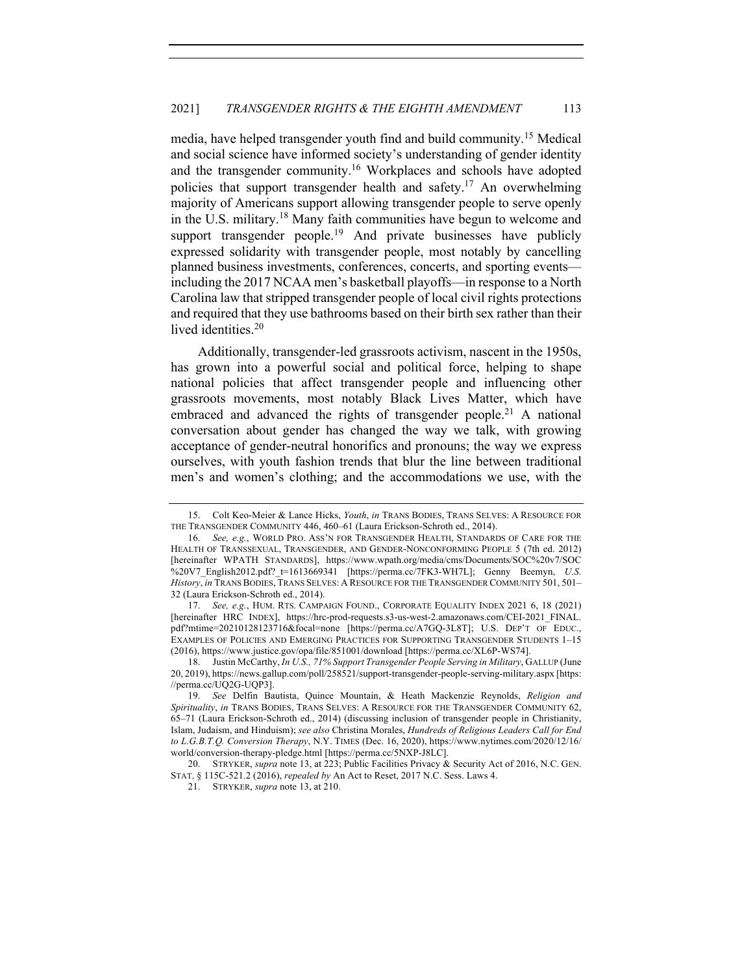media, have helped transgender youth find and build community.<sup>15</sup> Medical and social science have informed society's understanding of gender identity and the transgender community.<sup>16</sup> Workplaces and schools have adopted policies that support transgender health and safety.<sup>17</sup> An overwhelming majority of Americans support allowing transgender people to serve openly in the U.S. military.<sup>18</sup> Many faith communities have begun to welcome and support transgender people.<sup>19</sup> And private businesses have publicly expressed solidarity with transgender people, most notably by cancelling planned business investments, conferences, concerts, and sporting events including the 2017 NCAA men's basketball playoffs—in response to a North Carolina law that stripped transgender people of local civil rights protections and required that they use bathrooms based on their birth sex rather than their lived identities.<sup>20</sup>

Additionally, transgender-led grassroots activism, nascent in the 1950s, has grown into a powerful social and political force, helping to shape national policies that affect transgender people and influencing other grassroots movements, most notably Black Lives Matter, which have embraced and advanced the rights of transgender people.<sup>21</sup> A national conversation about gender has changed the way we talk, with growing acceptance of gender-neutral honorifics and pronouns; the way we express ourselves, with youth fashion trends that blur the line between traditional men's and women's clothing; and the accommodations we use, with the

<sup>15.</sup> Colt Keo-Meier & Lance Hicks, *Youth*, *in* TRANS BODIES, TRANS SELVES: A RESOURCE FOR THE TRANSGENDER COMMUNITY 446, 460–61 (Laura Erickson-Schroth ed., 2014).

<sup>16.</sup> *See, e.g.*, WORLD PRO. ASS'N FOR TRANSGENDER HEALTH, STANDARDS OF CARE FOR THE HEALTH OF TRANSSEXUAL, TRANSGENDER, AND GENDER-NONCONFORMING PEOPLE 5 (7th ed. 2012) [hereinafter WPATH STANDARDS], https://www.wpath.org/media/cms/Documents/SOC%20v7/SOC %20V7 English2012.pdf? t=1613669341 [https://perma.cc/7FK3-WH7L]; Genny Beemyn, *U.S. History*, *in* TRANS BODIES, TRANS SELVES: A RESOURCE FOR THE TRANSGENDER COMMUNITY 501, 501– 32 (Laura Erickson-Schroth ed., 2014).

<sup>17.</sup> *See, e.g.*, HUM. RTS. CAMPAIGN FOUND., CORPORATE EQUALITY INDEX 2021 6, 18 (2021) [hereinafter HRC INDEX], https://hrc-prod-requests.s3-us-west-2.amazonaws.com/CEI-2021\_FINAL. pdf?mtime=20210128123716&focal=none [https://perma.cc/A7GQ-3L8T]; U.S. DEP'T OF EDUC., EXAMPLES OF POLICIES AND EMERGING PRACTICES FOR SUPPORTING TRANSGENDER STUDENTS 1–15 (2016), https://www.justice.gov/opa/file/851001/download [https://perma.cc/XL6P-WS74].

<sup>18.</sup> Justin McCarthy, *In U.S., 71% Support Transgender People Serving in Military*, GALLUP (June 20, 2019), https://news.gallup.com/poll/258521/support-transgender-people-serving-military.aspx [https: //perma.cc/UQ2G-UQP3].

<sup>19.</sup> *See* Delfin Bautista, Quince Mountain, & Heath Mackenzie Reynolds, *Religion and Spirituality*, *in* TRANS BODIES, TRANS SELVES: A RESOURCE FOR THE TRANSGENDER COMMUNITY 62, 65–71 (Laura Erickson-Schroth ed., 2014) (discussing inclusion of transgender people in Christianity, Islam, Judaism, and Hinduism); *see also* Christina Morales, *Hundreds of Religious Leaders Call for End to L.G.B.T.Q. Conversion Therapy*, N.Y. TIMES (Dec. 16, 2020), https://www.nytimes.com/2020/12/16/ world/conversion-therapy-pledge.html [https://perma.cc/5NXP-J8LC].

<sup>20.</sup> STRYKER, *supra* note 13, at 223; Public Facilities Privacy & Security Act of 2016, N.C. GEN. STAT. § 115C-521.2 (2016), *repealed by* An Act to Reset, 2017 N.C. Sess. Laws 4.

<sup>21.</sup> STRYKER, *supra* note 13, at 210.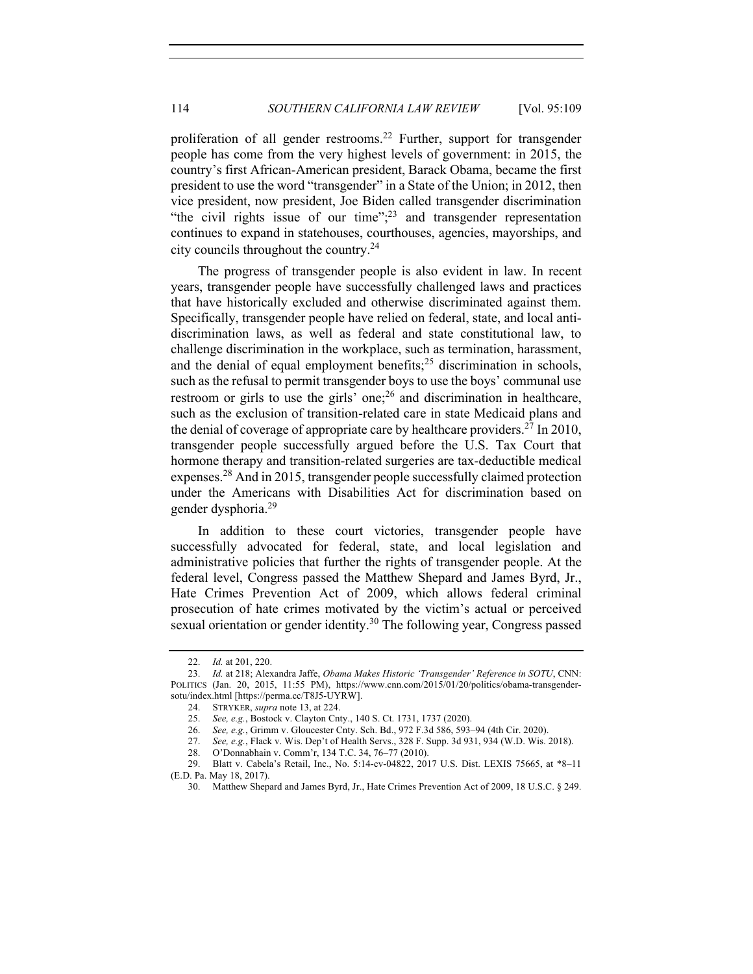proliferation of all gender restrooms.<sup>22</sup> Further, support for transgender people has come from the very highest levels of government: in 2015, the country's first African-American president, Barack Obama, became the first president to use the word "transgender" in a State of the Union; in 2012, then vice president, now president, Joe Biden called transgender discrimination "the civil rights issue of our time"; $^{23}$  and transgender representation continues to expand in statehouses, courthouses, agencies, mayorships, and city councils throughout the country.24

The progress of transgender people is also evident in law. In recent years, transgender people have successfully challenged laws and practices that have historically excluded and otherwise discriminated against them. Specifically, transgender people have relied on federal, state, and local antidiscrimination laws, as well as federal and state constitutional law, to challenge discrimination in the workplace, such as termination, harassment, and the denial of equal employment benefits;<sup>25</sup> discrimination in schools, such as the refusal to permit transgender boys to use the boys' communal use restroom or girls to use the girls' one;  $26$  and discrimination in healthcare, such as the exclusion of transition-related care in state Medicaid plans and the denial of coverage of appropriate care by healthcare providers.<sup>27</sup> In 2010, transgender people successfully argued before the U.S. Tax Court that hormone therapy and transition-related surgeries are tax-deductible medical expenses.<sup>28</sup> And in 2015, transgender people successfully claimed protection under the Americans with Disabilities Act for discrimination based on gender dysphoria.29

In addition to these court victories, transgender people have successfully advocated for federal, state, and local legislation and administrative policies that further the rights of transgender people. At the federal level, Congress passed the Matthew Shepard and James Byrd, Jr., Hate Crimes Prevention Act of 2009, which allows federal criminal prosecution of hate crimes motivated by the victim's actual or perceived sexual orientation or gender identity.<sup>30</sup> The following year, Congress passed

<sup>22.</sup> *Id.* at 201, 220.

<sup>23.</sup> *Id.* at 218; Alexandra Jaffe, *Obama Makes Historic 'Transgender' Reference in SOTU*, CNN: POLITICS (Jan. 20, 2015, 11:55 PM), https://www.cnn.com/2015/01/20/politics/obama-transgendersotu/index.html [https://perma.cc/T8J5-UYRW].

<sup>24.</sup> STRYKER, *supra* note 13, at 224.

<sup>25.</sup> *See, e.g.*, Bostock v. Clayton Cnty., 140 S. Ct. 1731, 1737 (2020).

<sup>26.</sup> *See, e.g.*, Grimm v. Gloucester Cnty. Sch. Bd., 972 F.3d 586, 593–94 (4th Cir. 2020).

<sup>27.</sup> *See, e.g.*, Flack v. Wis. Dep't of Health Servs., 328 F. Supp. 3d 931, 934 (W.D. Wis. 2018).

<sup>28.</sup> O'Donnabhain v. Comm'r, 134 T.C. 34, 76–77 (2010).

<sup>29.</sup> Blatt v. Cabela's Retail, Inc., No. 5:14-cv-04822, 2017 U.S. Dist. LEXIS 75665, at \*8–11 (E.D. Pa. May 18, 2017).

<sup>30.</sup> Matthew Shepard and James Byrd, Jr., Hate Crimes Prevention Act of 2009, 18 U.S.C. § 249.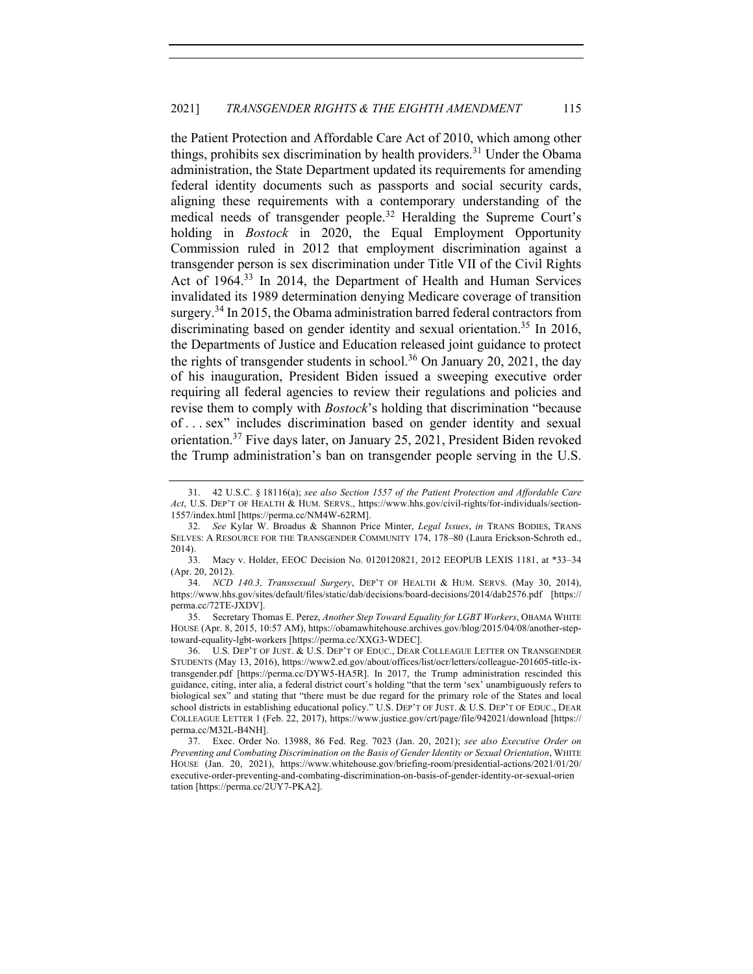the Patient Protection and Affordable Care Act of 2010, which among other things, prohibits sex discrimination by health providers.<sup>31</sup> Under the Obama administration, the State Department updated its requirements for amending federal identity documents such as passports and social security cards, aligning these requirements with a contemporary understanding of the medical needs of transgender people.<sup>32</sup> Heralding the Supreme Court's holding in *Bostock* in 2020, the Equal Employment Opportunity Commission ruled in 2012 that employment discrimination against a transgender person is sex discrimination under Title VII of the Civil Rights Act of 1964.<sup>33</sup> In 2014, the Department of Health and Human Services invalidated its 1989 determination denying Medicare coverage of transition surgery.<sup>34</sup> In 2015, the Obama administration barred federal contractors from discriminating based on gender identity and sexual orientation.<sup>35</sup> In 2016, the Departments of Justice and Education released joint guidance to protect the rights of transgender students in school.<sup>36</sup> On January 20, 2021, the day of his inauguration, President Biden issued a sweeping executive order requiring all federal agencies to review their regulations and policies and revise them to comply with *Bostock*'s holding that discrimination "because of . . . sex" includes discrimination based on gender identity and sexual orientation.37 Five days later, on January 25, 2021, President Biden revoked the Trump administration's ban on transgender people serving in the U.S.

35. Secretary Thomas E. Perez, *Another Step Toward Equality for LGBT Workers*, OBAMA WHITE HOUSE (Apr. 8, 2015, 10:57 AM), https://obamawhitehouse.archives.gov/blog/2015/04/08/another-steptoward-equality-lgbt-workers [https://perma.cc/XXG3-WDEC].

36. U.S. DEP'T OF JUST. & U.S. DEP'T OF EDUC., DEAR COLLEAGUE LETTER ON TRANSGENDER STUDENTS (May 13, 2016), https://www2.ed.gov/about/offices/list/ocr/letters/colleague-201605-title-ixtransgender.pdf [https://perma.cc/DYW5-HA5R]. In 2017, the Trump administration rescinded this guidance, citing, inter alia, a federal district court's holding "that the term 'sex' unambiguously refers to biological sex" and stating that "there must be due regard for the primary role of the States and local school districts in establishing educational policy." U.S. DEP'T OF JUST. & U.S. DEP'T OF EDUC., DEAR COLLEAGUE LETTER 1 (Feb. 22, 2017), https://www.justice.gov/crt/page/file/942021/download [https:// perma.cc/M32L-B4NH].

37. Exec. Order No. 13988, 86 Fed. Reg. 7023 (Jan. 20, 2021); *see also Executive Order on Preventing and Combating Discrimination on the Basis of Gender Identity or Sexual Orientation*, WHITE HOUSE (Jan. 20, 2021), https://www.whitehouse.gov/briefing-room/presidential-actions/2021/01/20/ executive-order-preventing-and-combating-discrimination-on-basis-of-gender-identity-or-sexual-orien tation [https://perma.cc/2UY7-PKA2].

<sup>31.</sup> 42 U.S.C. § 18116(a); *see also Section 1557 of the Patient Protection and Affordable Care Act*, U.S. DEP'T OF HEALTH & HUM. SERVS., https://www.hhs.gov/civil-rights/for-individuals/section-1557/index.html [https://perma.cc/NM4W-62RM].

<sup>32.</sup> *See* Kylar W. Broadus & Shannon Price Minter, *Legal Issues*, *in* TRANS BODIES, TRANS SELVES: A RESOURCE FOR THE TRANSGENDER COMMUNITY 174, 178–80 (Laura Erickson-Schroth ed., 2014).

<sup>33.</sup> Macy v. Holder, EEOC Decision No. 0120120821, 2012 EEOPUB LEXIS 1181, at \*33–34 (Apr. 20, 2012).

<sup>34.</sup> *NCD 140.3, Transsexual Surgery*, DEP'T OF HEALTH & HUM. SERVS. (May 30, 2014), https://www.hhs.gov/sites/default/files/static/dab/decisions/board-decisions/2014/dab2576.pdf [https:// perma.cc/72TE-JXDV].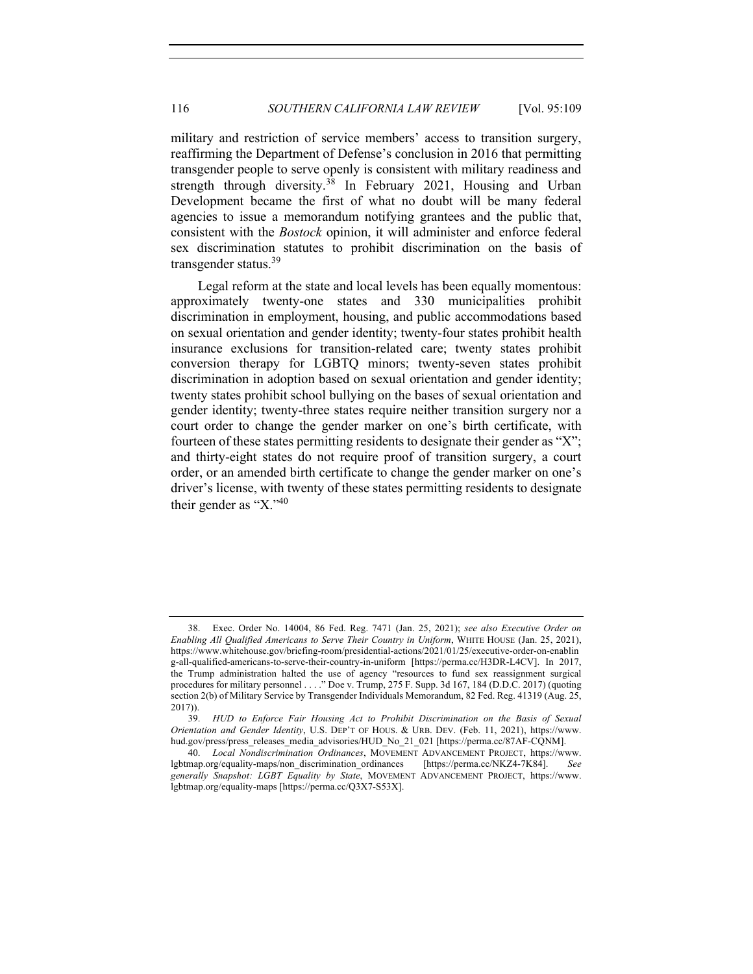military and restriction of service members' access to transition surgery, reaffirming the Department of Defense's conclusion in 2016 that permitting transgender people to serve openly is consistent with military readiness and strength through diversity.<sup>38</sup> In February 2021, Housing and Urban Development became the first of what no doubt will be many federal agencies to issue a memorandum notifying grantees and the public that, consistent with the *Bostock* opinion, it will administer and enforce federal sex discrimination statutes to prohibit discrimination on the basis of transgender status.<sup>39</sup>

Legal reform at the state and local levels has been equally momentous: approximately twenty-one states and 330 municipalities prohibit discrimination in employment, housing, and public accommodations based on sexual orientation and gender identity; twenty-four states prohibit health insurance exclusions for transition-related care; twenty states prohibit conversion therapy for LGBTQ minors; twenty-seven states prohibit discrimination in adoption based on sexual orientation and gender identity; twenty states prohibit school bullying on the bases of sexual orientation and gender identity; twenty-three states require neither transition surgery nor a court order to change the gender marker on one's birth certificate, with fourteen of these states permitting residents to designate their gender as "X"; and thirty-eight states do not require proof of transition surgery, a court order, or an amended birth certificate to change the gender marker on one's driver's license, with twenty of these states permitting residents to designate their gender as "X."<sup>40</sup>

<sup>38.</sup> Exec. Order No. 14004, 86 Fed. Reg. 7471 (Jan. 25, 2021); *see also Executive Order on Enabling All Qualified Americans to Serve Their Country in Uniform*, WHITE HOUSE (Jan. 25, 2021), https://www.whitehouse.gov/briefing-room/presidential-actions/2021/01/25/executive-order-on-enablin g-all-qualified-americans-to-serve-their-country-in-uniform [https://perma.cc/H3DR-L4CV]. In 2017, the Trump administration halted the use of agency "resources to fund sex reassignment surgical procedures for military personnel . . . ." Doe v. Trump, 275 F. Supp. 3d 167, 184 (D.D.C. 2017) (quoting section 2(b) of Military Service by Transgender Individuals Memorandum, 82 Fed. Reg. 41319 (Aug. 25, 2017)).

<sup>39.</sup> *HUD to Enforce Fair Housing Act to Prohibit Discrimination on the Basis of Sexual Orientation and Gender Identity*, U.S. DEP'T OF HOUS. & URB. DEV. (Feb. 11, 2021), https://www. hud.gov/press/press\_releases\_media\_advisories/HUD\_No\_21\_021 [https://perma.cc/87AF-CONM].

<sup>40.</sup> *Local Nondiscrimination Ordinances*, MOVEMENT ADVANCEMENT PROJECT, https://www. lgbtmap.org/equality-maps/non\_discrimination\_ordinances [https://perma.cc/NKZ4-7K84]. *See generally Snapshot: LGBT Equality by State*, MOVEMENT ADVANCEMENT PROJECT, https://www. lgbtmap.org/equality-maps [https://perma.cc/Q3X7-S53X].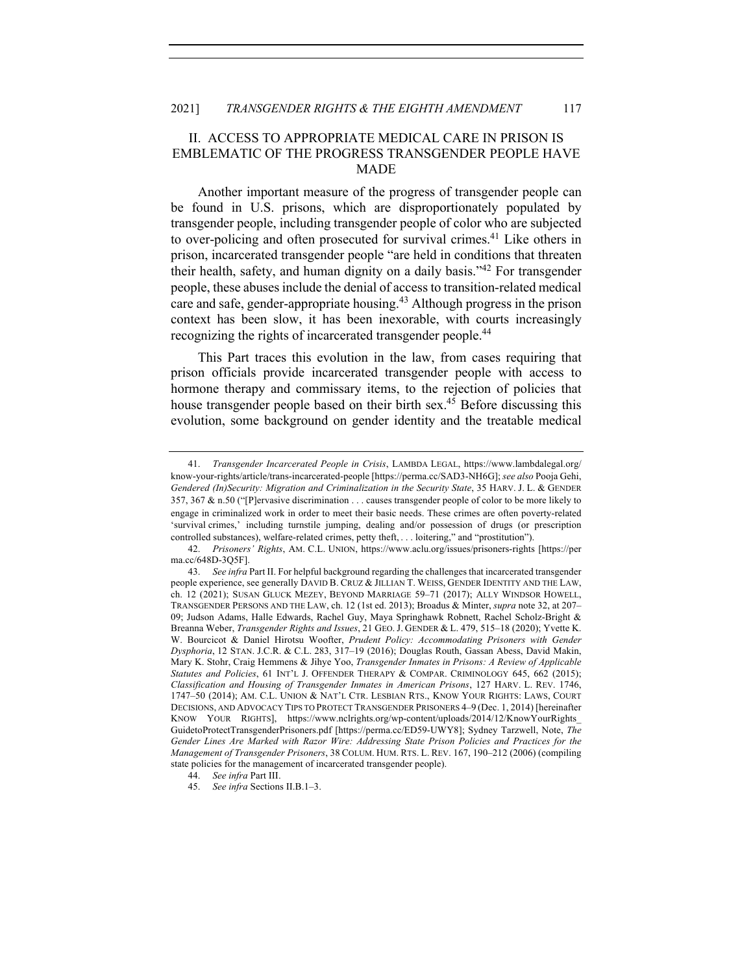# II. ACCESS TO APPROPRIATE MEDICAL CARE IN PRISON IS EMBLEMATIC OF THE PROGRESS TRANSGENDER PEOPLE HAVE MADE

Another important measure of the progress of transgender people can be found in U.S. prisons, which are disproportionately populated by transgender people, including transgender people of color who are subjected to over-policing and often prosecuted for survival crimes.<sup>41</sup> Like others in prison, incarcerated transgender people "are held in conditions that threaten their health, safety, and human dignity on a daily basis."<sup>42</sup> For transgender people, these abuses include the denial of access to transition-related medical care and safe, gender-appropriate housing.<sup>43</sup> Although progress in the prison context has been slow, it has been inexorable, with courts increasingly recognizing the rights of incarcerated transgender people.<sup>44</sup>

This Part traces this evolution in the law, from cases requiring that prison officials provide incarcerated transgender people with access to hormone therapy and commissary items, to the rejection of policies that house transgender people based on their birth sex.<sup>45</sup> Before discussing this evolution, some background on gender identity and the treatable medical

<sup>41.</sup> *Transgender Incarcerated People in Crisis*, LAMBDA LEGAL, https://www.lambdalegal.org/ know-your-rights/article/trans-incarcerated-people [https://perma.cc/SAD3-NH6G]; *see also* Pooja Gehi, *Gendered (In)Security: Migration and Criminalization in the Security State*, 35 HARV. J. L. & GENDER 357, 367 & n.50 ("[P]ervasive discrimination . . . causes transgender people of color to be more likely to engage in criminalized work in order to meet their basic needs. These crimes are often poverty-related 'survival crimes,' including turnstile jumping, dealing and/or possession of drugs (or prescription controlled substances), welfare-related crimes, petty theft, . . . loitering," and "prostitution").

<sup>42.</sup> *Prisoners' Rights*, AM. C.L. UNION, https://www.aclu.org/issues/prisoners-rights [https://per ma.cc/648D-3Q5F].

<sup>43.</sup> *See infra* Part II. For helpful background regarding the challenges that incarcerated transgender people experience, see generally DAVID B. CRUZ & JILLIAN T. WEISS, GENDER IDENTITY AND THE LAW, ch. 12 (2021); SUSAN GLUCK MEZEY, BEYOND MARRIAGE 59–71 (2017); ALLY WINDSOR HOWELL, TRANSGENDER PERSONS AND THE LAW, ch. 12 (1st ed. 2013); Broadus & Minter, *supra* note 32, at 207– 09; Judson Adams, Halle Edwards, Rachel Guy, Maya Springhawk Robnett, Rachel Scholz-Bright & Breanna Weber, *Transgender Rights and Issues*, 21 GEO.J. GENDER & L. 479, 515–18 (2020); Yvette K. W. Bourcicot & Daniel Hirotsu Woofter, *Prudent Policy: Accommodating Prisoners with Gender Dysphoria*, 12 STAN. J.C.R. & C.L. 283, 317–19 (2016); Douglas Routh, Gassan Abess, David Makin, Mary K. Stohr, Craig Hemmens & Jihye Yoo, *Transgender Inmates in Prisons: A Review of Applicable Statutes and Policies*, 61 INT'L J. OFFENDER THERAPY & COMPAR. CRIMINOLOGY 645, 662 (2015); *Classification and Housing of Transgender Inmates in American Prisons*, 127 HARV. L. REV. 1746, 1747–50 (2014); AM. C.L. UNION & NAT'L CTR. LESBIAN RTS., KNOW YOUR RIGHTS: LAWS, COURT DECISIONS, AND ADVOCACY TIPS TO PROTECT TRANSGENDER PRISONERS 4–9 (Dec. 1, 2014) [hereinafter KNOW YOUR RIGHTS], https://www.nclrights.org/wp-content/uploads/2014/12/KnowYourRights\_ GuidetoProtectTransgenderPrisoners.pdf [https://perma.cc/ED59-UWY8]; Sydney Tarzwell, Note, *The Gender Lines Are Marked with Razor Wire: Addressing State Prison Policies and Practices for the Management of Transgender Prisoners*, 38 COLUM. HUM. RTS. L. REV. 167, 190–212 (2006) (compiling state policies for the management of incarcerated transgender people).

<sup>44.</sup> *See infra* Part III.

<sup>45.</sup> *See infra* Sections II.B.1–3.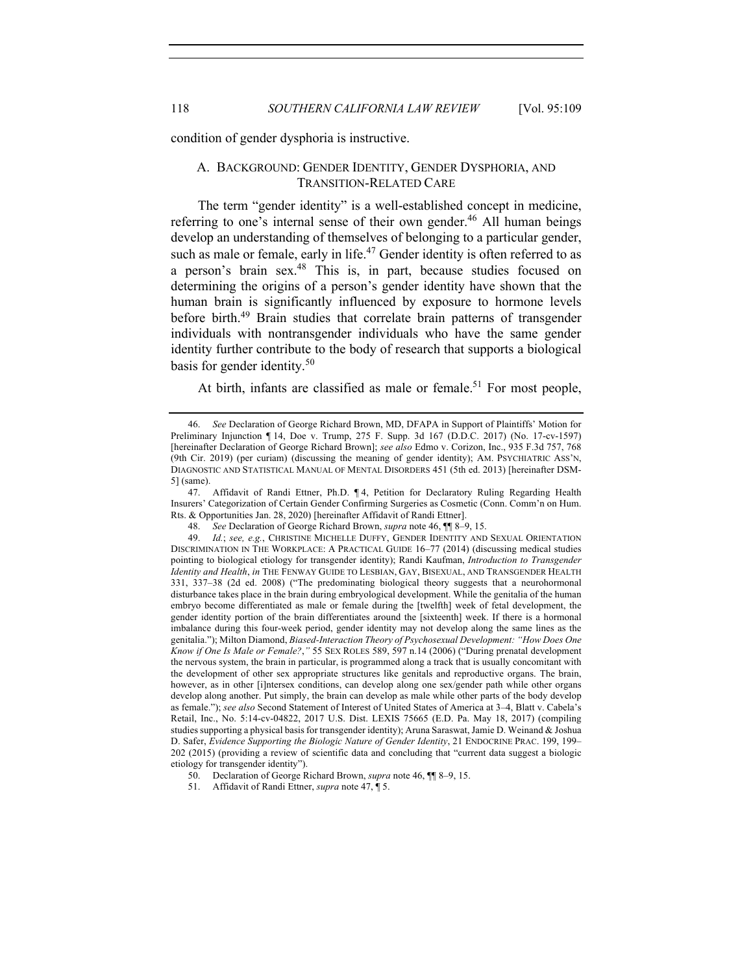condition of gender dysphoria is instructive.

## A. BACKGROUND: GENDER IDENTITY, GENDER DYSPHORIA, AND TRANSITION-RELATED CARE

The term "gender identity" is a well-established concept in medicine, referring to one's internal sense of their own gender.<sup>46</sup> All human beings develop an understanding of themselves of belonging to a particular gender, such as male or female, early in life.<sup>47</sup> Gender identity is often referred to as a person's brain sex.<sup>48</sup> This is, in part, because studies focused on determining the origins of a person's gender identity have shown that the human brain is significantly influenced by exposure to hormone levels before birth.<sup>49</sup> Brain studies that correlate brain patterns of transgender individuals with nontransgender individuals who have the same gender identity further contribute to the body of research that supports a biological basis for gender identity.<sup>50</sup>

At birth, infants are classified as male or female.<sup>51</sup> For most people,

47. Affidavit of Randi Ettner, Ph.D. ¶ 4, Petition for Declaratory Ruling Regarding Health Insurers' Categorization of Certain Gender Confirming Surgeries as Cosmetic (Conn. Comm'n on Hum. Rts. & Opportunities Jan. 28, 2020) [hereinafter Affidavit of Randi Ettner].

<sup>46.</sup> *See* Declaration of George Richard Brown, MD, DFAPA in Support of Plaintiffs' Motion for Preliminary Injunction ¶ 14, Doe v. Trump, 275 F. Supp. 3d 167 (D.D.C. 2017) (No. 17-cv-1597) [hereinafter Declaration of George Richard Brown]; *see also* Edmo v. Corizon, Inc., 935 F.3d 757, 768 (9th Cir. 2019) (per curiam) (discussing the meaning of gender identity); AM. PSYCHIATRIC ASS'N, DIAGNOSTIC AND STATISTICAL MANUAL OF MENTAL DISORDERS 451 (5th ed. 2013) [hereinafter DSM-5] (same).

<sup>48.</sup> *See* Declaration of George Richard Brown, *supra* note 46, ¶¶ 8–9, 15.

<sup>49.</sup> *Id.*; *see, e.g.*, CHRISTINE MICHELLE DUFFY, GENDER IDENTITY AND SEXUAL ORIENTATION DISCRIMINATION IN THE WORKPLACE: A PRACTICAL GUIDE 16–77 (2014) (discussing medical studies pointing to biological etiology for transgender identity); Randi Kaufman, *Introduction to Transgender Identity and Health*, *in* THE FENWAY GUIDE TO LESBIAN, GAY, BISEXUAL, AND TRANSGENDER HEALTH 331, 337–38 (2d ed. 2008) ("The predominating biological theory suggests that a neurohormonal disturbance takes place in the brain during embryological development. While the genitalia of the human embryo become differentiated as male or female during the [twelfth] week of fetal development, the gender identity portion of the brain differentiates around the [sixteenth] week. If there is a hormonal imbalance during this four-week period, gender identity may not develop along the same lines as the genitalia."); Milton Diamond, *Biased-Interaction Theory of Psychosexual Development: "How Does One Know if One Is Male or Female?*,*"* 55 SEX ROLES 589, 597 n.14 (2006) ("During prenatal development the nervous system, the brain in particular, is programmed along a track that is usually concomitant with the development of other sex appropriate structures like genitals and reproductive organs. The brain, however, as in other [i]ntersex conditions, can develop along one sex/gender path while other organs develop along another. Put simply, the brain can develop as male while other parts of the body develop as female."); *see also* Second Statement of Interest of United States of America at 3–4, Blatt v. Cabela's Retail, Inc., No. 5:14-cv-04822, 2017 U.S. Dist. LEXIS 75665 (E.D. Pa. May 18, 2017) (compiling studies supporting a physical basis for transgender identity); Aruna Saraswat, Jamie D. Weinand & Joshua D. Safer, *Evidence Supporting the Biologic Nature of Gender Identity*, 21 ENDOCRINE PRAC. 199, 199– 202 (2015) (providing a review of scientific data and concluding that "current data suggest a biologic etiology for transgender identity").

<sup>50.</sup> Declaration of George Richard Brown, *supra* note 46, ¶¶ 8–9, 15.

<sup>51.</sup> Affidavit of Randi Ettner, *supra* note 47, ¶ 5.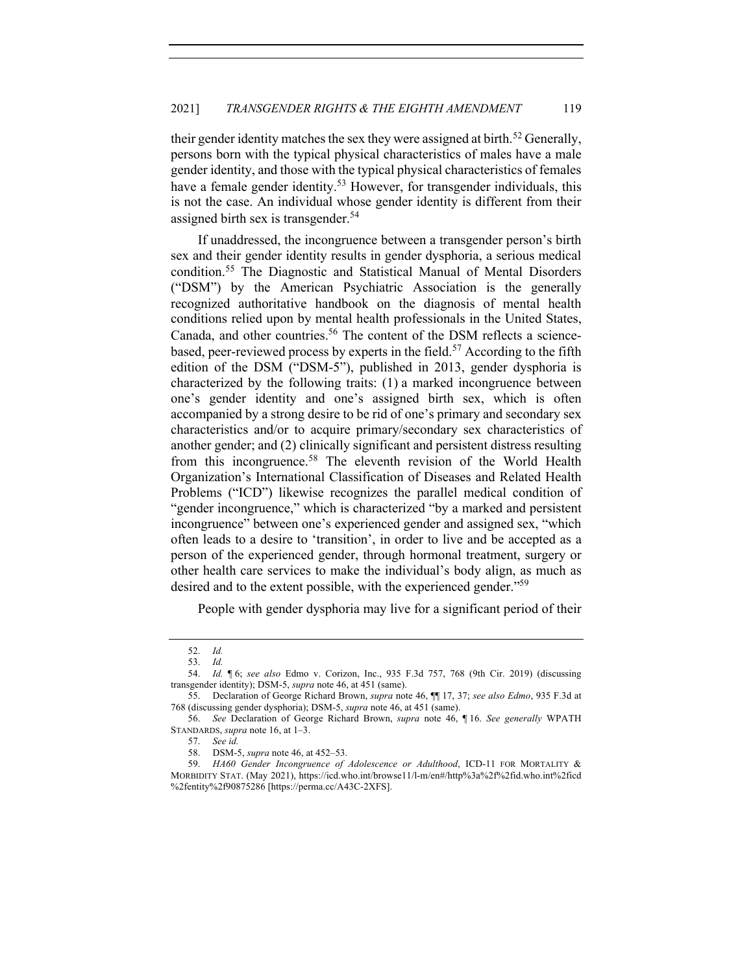their gender identity matches the sex they were assigned at birth.<sup>52</sup> Generally, persons born with the typical physical characteristics of males have a male gender identity, and those with the typical physical characteristics of females have a female gender identity.<sup>53</sup> However, for transgender individuals, this is not the case. An individual whose gender identity is different from their assigned birth sex is transgender.<sup>54</sup>

If unaddressed, the incongruence between a transgender person's birth sex and their gender identity results in gender dysphoria, a serious medical condition.<sup>55</sup> The Diagnostic and Statistical Manual of Mental Disorders ("DSM") by the American Psychiatric Association is the generally recognized authoritative handbook on the diagnosis of mental health conditions relied upon by mental health professionals in the United States, Canada, and other countries.<sup>56</sup> The content of the DSM reflects a sciencebased, peer-reviewed process by experts in the field.<sup>57</sup> According to the fifth edition of the DSM ("DSM-5"), published in 2013, gender dysphoria is characterized by the following traits: (1) a marked incongruence between one's gender identity and one's assigned birth sex, which is often accompanied by a strong desire to be rid of one's primary and secondary sex characteristics and/or to acquire primary/secondary sex characteristics of another gender; and (2) clinically significant and persistent distress resulting from this incongruence.<sup>58</sup> The eleventh revision of the World Health Organization's International Classification of Diseases and Related Health Problems ("ICD") likewise recognizes the parallel medical condition of "gender incongruence," which is characterized "by a marked and persistent incongruence" between one's experienced gender and assigned sex, "which often leads to a desire to 'transition', in order to live and be accepted as a person of the experienced gender, through hormonal treatment, surgery or other health care services to make the individual's body align, as much as desired and to the extent possible, with the experienced gender.<sup>"59</sup>

People with gender dysphoria may live for a significant period of their

<sup>52.</sup> *Id.*

<sup>53.</sup> *Id.*

<sup>54.</sup> *Id.* ¶ 6; *see also* Edmo v. Corizon, Inc., 935 F.3d 757, 768 (9th Cir. 2019) (discussing transgender identity); DSM-5, *supra* note 46, at 451 (same).

<sup>55.</sup> Declaration of George Richard Brown, *supra* note 46, ¶¶ 17, 37; *see also Edmo*, 935 F.3d at 768 (discussing gender dysphoria); DSM-5, *supra* note 46, at 451 (same).

<sup>56.</sup> *See* Declaration of George Richard Brown, *supra* note 46, ¶ 16. *See generally* WPATH STANDARDS, *supra* note 16, at 1–3.

<sup>57.</sup> *See id.*

<sup>58.</sup> DSM-5, *supra* note 46, at 452–53.

<sup>59.</sup> *HA60 Gender Incongruence of Adolescence or Adulthood*, ICD-11 FOR MORTALITY & MORBIDITY STAT. (May 2021), https://icd.who.int/browse11/l-m/en#/http%3a%2f%2fid.who.int%2ficd %2fentity%2f90875286 [https://perma.cc/A43C-2XFS].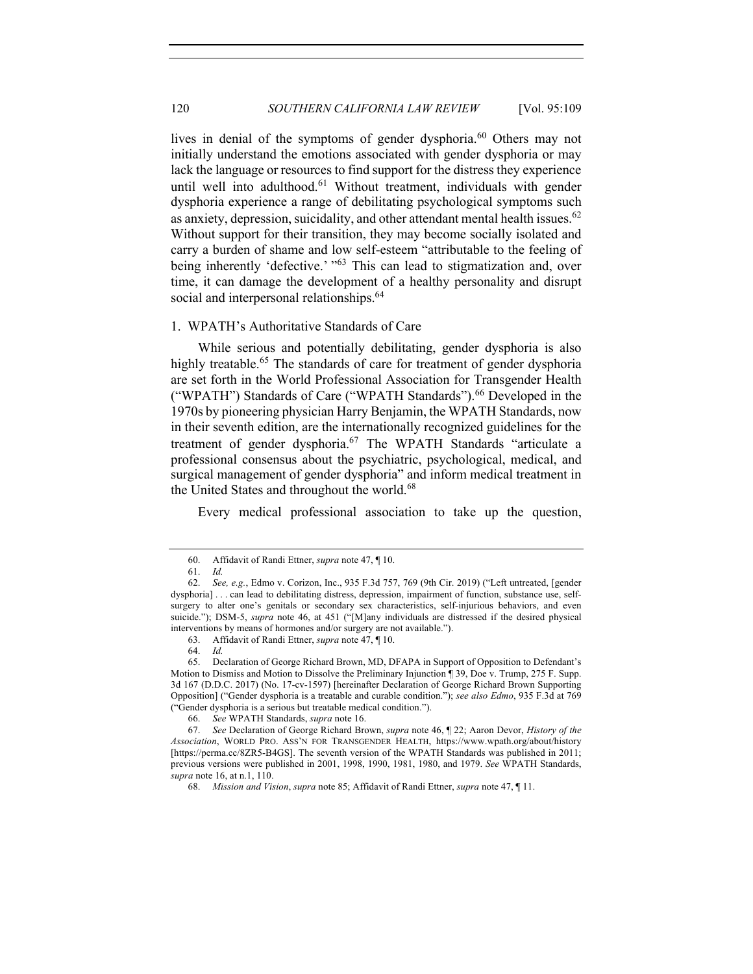lives in denial of the symptoms of gender dysphoria.<sup>60</sup> Others may not initially understand the emotions associated with gender dysphoria or may lack the language or resources to find support for the distress they experience until well into adulthood.<sup>61</sup> Without treatment, individuals with gender dysphoria experience a range of debilitating psychological symptoms such as anxiety, depression, suicidality, and other attendant mental health issues.<sup>62</sup> Without support for their transition, they may become socially isolated and carry a burden of shame and low self-esteem "attributable to the feeling of being inherently 'defective.' "<sup>63</sup> This can lead to stigmatization and, over time, it can damage the development of a healthy personality and disrupt social and interpersonal relationships.<sup>64</sup>

## 1. WPATH's Authoritative Standards of Care

While serious and potentially debilitating, gender dysphoria is also highly treatable.<sup>65</sup> The standards of care for treatment of gender dysphoria are set forth in the World Professional Association for Transgender Health ("WPATH") Standards of Care ("WPATH Standards").<sup>66</sup> Developed in the 1970s by pioneering physician Harry Benjamin, the WPATH Standards, now in their seventh edition, are the internationally recognized guidelines for the treatment of gender dysphoria.<sup>67</sup> The WPATH Standards "articulate a professional consensus about the psychiatric, psychological, medical, and surgical management of gender dysphoria" and inform medical treatment in the United States and throughout the world.<sup>68</sup>

Every medical professional association to take up the question,

<sup>60.</sup> Affidavit of Randi Ettner, *supra* note 47, ¶ 10.

<sup>61.</sup> *Id.*

<sup>62.</sup> *See, e.g.*, Edmo v. Corizon, Inc., 935 F.3d 757, 769 (9th Cir. 2019) ("Left untreated, [gender dysphoria] . . . can lead to debilitating distress, depression, impairment of function, substance use, selfsurgery to alter one's genitals or secondary sex characteristics, self-injurious behaviors, and even suicide."); DSM-5, *supra* note 46, at 451 ("[M]any individuals are distressed if the desired physical interventions by means of hormones and/or surgery are not available.").

<sup>63.</sup> Affidavit of Randi Ettner, *supra* note 47, ¶ 10.

<sup>64.</sup> *Id.*

Declaration of George Richard Brown, MD, DFAPA in Support of Opposition to Defendant's Motion to Dismiss and Motion to Dissolve the Preliminary Injunction ¶ 39, Doe v. Trump, 275 F. Supp. 3d 167 (D.D.C. 2017) (No. 17-cv-1597) [hereinafter Declaration of George Richard Brown Supporting Opposition] ("Gender dysphoria is a treatable and curable condition."); *see also Edmo*, 935 F.3d at 769 ("Gender dysphoria is a serious but treatable medical condition.").

<sup>66.</sup> *See* WPATH Standards, *supra* note 16.

<sup>67.</sup> *See* Declaration of George Richard Brown, *supra* note 46, ¶ 22; Aaron Devor, *History of the Association*, WORLD PRO. ASS'N FOR TRANSGENDER HEALTH, https://www.wpath.org/about/history [https://perma.cc/8ZR5-B4GS]. The seventh version of the WPATH Standards was published in 2011; previous versions were published in 2001, 1998, 1990, 1981, 1980, and 1979. *See* WPATH Standards, *supra* note 16, at n.1, 110.

<sup>68.</sup> *Mission and Vision*, *supra* note 85; Affidavit of Randi Ettner, *supra* note 47, ¶ 11.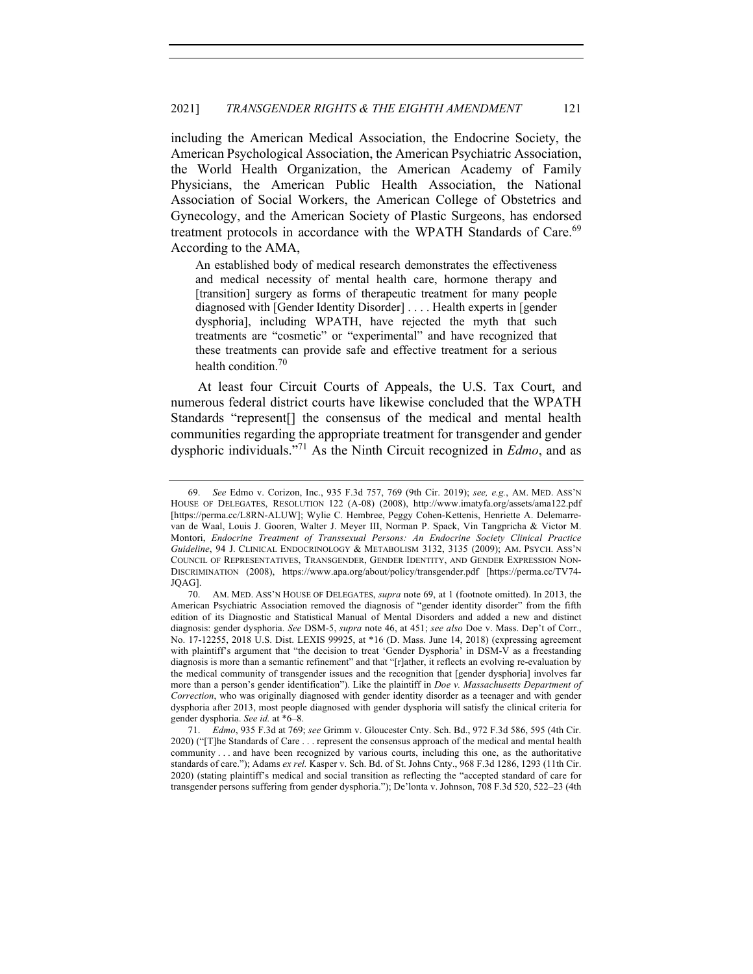including the American Medical Association, the Endocrine Society, the American Psychological Association, the American Psychiatric Association, the World Health Organization, the American Academy of Family Physicians, the American Public Health Association, the National Association of Social Workers, the American College of Obstetrics and Gynecology, and the American Society of Plastic Surgeons, has endorsed treatment protocols in accordance with the WPATH Standards of Care.<sup>69</sup> According to the AMA,

An established body of medical research demonstrates the effectiveness and medical necessity of mental health care, hormone therapy and [transition] surgery as forms of therapeutic treatment for many people diagnosed with [Gender Identity Disorder] . . . . Health experts in [gender dysphoria], including WPATH, have rejected the myth that such treatments are "cosmetic" or "experimental" and have recognized that these treatments can provide safe and effective treatment for a serious health condition.70

At least four Circuit Courts of Appeals, the U.S. Tax Court, and numerous federal district courts have likewise concluded that the WPATH Standards "represent[] the consensus of the medical and mental health communities regarding the appropriate treatment for transgender and gender dysphoric individuals."71 As the Ninth Circuit recognized in *Edmo*, and as

<sup>69.</sup> *See* Edmo v. Corizon, Inc., 935 F.3d 757, 769 (9th Cir. 2019); *see, e.g.*, AM. MED. ASS'N HOUSE OF DELEGATES, RESOLUTION 122 (A-08) (2008), http://www.imatyfa.org/assets/ama122.pdf [https://perma.cc/L8RN-ALUW]; Wylie C. Hembree, Peggy Cohen-Kettenis, Henriette A. Delemarrevan de Waal, Louis J. Gooren, Walter J. Meyer III, Norman P. Spack, Vin Tangpricha & Victor M. Montori, *Endocrine Treatment of Transsexual Persons: An Endocrine Society Clinical Practice Guideline*, 94 J. CLINICAL ENDOCRINOLOGY & METABOLISM 3132, 3135 (2009); AM. PSYCH. ASS'N COUNCIL OF REPRESENTATIVES, TRANSGENDER, GENDER IDENTITY, AND GENDER EXPRESSION NON-DISCRIMINATION (2008), https://www.apa.org/about/policy/transgender.pdf [https://perma.cc/TV74- JQAG].

<sup>70.</sup> AM. MED. ASS'N HOUSE OF DELEGATES, *supra* note 69, at 1 (footnote omitted). In 2013, the American Psychiatric Association removed the diagnosis of "gender identity disorder" from the fifth edition of its Diagnostic and Statistical Manual of Mental Disorders and added a new and distinct diagnosis: gender dysphoria. *See* DSM-5, *supra* note 46, at 451; *see also* Doe v. Mass. Dep't of Corr., No. 17-12255, 2018 U.S. Dist. LEXIS 99925, at \*16 (D. Mass. June 14, 2018) (expressing agreement with plaintiff's argument that "the decision to treat 'Gender Dysphoria' in DSM-V as a freestanding diagnosis is more than a semantic refinement" and that "[r]ather, it reflects an evolving re-evaluation by the medical community of transgender issues and the recognition that [gender dysphoria] involves far more than a person's gender identification"). Like the plaintiff in *Doe v. Massachusetts Department of Correction*, who was originally diagnosed with gender identity disorder as a teenager and with gender dysphoria after 2013, most people diagnosed with gender dysphoria will satisfy the clinical criteria for gender dysphoria. *See id.* at \*6–8.

<sup>71.</sup> *Edmo*, 935 F.3d at 769; *see* Grimm v. Gloucester Cnty. Sch. Bd., 972 F.3d 586, 595 (4th Cir. 2020) ("[T]he Standards of Care . . . represent the consensus approach of the medical and mental health community . . . and have been recognized by various courts, including this one, as the authoritative standards of care."); Adams *ex rel.* Kasper v. Sch. Bd. of St. Johns Cnty., 968 F.3d 1286, 1293 (11th Cir. 2020) (stating plaintiff's medical and social transition as reflecting the "accepted standard of care for transgender persons suffering from gender dysphoria."); De'lonta v. Johnson, 708 F.3d 520, 522–23 (4th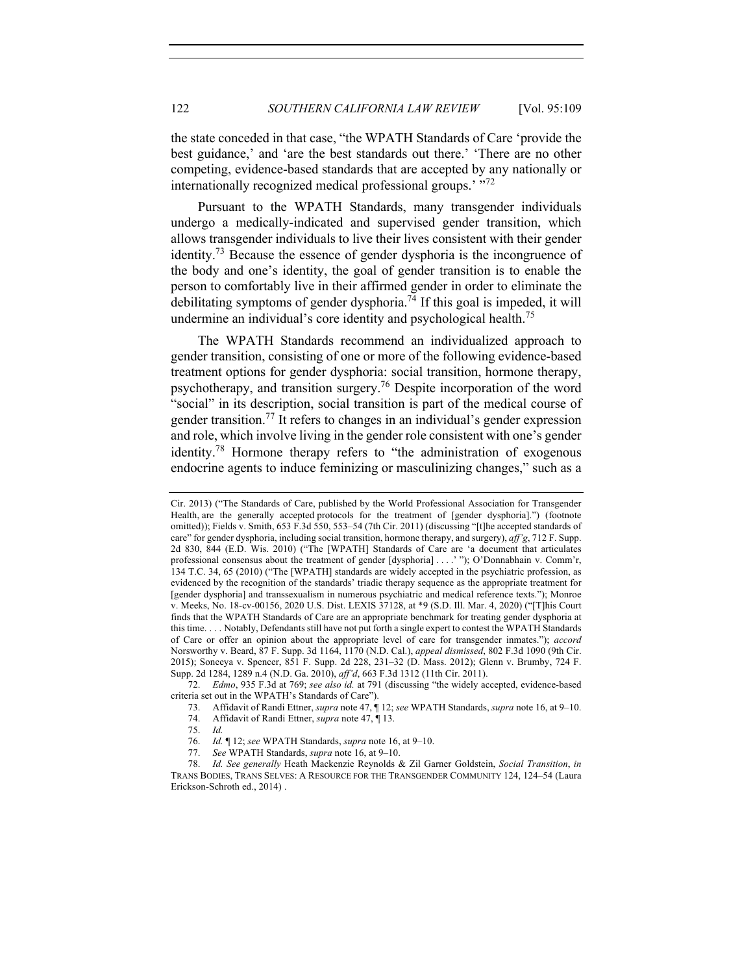the state conceded in that case, "the WPATH Standards of Care 'provide the best guidance,' and 'are the best standards out there.' 'There are no other competing, evidence-based standards that are accepted by any nationally or internationally recognized medical professional groups.' "72

Pursuant to the WPATH Standards, many transgender individuals undergo a medically-indicated and supervised gender transition, which allows transgender individuals to live their lives consistent with their gender identity.<sup>73</sup> Because the essence of gender dysphoria is the incongruence of the body and one's identity, the goal of gender transition is to enable the person to comfortably live in their affirmed gender in order to eliminate the debilitating symptoms of gender dysphoria.<sup>74</sup> If this goal is impeded, it will undermine an individual's core identity and psychological health.<sup>75</sup>

The WPATH Standards recommend an individualized approach to gender transition, consisting of one or more of the following evidence-based treatment options for gender dysphoria: social transition, hormone therapy, psychotherapy, and transition surgery.<sup>76</sup> Despite incorporation of the word "social" in its description, social transition is part of the medical course of gender transition.<sup>77</sup> It refers to changes in an individual's gender expression and role, which involve living in the gender role consistent with one's gender identity.<sup>78</sup> Hormone therapy refers to "the administration of exogenous endocrine agents to induce feminizing or masculinizing changes," such as a

Cir. 2013) ("The Standards of Care, published by the World Professional Association for Transgender Health, are the generally accepted protocols for the treatment of [gender dysphoria].") (footnote omitted)); Fields v. Smith, 653 F.3d 550, 553–54 (7th Cir. 2011) (discussing "[t]he accepted standards of care" for gender dysphoria, including social transition, hormone therapy, and surgery), *aff'g*, 712 F. Supp. 2d 830, 844 (E.D. Wis. 2010) ("The [WPATH] Standards of Care are 'a document that articulates professional consensus about the treatment of gender [dysphoria] . . . .' "); O'Donnabhain v. Comm'r, 134 T.C. 34, 65 (2010) ("The [WPATH] standards are widely accepted in the psychiatric profession, as evidenced by the recognition of the standards' triadic therapy sequence as the appropriate treatment for [gender dysphoria] and transsexualism in numerous psychiatric and medical reference texts."); Monroe v. Meeks, No. 18-cv-00156, 2020 U.S. Dist. LEXIS 37128, at \*9 (S.D. Ill. Mar. 4, 2020) ("[T]his Court finds that the WPATH Standards of Care are an appropriate benchmark for treating gender dysphoria at this time. . . . Notably, Defendants still have not put forth a single expert to contest the WPATH Standards of Care or offer an opinion about the appropriate level of care for transgender inmates."); *accord* Norsworthy v. Beard, 87 F. Supp. 3d 1164, 1170 (N.D. Cal.), *appeal dismissed*, 802 F.3d 1090 (9th Cir. 2015); Soneeya v. Spencer, 851 F. Supp. 2d 228, 231–32 (D. Mass. 2012); Glenn v. Brumby, 724 F. Supp. 2d 1284, 1289 n.4 (N.D. Ga. 2010), *aff'd*, 663 F.3d 1312 (11th Cir. 2011).

<sup>72.</sup> *Edmo*, 935 F.3d at 769; *see also id.* at 791 (discussing "the widely accepted, evidence-based criteria set out in the WPATH's Standards of Care").

<sup>73.</sup> Affidavit of Randi Ettner, *supra* note 47, ¶ 12; *see* WPATH Standards, *supra* note 16, at 9–10.

<sup>74.</sup> Affidavit of Randi Ettner, *supra* note 47, ¶ 13.

<sup>75.</sup> *Id.*

<sup>76.</sup> *Id.* ¶ 12; *see* WPATH Standards, *supra* note 16, at 9–10.

<sup>77.</sup> *See* WPATH Standards, *supra* note 16, at 9–10.

<sup>78.</sup> *Id. See generally* Heath Mackenzie Reynolds & Zil Garner Goldstein, *Social Transition*, *in* TRANS BODIES, TRANS SELVES: A RESOURCE FOR THE TRANSGENDER COMMUNITY 124, 124–54 (Laura Erickson-Schroth ed., 2014) .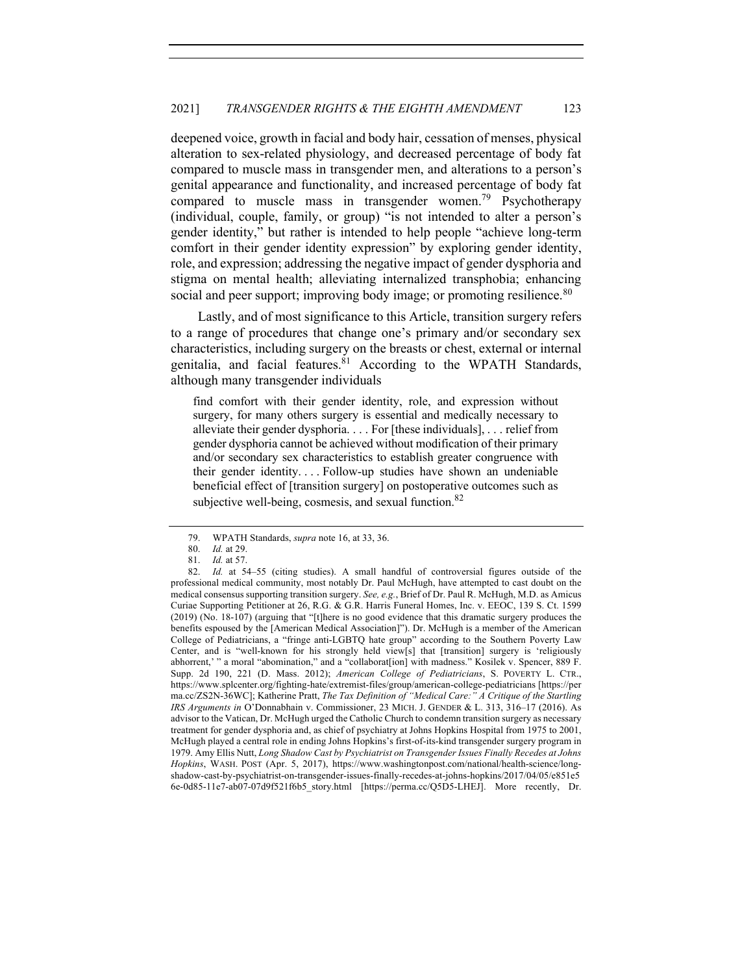deepened voice, growth in facial and body hair, cessation of menses, physical alteration to sex-related physiology, and decreased percentage of body fat compared to muscle mass in transgender men, and alterations to a person's genital appearance and functionality, and increased percentage of body fat compared to muscle mass in transgender women.79 Psychotherapy (individual, couple, family, or group) "is not intended to alter a person's gender identity," but rather is intended to help people "achieve long-term comfort in their gender identity expression" by exploring gender identity, role, and expression; addressing the negative impact of gender dysphoria and stigma on mental health; alleviating internalized transphobia; enhancing social and peer support; improving body image; or promoting resilience.<sup>80</sup>

Lastly, and of most significance to this Article, transition surgery refers to a range of procedures that change one's primary and/or secondary sex characteristics, including surgery on the breasts or chest, external or internal genitalia, and facial features.<sup>81</sup> According to the WPATH Standards, although many transgender individuals

find comfort with their gender identity, role, and expression without surgery, for many others surgery is essential and medically necessary to alleviate their gender dysphoria. . . . For [these individuals], . . . relief from gender dysphoria cannot be achieved without modification of their primary and/or secondary sex characteristics to establish greater congruence with their gender identity. . . . Follow-up studies have shown an undeniable beneficial effect of [transition surgery] on postoperative outcomes such as subjective well-being, cosmesis, and sexual function. $82$ 

<sup>79.</sup> WPATH Standards, *supra* note 16, at 33, 36.

<sup>80.</sup> *Id.* at 29.

<sup>81.</sup> *Id.* at 57.

<sup>82.</sup> *Id.* at 54–55 (citing studies). A small handful of controversial figures outside of the professional medical community, most notably Dr. Paul McHugh, have attempted to cast doubt on the medical consensus supporting transition surgery. *See, e.g.*, Brief of Dr. Paul R. McHugh, M.D. as Amicus Curiae Supporting Petitioner at 26, R.G. & G.R. Harris Funeral Homes, Inc. v. EEOC, 139 S. Ct. 1599 (2019) (No. 18-107) (arguing that "[t]here is no good evidence that this dramatic surgery produces the benefits espoused by the [American Medical Association]"). Dr. McHugh is a member of the American College of Pediatricians, a "fringe anti-LGBTQ hate group" according to the Southern Poverty Law Center, and is "well-known for his strongly held view[s] that [transition] surgery is 'religiously abhorrent,' " a moral "abomination," and a "collaborat[ion] with madness." Kosilek v. Spencer, 889 F. Supp. 2d 190, 221 (D. Mass. 2012); *American College of Pediatricians*, S. POVERTY L. CTR., https://www.splcenter.org/fighting-hate/extremist-files/group/american-college-pediatricians [https://per ma.cc/ZS2N-36WC]; Katherine Pratt, *The Tax Definition of "Medical Care:" A Critique of the Startling IRS Arguments in* O'Donnabhain v. Commissioner, 23 MICH. J. GENDER & L. 313, 316–17 (2016). As advisor to the Vatican, Dr. McHugh urged the Catholic Church to condemn transition surgery as necessary treatment for gender dysphoria and, as chief of psychiatry at Johns Hopkins Hospital from 1975 to 2001, McHugh played a central role in ending Johns Hopkins's first-of-its-kind transgender surgery program in 1979. Amy Ellis Nutt, *Long Shadow Cast by Psychiatrist on Transgender Issues Finally Recedes at Johns Hopkins*, WASH. POST (Apr. 5, 2017), https://www.washingtonpost.com/national/health-science/longshadow-cast-by-psychiatrist-on-transgender-issues-finally-recedes-at-johns-hopkins/2017/04/05/e851e5 6e-0d85-11e7-ab07-07d9f521f6b5\_story.html [https://perma.cc/Q5D5-LHEJ]. More recently, Dr.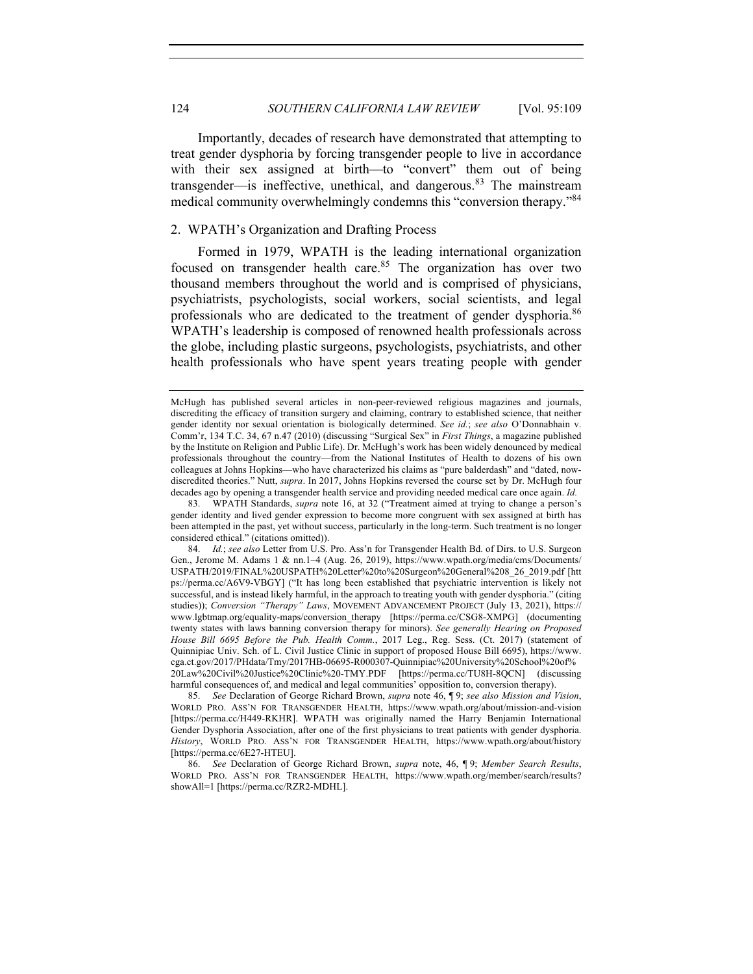Importantly, decades of research have demonstrated that attempting to treat gender dysphoria by forcing transgender people to live in accordance with their sex assigned at birth—to "convert" them out of being transgender—is ineffective, unethical, and dangerous. $83$  The mainstream medical community overwhelmingly condemns this "conversion therapy."<sup>84</sup>

## 2. WPATH's Organization and Drafting Process

Formed in 1979, WPATH is the leading international organization focused on transgender health care. $85$  The organization has over two thousand members throughout the world and is comprised of physicians, psychiatrists, psychologists, social workers, social scientists, and legal professionals who are dedicated to the treatment of gender dysphoria.<sup>86</sup> WPATH's leadership is composed of renowned health professionals across the globe, including plastic surgeons, psychologists, psychiatrists, and other health professionals who have spent years treating people with gender

McHugh has published several articles in non-peer-reviewed religious magazines and journals, discrediting the efficacy of transition surgery and claiming, contrary to established science, that neither gender identity nor sexual orientation is biologically determined. *See id.*; *see also* O'Donnabhain v. Comm'r, 134 T.C. 34, 67 n.47 (2010) (discussing "Surgical Sex" in *First Things*, a magazine published by the Institute on Religion and Public Life). Dr. McHugh's work has been widely denounced by medical professionals throughout the country—from the National Institutes of Health to dozens of his own colleagues at Johns Hopkins—who have characterized his claims as "pure balderdash" and "dated, nowdiscredited theories." Nutt, *supra*. In 2017, Johns Hopkins reversed the course set by Dr. McHugh four decades ago by opening a transgender health service and providing needed medical care once again. *Id.*

<sup>83.</sup> WPATH Standards, *supra* note 16, at 32 ("Treatment aimed at trying to change a person's gender identity and lived gender expression to become more congruent with sex assigned at birth has been attempted in the past, yet without success, particularly in the long-term. Such treatment is no longer considered ethical." (citations omitted)).

<sup>84.</sup> *Id.*; *see also* Letter from U.S. Pro. Ass'n for Transgender Health Bd. of Dirs. to U.S. Surgeon Gen., Jerome M. Adams 1 & nn.1–4 (Aug. 26, 2019), https://www.wpath.org/media/cms/Documents/ USPATH/2019/FINAL%20USPATH%20Letter%20to%20Surgeon%20General%208\_26\_2019.pdf [htt ps://perma.cc/A6V9-VBGY] ("It has long been established that psychiatric intervention is likely not successful, and is instead likely harmful, in the approach to treating youth with gender dysphoria." (citing studies)); *Conversion "Therapy" Laws*, MOVEMENT ADVANCEMENT PROJECT (July 13, 2021), https:// www.lgbtmap.org/equality-maps/conversion\_therapy [https://perma.cc/CSG8-XMPG] (documenting twenty states with laws banning conversion therapy for minors). *See generally Hearing on Proposed House Bill 6695 Before the Pub. Health Comm.*, 2017 Leg., Reg. Sess. (Ct. 2017) (statement of Quinnipiac Univ. Sch. of L. Civil Justice Clinic in support of proposed House Bill 6695), https://www. cga.ct.gov/2017/PHdata/Tmy/2017HB-06695-R000307-Quinnipiac%20University%20School%20of% 20Law%20Civil%20Justice%20Clinic%20-TMY.PDF [https://perma.cc/TU8H-8QCN] (discussing harmful consequences of, and medical and legal communities' opposition to, conversion therapy).

<sup>85.</sup> *See* Declaration of George Richard Brown, *supra* note 46, ¶ 9; *see also Mission and Vision*, WORLD PRO. ASS'N FOR TRANSGENDER HEALTH, https://www.wpath.org/about/mission-and-vision [https://perma.cc/H449-RKHR]. WPATH was originally named the Harry Benjamin International Gender Dysphoria Association, after one of the first physicians to treat patients with gender dysphoria. *History*, WORLD PRO. ASS'N FOR TRANSGENDER HEALTH, https://www.wpath.org/about/history [https://perma.cc/6E27-HTEU].

<sup>86.</sup> *See* Declaration of George Richard Brown, *supra* note, 46, ¶ 9; *Member Search Results*, WORLD PRO. ASS'N FOR TRANSGENDER HEALTH, https://www.wpath.org/member/search/results? showAll=1 [https://perma.cc/RZR2-MDHL].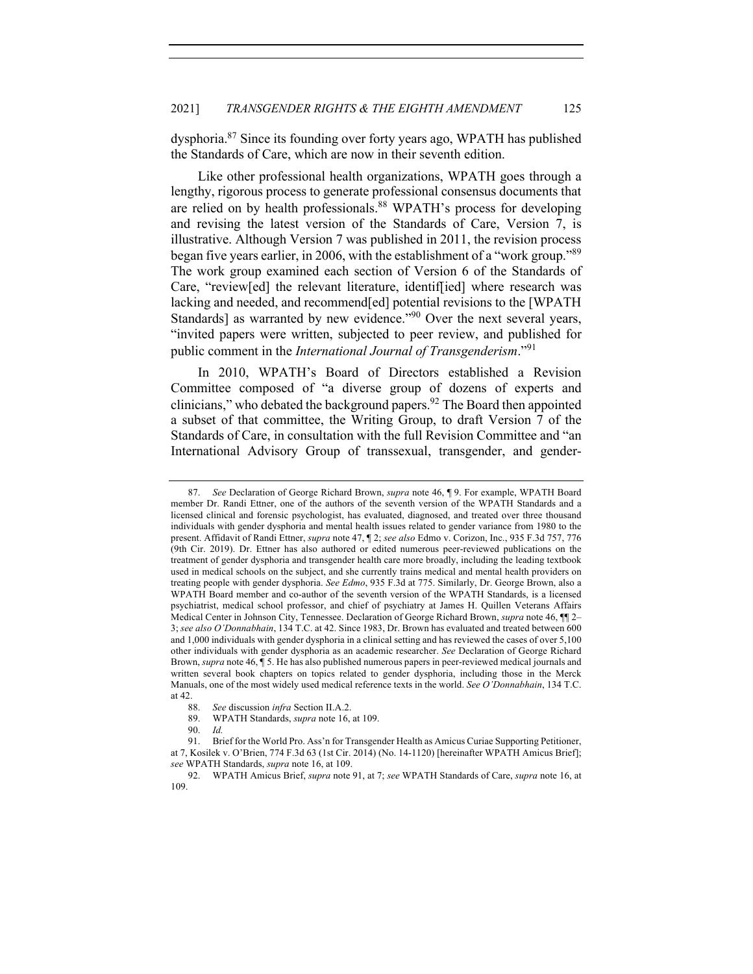dysphoria.87 Since its founding over forty years ago, WPATH has published the Standards of Care, which are now in their seventh edition.

Like other professional health organizations, WPATH goes through a lengthy, rigorous process to generate professional consensus documents that are relied on by health professionals.<sup>88</sup> WPATH's process for developing and revising the latest version of the Standards of Care, Version 7, is illustrative. Although Version 7 was published in 2011, the revision process began five years earlier, in 2006, with the establishment of a "work group."<sup>89</sup> The work group examined each section of Version 6 of the Standards of Care, "review[ed] the relevant literature, identif[ied] where research was lacking and needed, and recommend[ed] potential revisions to the [WPATH Standards] as warranted by new evidence."<sup>90</sup> Over the next several years, "invited papers were written, subjected to peer review, and published for public comment in the *International Journal of Transgenderism*."<sup>91</sup>

In 2010, WPATH's Board of Directors established a Revision Committee composed of "a diverse group of dozens of experts and clinicians," who debated the background papers. $92$  The Board then appointed a subset of that committee, the Writing Group, to draft Version 7 of the Standards of Care, in consultation with the full Revision Committee and "an International Advisory Group of transsexual, transgender, and gender-

<sup>87.</sup> *See* Declaration of George Richard Brown, *supra* note 46, ¶ 9. For example, WPATH Board member Dr. Randi Ettner, one of the authors of the seventh version of the WPATH Standards and a licensed clinical and forensic psychologist, has evaluated, diagnosed, and treated over three thousand individuals with gender dysphoria and mental health issues related to gender variance from 1980 to the present. Affidavit of Randi Ettner, *supra* note 47, ¶ 2; *see also* Edmo v. Corizon, Inc., 935 F.3d 757, 776 (9th Cir. 2019). Dr. Ettner has also authored or edited numerous peer-reviewed publications on the treatment of gender dysphoria and transgender health care more broadly, including the leading textbook used in medical schools on the subject, and she currently trains medical and mental health providers on treating people with gender dysphoria. *See Edmo*, 935 F.3d at 775. Similarly, Dr. George Brown, also a WPATH Board member and co-author of the seventh version of the WPATH Standards, is a licensed psychiatrist, medical school professor, and chief of psychiatry at James H. Quillen Veterans Affairs Medical Center in Johnson City, Tennessee. Declaration of George Richard Brown, *supra* note 46, ¶¶ 2– 3; *see also O'Donnabhain*, 134 T.C. at 42. Since 1983, Dr. Brown has evaluated and treated between 600 and 1,000 individuals with gender dysphoria in a clinical setting and has reviewed the cases of over 5,100 other individuals with gender dysphoria as an academic researcher. *See* Declaration of George Richard Brown, *supra* note 46, ¶ 5. He has also published numerous papers in peer-reviewed medical journals and written several book chapters on topics related to gender dysphoria, including those in the Merck Manuals, one of the most widely used medical reference texts in the world. *See O'Donnabhain*, 134 T.C. at 42.

<sup>88.</sup> *See* discussion *infra* Section II.A.2.

<sup>89.</sup> WPATH Standards, *supra* note 16, at 109.

<sup>90.</sup> *Id.*

<sup>91.</sup> Brief for the World Pro. Ass'n for Transgender Health as Amicus Curiae Supporting Petitioner, at 7, Kosilek v. O'Brien, 774 F.3d 63 (1st Cir. 2014) (No. 14-1120) [hereinafter WPATH Amicus Brief]; *see* WPATH Standards, *supra* note 16, at 109.

<sup>92.</sup> WPATH Amicus Brief, *supra* note 91, at 7; *see* WPATH Standards of Care, *supra* note 16, at 109.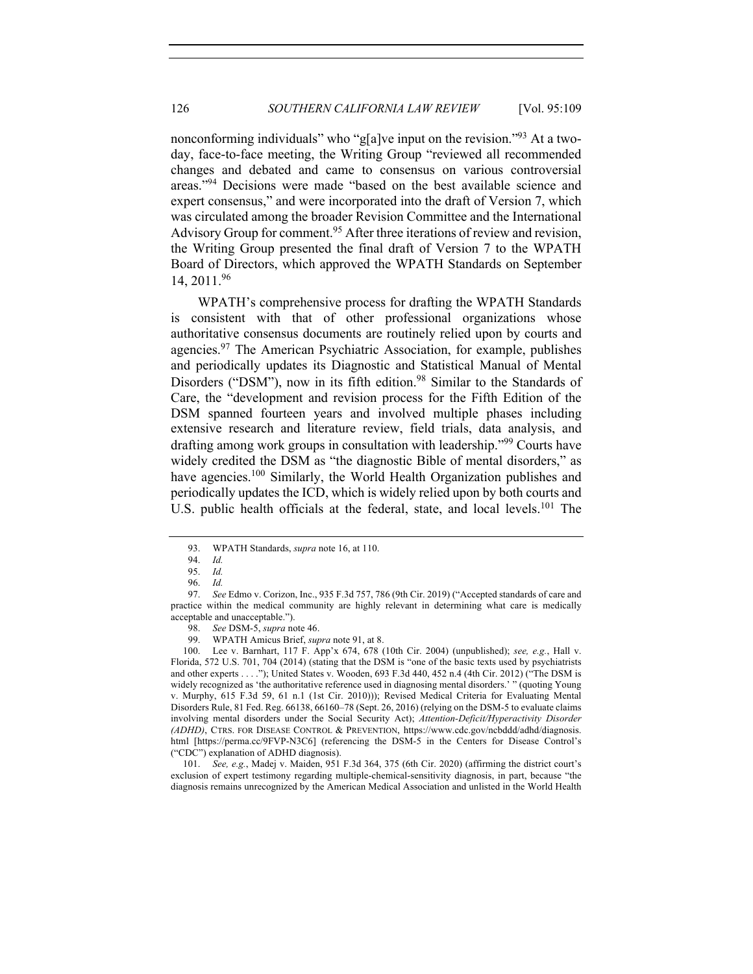nonconforming individuals" who "g[a]ve input on the revision."<sup>93</sup> At a twoday, face-to-face meeting, the Writing Group "reviewed all recommended changes and debated and came to consensus on various controversial areas."94 Decisions were made "based on the best available science and expert consensus," and were incorporated into the draft of Version 7, which was circulated among the broader Revision Committee and the International Advisory Group for comment.<sup>95</sup> After three iterations of review and revision, the Writing Group presented the final draft of Version 7 to the WPATH Board of Directors, which approved the WPATH Standards on September 14, 2011.<sup>96</sup>

WPATH's comprehensive process for drafting the WPATH Standards is consistent with that of other professional organizations whose authoritative consensus documents are routinely relied upon by courts and agencies.<sup>97</sup> The American Psychiatric Association, for example, publishes and periodically updates its Diagnostic and Statistical Manual of Mental Disorders ("DSM"), now in its fifth edition.<sup>98</sup> Similar to the Standards of Care, the "development and revision process for the Fifth Edition of the DSM spanned fourteen years and involved multiple phases including extensive research and literature review, field trials, data analysis, and drafting among work groups in consultation with leadership."<sup>99</sup> Courts have widely credited the DSM as "the diagnostic Bible of mental disorders," as have agencies.<sup>100</sup> Similarly, the World Health Organization publishes and periodically updates the ICD, which is widely relied upon by both courts and U.S. public health officials at the federal, state, and local levels.<sup>101</sup> The

101. *See, e.g.*, Madej v. Maiden, 951 F.3d 364, 375 (6th Cir. 2020) (affirming the district court's exclusion of expert testimony regarding multiple-chemical-sensitivity diagnosis, in part, because "the diagnosis remains unrecognized by the American Medical Association and unlisted in the World Health

<sup>93.</sup> WPATH Standards, *supra* note 16, at 110.

<sup>94.</sup> *Id.*

<sup>95.</sup> *Id.*

<sup>96.</sup> *Id.*

<sup>97.</sup> *See* Edmo v. Corizon, Inc., 935 F.3d 757, 786 (9th Cir. 2019) ("Accepted standards of care and practice within the medical community are highly relevant in determining what care is medically acceptable and unacceptable.").

<sup>98.</sup> *See* DSM-5, *supra* note 46.

<sup>99.</sup> WPATH Amicus Brief, *supra* note 91, at 8.

<sup>100.</sup> Lee v. Barnhart, 117 F. App'x 674, 678 (10th Cir. 2004) (unpublished); *see, e.g.*, Hall v. Florida, 572 U.S. 701, 704 (2014) (stating that the DSM is "one of the basic texts used by psychiatrists and other experts . . . ."); United States v. Wooden, 693 F.3d 440, 452 n.4 (4th Cir. 2012) ("The DSM is widely recognized as 'the authoritative reference used in diagnosing mental disorders.' " (quoting Young v. Murphy, 615 F.3d 59, 61 n.1 (1st Cir. 2010))); Revised Medical Criteria for Evaluating Mental Disorders Rule, 81 Fed. Reg. 66138, 66160–78 (Sept. 26, 2016) (relying on the DSM-5 to evaluate claims involving mental disorders under the Social Security Act); *Attention-Deficit/Hyperactivity Disorder (ADHD)*, CTRS. FOR DISEASE CONTROL & PREVENTION, https://www.cdc.gov/ncbddd/adhd/diagnosis. html [https://perma.cc/9FVP-N3C6] (referencing the DSM-5 in the Centers for Disease Control's ("CDC") explanation of ADHD diagnosis).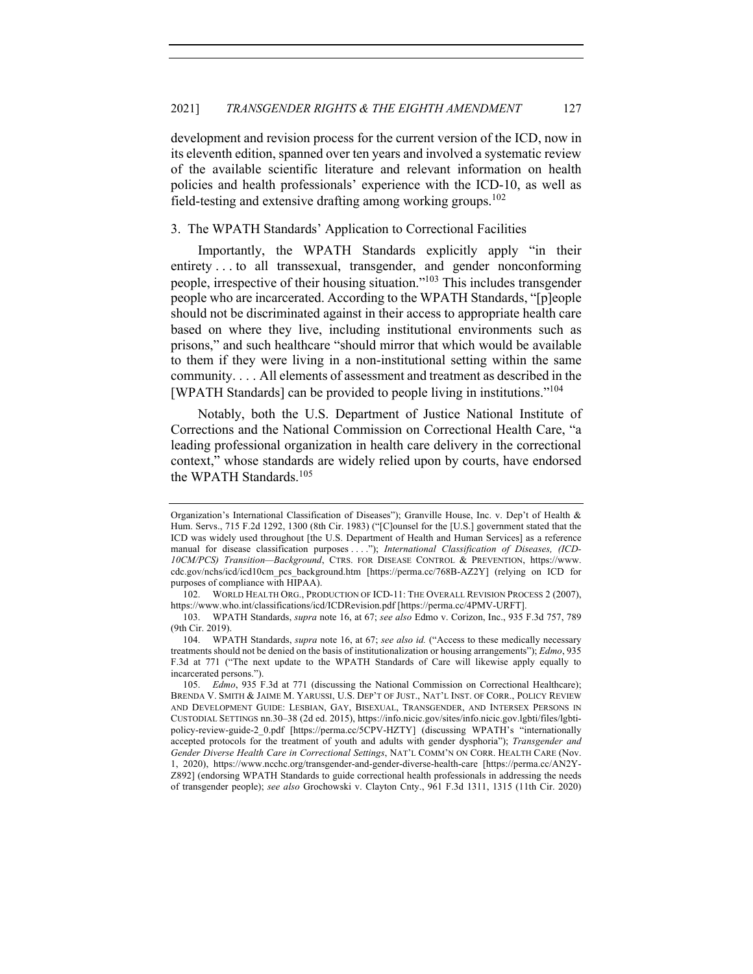development and revision process for the current version of the ICD, now in its eleventh edition, spanned over ten years and involved a systematic review of the available scientific literature and relevant information on health policies and health professionals' experience with the ICD-10, as well as field-testing and extensive drafting among working groups.<sup>102</sup>

## 3. The WPATH Standards' Application to Correctional Facilities

Importantly, the WPATH Standards explicitly apply "in their entirety . . . to all transsexual, transgender, and gender nonconforming people, irrespective of their housing situation."103 This includes transgender people who are incarcerated. According to the WPATH Standards, "[p]eople should not be discriminated against in their access to appropriate health care based on where they live, including institutional environments such as prisons," and such healthcare "should mirror that which would be available to them if they were living in a non-institutional setting within the same community. . . . All elements of assessment and treatment as described in the [WPATH Standards] can be provided to people living in institutions."104

Notably, both the U.S. Department of Justice National Institute of Corrections and the National Commission on Correctional Health Care, "a leading professional organization in health care delivery in the correctional context," whose standards are widely relied upon by courts, have endorsed the WPATH Standards.<sup>105</sup>

Organization's International Classification of Diseases"); Granville House, Inc. v. Dep't of Health & Hum. Servs., 715 F.2d 1292, 1300 (8th Cir. 1983) ("[C]ounsel for the [U.S.] government stated that the ICD was widely used throughout [the U.S. Department of Health and Human Services] as a reference manual for disease classification purposes . . . ."); *International Classification of Diseases, (ICD-10CM/PCS) Transition—Background*, CTRS. FOR DISEASE CONTROL & PREVENTION, https://www. cdc.gov/nchs/icd/icd10cm\_pcs\_background.htm [https://perma.cc/768B-AZ2Y] (relying on ICD for purposes of compliance with HIPAA).

<sup>102.</sup> WORLD HEALTH ORG., PRODUCTION OF ICD-11: THE OVERALL REVISION PROCESS 2 (2007), https://www.who.int/classifications/icd/ICDRevision.pdf [https://perma.cc/4PMV-URFT].

<sup>103.</sup> WPATH Standards, *supra* note 16, at 67; *see also* Edmo v. Corizon, Inc., 935 F.3d 757, 789 (9th Cir. 2019).

<sup>104.</sup> WPATH Standards, *supra* note 16, at 67; *see also id.* ("Access to these medically necessary treatments should not be denied on the basis of institutionalization or housing arrangements"); *Edmo*, 935 F.3d at 771 ("The next update to the WPATH Standards of Care will likewise apply equally to incarcerated persons.").

<sup>105.</sup> *Edmo*, 935 F.3d at 771 (discussing the National Commission on Correctional Healthcare); BRENDA V. SMITH & JAIME M. YARUSSI, U.S. DEP'T OF JUST., NAT'L INST. OF CORR., POLICY REVIEW AND DEVELOPMENT GUIDE: LESBIAN, GAY, BISEXUAL, TRANSGENDER, AND INTERSEX PERSONS IN CUSTODIAL SETTINGS nn.30–38 (2d ed. 2015), https://info.nicic.gov/sites/info.nicic.gov.lgbti/files/lgbtipolicy-review-guide-2\_0.pdf [https://perma.cc/5CPV-HZTY] (discussing WPATH's "internationally accepted protocols for the treatment of youth and adults with gender dysphoria"); *Transgender and Gender Diverse Health Care in Correctional Settings*, NAT'L COMM'N ON CORR. HEALTH CARE (Nov. 1, 2020), https://www.ncchc.org/transgender-and-gender-diverse-health-care [https://perma.cc/AN2Y-Z892] (endorsing WPATH Standards to guide correctional health professionals in addressing the needs of transgender people); *see also* Grochowski v. Clayton Cnty., 961 F.3d 1311, 1315 (11th Cir. 2020)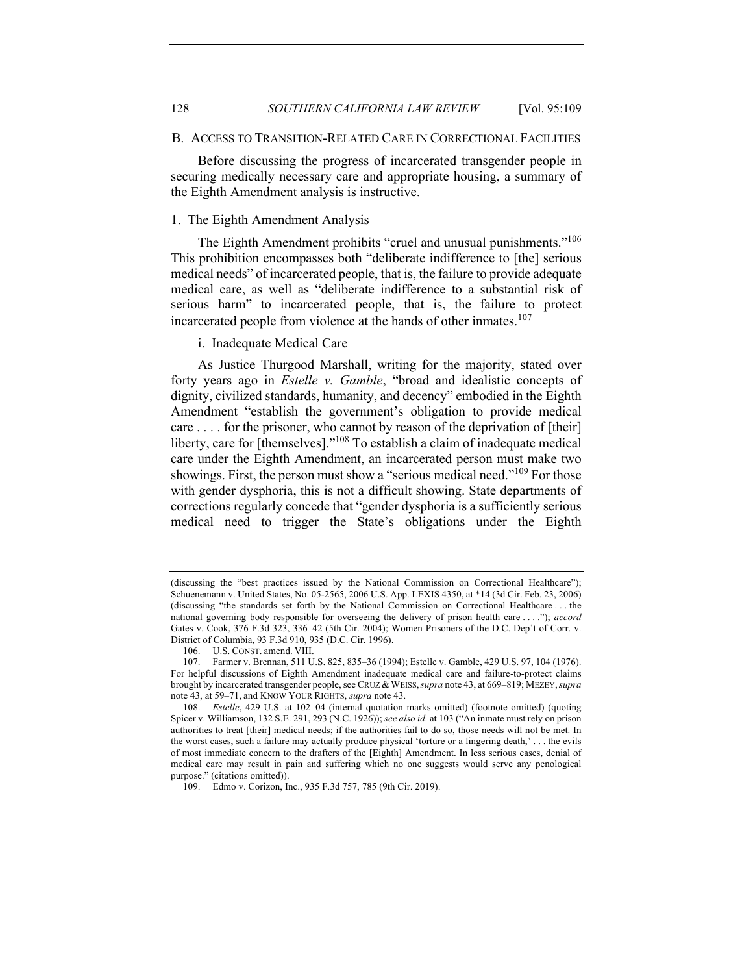#### B. ACCESS TO TRANSITION-RELATED CARE IN CORRECTIONAL FACILITIES

Before discussing the progress of incarcerated transgender people in securing medically necessary care and appropriate housing, a summary of the Eighth Amendment analysis is instructive.

## 1. The Eighth Amendment Analysis

The Eighth Amendment prohibits "cruel and unusual punishments."<sup>106</sup> This prohibition encompasses both "deliberate indifference to [the] serious medical needs" of incarcerated people, that is, the failure to provide adequate medical care, as well as "deliberate indifference to a substantial risk of serious harm" to incarcerated people, that is, the failure to protect incarcerated people from violence at the hands of other inmates.<sup>107</sup>

i. Inadequate Medical Care

As Justice Thurgood Marshall, writing for the majority, stated over forty years ago in *Estelle v. Gamble*, "broad and idealistic concepts of dignity, civilized standards, humanity, and decency" embodied in the Eighth Amendment "establish the government's obligation to provide medical care . . . . for the prisoner, who cannot by reason of the deprivation of [their] liberty, care for [themselves]."<sup>108</sup> To establish a claim of inadequate medical care under the Eighth Amendment, an incarcerated person must make two showings. First, the person must show a "serious medical need."<sup>109</sup> For those with gender dysphoria, this is not a difficult showing. State departments of corrections regularly concede that "gender dysphoria is a sufficiently serious medical need to trigger the State's obligations under the Eighth

<sup>(</sup>discussing the "best practices issued by the National Commission on Correctional Healthcare"); Schuenemann v. United States, No. 05-2565, 2006 U.S. App. LEXIS 4350, at \*14 (3d Cir. Feb. 23, 2006) (discussing "the standards set forth by the National Commission on Correctional Healthcare . . . the national governing body responsible for overseeing the delivery of prison health care . . . ."); *accord* Gates v. Cook, 376 F.3d 323, 336–42 (5th Cir. 2004); Women Prisoners of the D.C. Dep't of Corr. v. District of Columbia, 93 F.3d 910, 935 (D.C. Cir. 1996).

<sup>106.</sup> U.S. CONST. amend. VIII.

<sup>107.</sup> Farmer v. Brennan, 511 U.S. 825, 835–36 (1994); Estelle v. Gamble, 429 U.S. 97, 104 (1976). For helpful discussions of Eighth Amendment inadequate medical care and failure-to-protect claims brought by incarcerated transgender people, see CRUZ & WEISS,*supra* note 43, at 669–819; MEZEY,*supra* note 43, at 59–71, and KNOW YOUR RIGHTS, *supra* note 43.

<sup>108.</sup> *Estelle*, 429 U.S. at 102–04 (internal quotation marks omitted) (footnote omitted) (quoting Spicer v. Williamson, 132 S.E. 291, 293 (N.C. 1926)); *see also id.* at 103 ("An inmate must rely on prison authorities to treat [their] medical needs; if the authorities fail to do so, those needs will not be met. In the worst cases, such a failure may actually produce physical 'torture or a lingering death,' . . . the evils of most immediate concern to the drafters of the [Eighth] Amendment. In less serious cases, denial of medical care may result in pain and suffering which no one suggests would serve any penological purpose." (citations omitted)).

<sup>109.</sup> Edmo v. Corizon, Inc., 935 F.3d 757, 785 (9th Cir. 2019).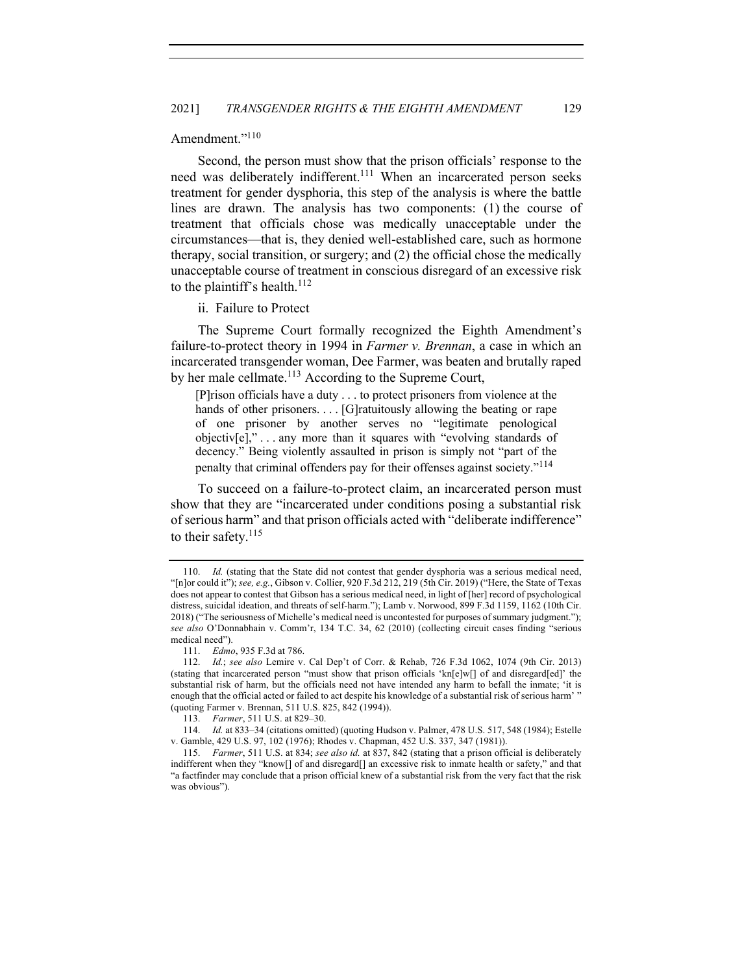# Amendment."<sup>110</sup>

Second, the person must show that the prison officials' response to the need was deliberately indifferent.<sup>111</sup> When an incarcerated person seeks treatment for gender dysphoria, this step of the analysis is where the battle lines are drawn. The analysis has two components: (1) the course of treatment that officials chose was medically unacceptable under the circumstances—that is, they denied well-established care, such as hormone therapy, social transition, or surgery; and (2) the official chose the medically unacceptable course of treatment in conscious disregard of an excessive risk to the plaintiff's health. $^{112}$ 

ii. Failure to Protect

The Supreme Court formally recognized the Eighth Amendment's failure-to-protect theory in 1994 in *Farmer v. Brennan*, a case in which an incarcerated transgender woman, Dee Farmer, was beaten and brutally raped by her male cellmate.<sup>113</sup> According to the Supreme Court,

[P]rison officials have a duty . . . to protect prisoners from violence at the hands of other prisoners.... [G]ratuitously allowing the beating or rape of one prisoner by another serves no "legitimate penological objectiv[e]," . . . any more than it squares with "evolving standards of decency." Being violently assaulted in prison is simply not "part of the penalty that criminal offenders pay for their offenses against society."<sup>114</sup>

To succeed on a failure-to-protect claim, an incarcerated person must show that they are "incarcerated under conditions posing a substantial risk of serious harm" and that prison officials acted with "deliberate indifference" to their safety. $115$ 

<sup>110.</sup> *Id.* (stating that the State did not contest that gender dysphoria was a serious medical need, "[n]or could it"); *see, e.g.*, Gibson v. Collier, 920 F.3d 212, 219 (5th Cir. 2019) ("Here, the State of Texas does not appear to contest that Gibson has a serious medical need, in light of [her] record of psychological distress, suicidal ideation, and threats of self-harm."); Lamb v. Norwood, 899 F.3d 1159, 1162 (10th Cir. 2018) ("The seriousness of Michelle's medical need is uncontested for purposes of summary judgment."); *see also* O'Donnabhain v. Comm'r, 134 T.C. 34, 62 (2010) (collecting circuit cases finding "serious medical need").

<sup>111.</sup> *Edmo*, 935 F.3d at 786.

<sup>112.</sup> *Id.*; *see also* Lemire v. Cal Dep't of Corr. & Rehab, 726 F.3d 1062, 1074 (9th Cir. 2013) (stating that incarcerated person "must show that prison officials 'kn[e]w[] of and disregard[ed]' the substantial risk of harm, but the officials need not have intended any harm to befall the inmate; 'it is enough that the official acted or failed to act despite his knowledge of a substantial risk of serious harm' " (quoting Farmer v. Brennan, 511 U.S. 825, 842 (1994)).

<sup>113.</sup> *Farmer*, 511 U.S. at 829–30.

<sup>114.</sup> *Id.* at 833–34 (citations omitted) (quoting Hudson v. Palmer, 478 U.S. 517, 548 (1984); Estelle v. Gamble, 429 U.S. 97, 102 (1976); Rhodes v. Chapman, 452 U.S. 337, 347 (1981)).

<sup>115.</sup> *Farmer*, 511 U.S. at 834; *see also id.* at 837, 842 (stating that a prison official is deliberately indifferent when they "know[] of and disregard[] an excessive risk to inmate health or safety," and that "a factfinder may conclude that a prison official knew of a substantial risk from the very fact that the risk was obvious").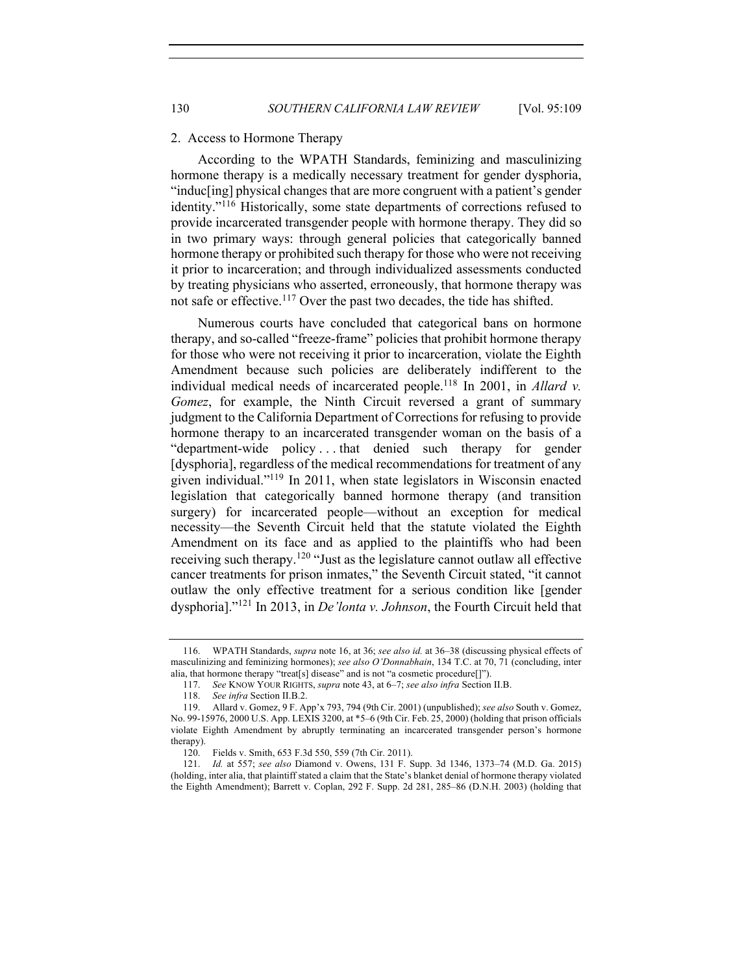#### 2. Access to Hormone Therapy

According to the WPATH Standards, feminizing and masculinizing hormone therapy is a medically necessary treatment for gender dysphoria, "induc[ing] physical changes that are more congruent with a patient's gender identity."<sup>116</sup> Historically, some state departments of corrections refused to provide incarcerated transgender people with hormone therapy. They did so in two primary ways: through general policies that categorically banned hormone therapy or prohibited such therapy for those who were not receiving it prior to incarceration; and through individualized assessments conducted by treating physicians who asserted, erroneously, that hormone therapy was not safe or effective.<sup>117</sup> Over the past two decades, the tide has shifted.

Numerous courts have concluded that categorical bans on hormone therapy, and so-called "freeze-frame" policies that prohibit hormone therapy for those who were not receiving it prior to incarceration, violate the Eighth Amendment because such policies are deliberately indifferent to the individual medical needs of incarcerated people.<sup>118</sup> In 2001, in *Allard v. Gomez*, for example, the Ninth Circuit reversed a grant of summary judgment to the California Department of Corrections for refusing to provide hormone therapy to an incarcerated transgender woman on the basis of a "department-wide policy . . . that denied such therapy for gender [dysphoria], regardless of the medical recommendations for treatment of any given individual."119 In 2011, when state legislators in Wisconsin enacted legislation that categorically banned hormone therapy (and transition surgery) for incarcerated people—without an exception for medical necessity—the Seventh Circuit held that the statute violated the Eighth Amendment on its face and as applied to the plaintiffs who had been receiving such therapy.<sup>120</sup> "Just as the legislature cannot outlaw all effective cancer treatments for prison inmates," the Seventh Circuit stated, "it cannot outlaw the only effective treatment for a serious condition like [gender dysphoria]."<sup>121</sup> In 2013, in *De'lonta v. Johnson*, the Fourth Circuit held that

<sup>116.</sup> WPATH Standards, *supra* note 16, at 36; *see also id.* at 36–38 (discussing physical effects of masculinizing and feminizing hormones); *see also O'Donnabhain*, 134 T.C. at 70, 71 (concluding, inter alia, that hormone therapy "treat[s] disease" and is not "a cosmetic procedure[]").

<sup>117.</sup> *See* KNOW YOUR RIGHTS, *supra* note 43, at 6–7; *see also infra* Section II.B.

<sup>118.</sup> *See infra* Section II.B.2.

<sup>119.</sup> Allard v. Gomez, 9 F. App'x 793, 794 (9th Cir. 2001) (unpublished); *see also* South v. Gomez, No. 99-15976, 2000 U.S. App. LEXIS 3200, at \*5–6 (9th Cir. Feb. 25, 2000) (holding that prison officials violate Eighth Amendment by abruptly terminating an incarcerated transgender person's hormone therapy).

<sup>120.</sup> Fields v. Smith, 653 F.3d 550, 559 (7th Cir. 2011).

<sup>121.</sup> *Id.* at 557; *see also* Diamond v. Owens, 131 F. Supp. 3d 1346, 1373–74 (M.D. Ga. 2015) (holding, inter alia, that plaintiff stated a claim that the State's blanket denial of hormone therapy violated the Eighth Amendment); Barrett v. Coplan, 292 F. Supp. 2d 281, 285–86 (D.N.H. 2003) (holding that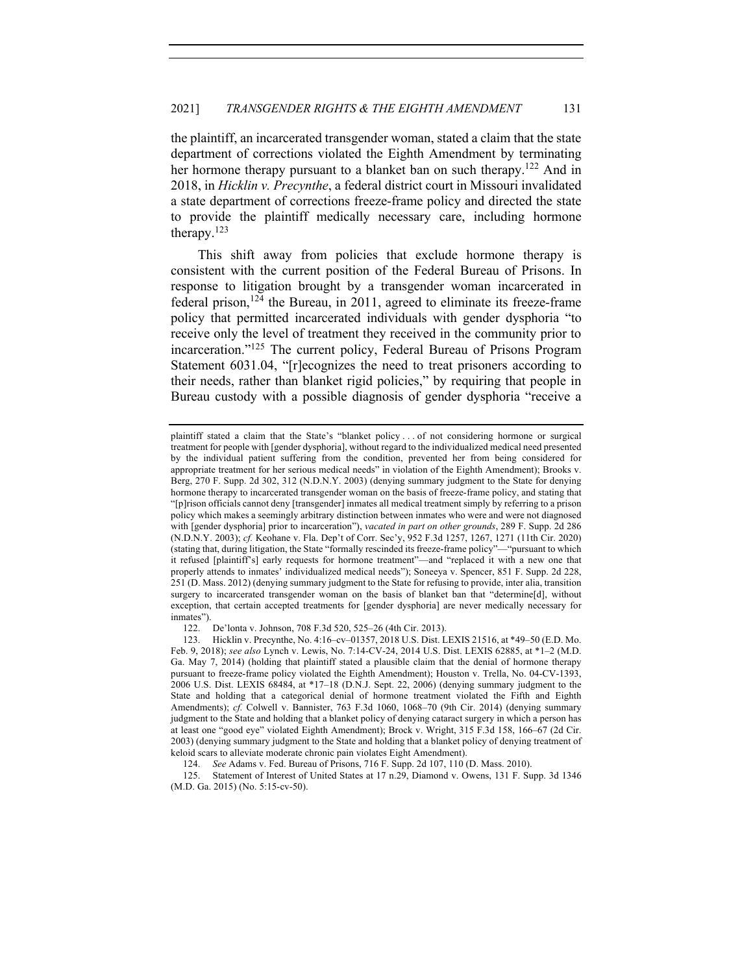the plaintiff, an incarcerated transgender woman, stated a claim that the state department of corrections violated the Eighth Amendment by terminating her hormone therapy pursuant to a blanket ban on such therapy.<sup>122</sup> And in 2018, in *Hicklin v. Precynthe*, a federal district court in Missouri invalidated a state department of corrections freeze-frame policy and directed the state to provide the plaintiff medically necessary care, including hormone therapy. $123$ 

This shift away from policies that exclude hormone therapy is consistent with the current position of the Federal Bureau of Prisons. In response to litigation brought by a transgender woman incarcerated in federal prison,  $124$  the Bureau, in 2011, agreed to eliminate its freeze-frame policy that permitted incarcerated individuals with gender dysphoria "to receive only the level of treatment they received in the community prior to incarceration."<sup>125</sup> The current policy, Federal Bureau of Prisons Program Statement 6031.04, "[r]ecognizes the need to treat prisoners according to their needs, rather than blanket rigid policies," by requiring that people in Bureau custody with a possible diagnosis of gender dysphoria "receive a

plaintiff stated a claim that the State's "blanket policy . . . of not considering hormone or surgical treatment for people with [gender dysphoria], without regard to the individualized medical need presented by the individual patient suffering from the condition, prevented her from being considered for appropriate treatment for her serious medical needs" in violation of the Eighth Amendment); Brooks v. Berg, 270 F. Supp. 2d 302, 312 (N.D.N.Y. 2003) (denying summary judgment to the State for denying hormone therapy to incarcerated transgender woman on the basis of freeze-frame policy, and stating that "[p]rison officials cannot deny [transgender] inmates all medical treatment simply by referring to a prison policy which makes a seemingly arbitrary distinction between inmates who were and were not diagnosed with [gender dysphoria] prior to incarceration"), *vacated in part on other grounds*, 289 F. Supp. 2d 286 (N.D.N.Y. 2003); *cf.* Keohane v. Fla. Dep't of Corr. Sec'y, 952 F.3d 1257, 1267, 1271 (11th Cir. 2020) (stating that, during litigation, the State "formally rescinded its freeze-frame policy"—"pursuant to which it refused [plaintiff's] early requests for hormone treatment"—and "replaced it with a new one that properly attends to inmates' individualized medical needs"); Soneeya v. Spencer, 851 F. Supp. 2d 228, 251 (D. Mass. 2012) (denying summary judgment to the State for refusing to provide, inter alia, transition surgery to incarcerated transgender woman on the basis of blanket ban that "determine[d], without exception, that certain accepted treatments for [gender dysphoria] are never medically necessary for  $\frac{122}{122}$ .

<sup>122.</sup> De'lonta v. Johnson, 708 F.3d 520, 525–26 (4th Cir. 2013).

<sup>123.</sup> Hicklin v. Precynthe, No. 4:16–cv–01357, 2018 U.S. Dist. LEXIS 21516, at \*49–50 (E.D. Mo. Feb. 9, 2018); *see also* Lynch v. Lewis, No. 7:14-CV-24, 2014 U.S. Dist. LEXIS 62885, at \*1–2 (M.D. Ga. May 7, 2014) (holding that plaintiff stated a plausible claim that the denial of hormone therapy pursuant to freeze-frame policy violated the Eighth Amendment); Houston v. Trella, No. 04-CV-1393, 2006 U.S. Dist. LEXIS 68484, at \*17–18 (D.N.J. Sept. 22, 2006) (denying summary judgment to the State and holding that a categorical denial of hormone treatment violated the Fifth and Eighth Amendments); *cf.* Colwell v. Bannister, 763 F.3d 1060, 1068-70 (9th Cir. 2014) (denying summary judgment to the State and holding that a blanket policy of denying cataract surgery in which a person has at least one "good eye" violated Eighth Amendment); Brock v. Wright, 315 F.3d 158, 166–67 (2d Cir. 2003) (denying summary judgment to the State and holding that a blanket policy of denying treatment of keloid scars to alleviate moderate chronic pain violates Eight Amendment).

<sup>124.</sup> *See* Adams v. Fed. Bureau of Prisons, 716 F. Supp. 2d 107, 110 (D. Mass. 2010).

<sup>125.</sup> Statement of Interest of United States at 17 n.29, Diamond v. Owens, 131 F. Supp. 3d 1346 (M.D. Ga. 2015) (No. 5:15-cv-50).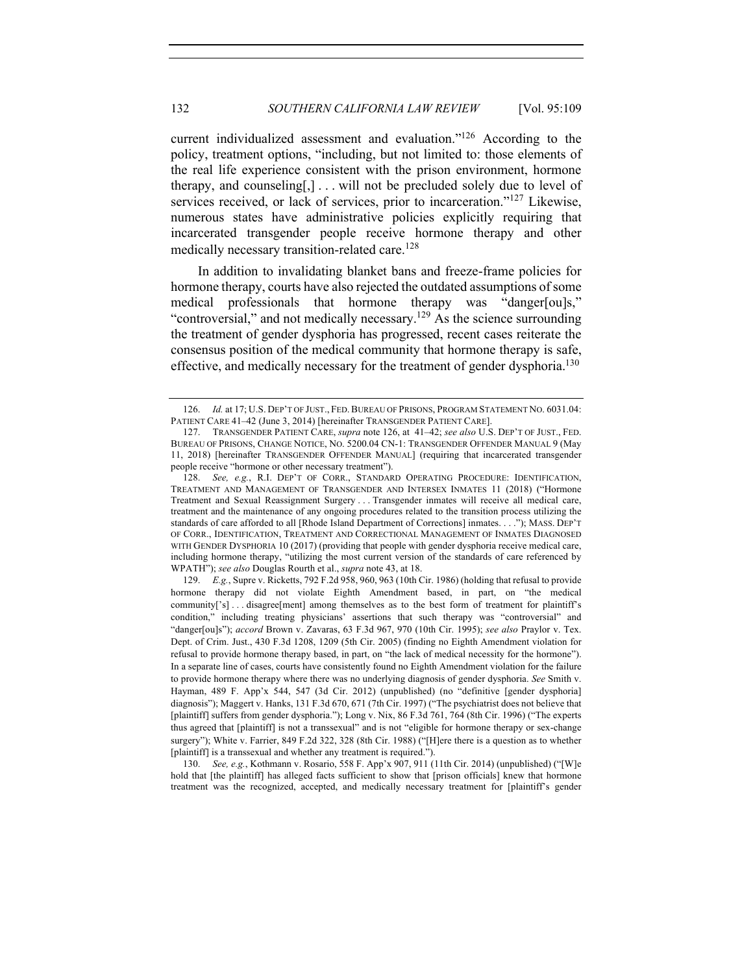current individualized assessment and evaluation."126 According to the policy, treatment options, "including, but not limited to: those elements of the real life experience consistent with the prison environment, hormone therapy, and counseling[,] . . . will not be precluded solely due to level of services received, or lack of services, prior to incarceration."<sup>127</sup> Likewise, numerous states have administrative policies explicitly requiring that incarcerated transgender people receive hormone therapy and other medically necessary transition-related care.<sup>128</sup>

In addition to invalidating blanket bans and freeze-frame policies for hormone therapy, courts have also rejected the outdated assumptions of some medical professionals that hormone therapy was "danger[ou]s," "controversial," and not medically necessary.<sup>129</sup> As the science surrounding the treatment of gender dysphoria has progressed, recent cases reiterate the consensus position of the medical community that hormone therapy is safe, effective, and medically necessary for the treatment of gender dysphoria.<sup>130</sup>

130. *See, e.g.*, Kothmann v. Rosario, 558 F. App'x 907, 911 (11th Cir. 2014) (unpublished) ("[W]e hold that [the plaintiff] has alleged facts sufficient to show that [prison officials] knew that hormone treatment was the recognized, accepted, and medically necessary treatment for [plaintiff's gender

<sup>126.</sup> *Id.* at 17; U.S. DEP'T OF JUST., FED. BUREAU OF PRISONS, PROGRAM STATEMENT NO. 6031.04: PATIENT CARE 41–42 (June 3, 2014) [hereinafter TRANSGENDER PATIENT CARE].

<sup>127.</sup> TRANSGENDER PATIENT CARE, *supra* note 126, at 41–42; *see also* U.S. DEP'T OF JUST., FED. BUREAU OF PRISONS, CHANGE NOTICE, NO. 5200.04 CN-1: TRANSGENDER OFFENDER MANUAL 9 (May 11, 2018) [hereinafter TRANSGENDER OFFENDER MANUAL] (requiring that incarcerated transgender people receive "hormone or other necessary treatment").

<sup>128.</sup> *See, e.g.*, R.I. DEP'T OF CORR., STANDARD OPERATING PROCEDURE: IDENTIFICATION, TREATMENT AND MANAGEMENT OF TRANSGENDER AND INTERSEX INMATES 11 (2018) ("Hormone Treatment and Sexual Reassignment Surgery . . . Transgender inmates will receive all medical care, treatment and the maintenance of any ongoing procedures related to the transition process utilizing the standards of care afforded to all [Rhode Island Department of Corrections] inmates. . . ."); MASS. DEP'T OF CORR., IDENTIFICATION, TREATMENT AND CORRECTIONAL MANAGEMENT OF INMATES DIAGNOSED WITH GENDER DYSPHORIA 10 (2017) (providing that people with gender dysphoria receive medical care, including hormone therapy, "utilizing the most current version of the standards of care referenced by WPATH"); *see also* Douglas Rourth et al., *supra* note 43, at 18.

<sup>129.</sup> *E.g.*, Supre v. Ricketts, 792 F.2d 958, 960, 963 (10th Cir. 1986) (holding that refusal to provide hormone therapy did not violate Eighth Amendment based, in part, on "the medical community['s]... disagree[ment] among themselves as to the best form of treatment for plaintiff's condition," including treating physicians' assertions that such therapy was "controversial" and "danger[ou]s"); *accord* Brown v. Zavaras, 63 F.3d 967, 970 (10th Cir. 1995); *see also* Praylor v. Tex. Dept. of Crim. Just., 430 F.3d 1208, 1209 (5th Cir. 2005) (finding no Eighth Amendment violation for refusal to provide hormone therapy based, in part, on "the lack of medical necessity for the hormone"). In a separate line of cases, courts have consistently found no Eighth Amendment violation for the failure to provide hormone therapy where there was no underlying diagnosis of gender dysphoria. *See* Smith v. Hayman, 489 F. App'x 544, 547 (3d Cir. 2012) (unpublished) (no "definitive [gender dysphoria] diagnosis"); Maggert v. Hanks, 131 F.3d 670, 671 (7th Cir. 1997) ("The psychiatrist does not believe that [plaintiff] suffers from gender dysphoria."); Long v. Nix, 86 F.3d 761, 764 (8th Cir. 1996) ("The experts thus agreed that [plaintiff] is not a transsexual" and is not "eligible for hormone therapy or sex-change surgery"); White v. Farrier, 849 F.2d 322, 328 (8th Cir. 1988) ("[H]ere there is a question as to whether [plaintiff] is a transsexual and whether any treatment is required.").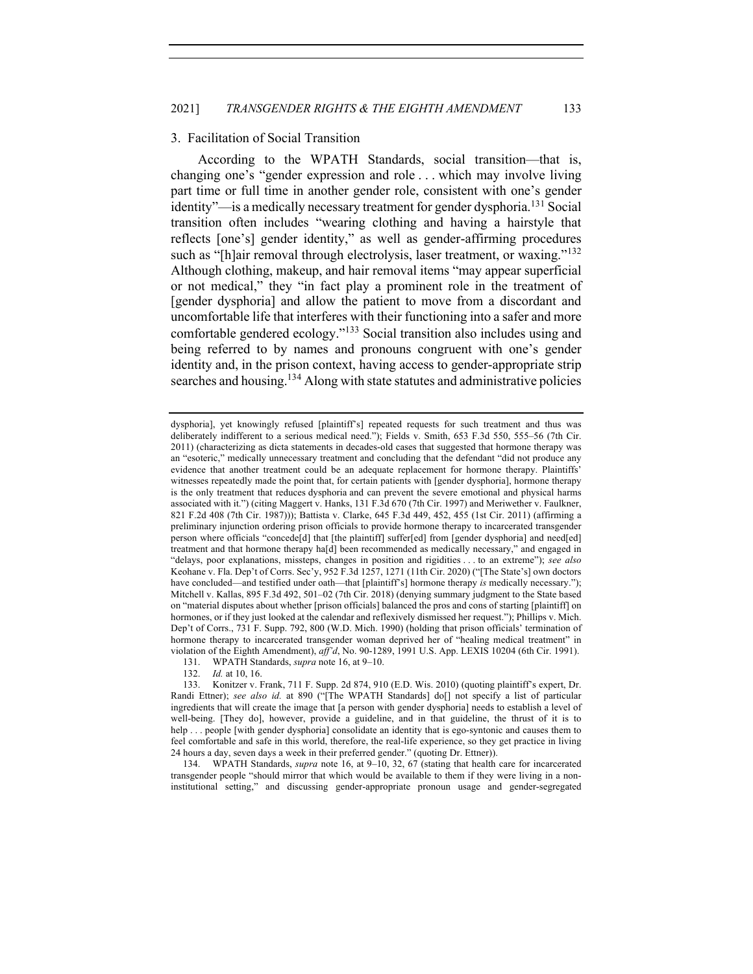# 3. Facilitation of Social Transition

According to the WPATH Standards, social transition—that is, changing one's "gender expression and role . . . which may involve living part time or full time in another gender role, consistent with one's gender identity"—is a medically necessary treatment for gender dysphoria.<sup>131</sup> Social transition often includes "wearing clothing and having a hairstyle that reflects [one's] gender identity," as well as gender-affirming procedures such as "[h]air removal through electrolysis, laser treatment, or waxing."<sup>132</sup> Although clothing, makeup, and hair removal items "may appear superficial or not medical," they "in fact play a prominent role in the treatment of [gender dysphoria] and allow the patient to move from a discordant and uncomfortable life that interferes with their functioning into a safer and more comfortable gendered ecology."<sup>133</sup> Social transition also includes using and being referred to by names and pronouns congruent with one's gender identity and, in the prison context, having access to gender-appropriate strip searches and housing.<sup>134</sup> Along with state statutes and administrative policies

131. WPATH Standards, *supra* note 16, at 9–10.

132. *Id.* at 10, 16.

134. WPATH Standards, *supra* note 16, at 9–10, 32, 67 (stating that health care for incarcerated transgender people "should mirror that which would be available to them if they were living in a noninstitutional setting," and discussing gender-appropriate pronoun usage and gender-segregated

dysphoria], yet knowingly refused [plaintiff's] repeated requests for such treatment and thus was deliberately indifferent to a serious medical need."); Fields v. Smith, 653 F.3d 550, 555–56 (7th Cir. 2011) (characterizing as dicta statements in decades-old cases that suggested that hormone therapy was an "esoteric," medically unnecessary treatment and concluding that the defendant "did not produce any evidence that another treatment could be an adequate replacement for hormone therapy. Plaintiffs' witnesses repeatedly made the point that, for certain patients with [gender dysphoria], hormone therapy is the only treatment that reduces dysphoria and can prevent the severe emotional and physical harms associated with it.") (citing Maggert v. Hanks, 131 F.3d 670 (7th Cir. 1997) and Meriwether v. Faulkner, 821 F.2d 408 (7th Cir. 1987))); Battista v. Clarke, 645 F.3d 449, 452, 455 (1st Cir. 2011) (affirming a preliminary injunction ordering prison officials to provide hormone therapy to incarcerated transgender person where officials "concede[d] that [the plaintiff] suffer[ed] from [gender dysphoria] and need[ed] treatment and that hormone therapy ha[d] been recommended as medically necessary," and engaged in "delays, poor explanations, missteps, changes in position and rigidities . . . to an extreme"); *see also* Keohane v. Fla. Dep't of Corrs. Sec'y, 952 F.3d 1257, 1271 (11th Cir. 2020) ("[The State's] own doctors have concluded—and testified under oath—that [plaintiff's] hormone therapy *is* medically necessary."); Mitchell v. Kallas, 895 F.3d 492, 501–02 (7th Cir. 2018) (denying summary judgment to the State based on "material disputes about whether [prison officials] balanced the pros and cons of starting [plaintiff] on hormones, or if they just looked at the calendar and reflexively dismissed her request."); Phillips v. Mich. Dep't of Corrs., 731 F. Supp. 792, 800 (W.D. Mich. 1990) (holding that prison officials' termination of hormone therapy to incarcerated transgender woman deprived her of "healing medical treatment" in violation of the Eighth Amendment), *aff'd*, No. 90-1289, 1991 U.S. App. LEXIS 10204 (6th Cir. 1991).

<sup>133.</sup> Konitzer v. Frank, 711 F. Supp. 2d 874, 910 (E.D. Wis. 2010) (quoting plaintiff's expert, Dr. Randi Ettner); see also id. at 890 ("[The WPATH Standards] do[] not specify a list of particular ingredients that will create the image that [a person with gender dysphoria] needs to establish a level of well-being. [They do], however, provide a guideline, and in that guideline, the thrust of it is to help . . . people [with gender dysphoria] consolidate an identity that is ego-syntonic and causes them to feel comfortable and safe in this world, therefore, the real-life experience, so they get practice in living 24 hours a day, seven days a week in their preferred gender." (quoting Dr. Ettner)).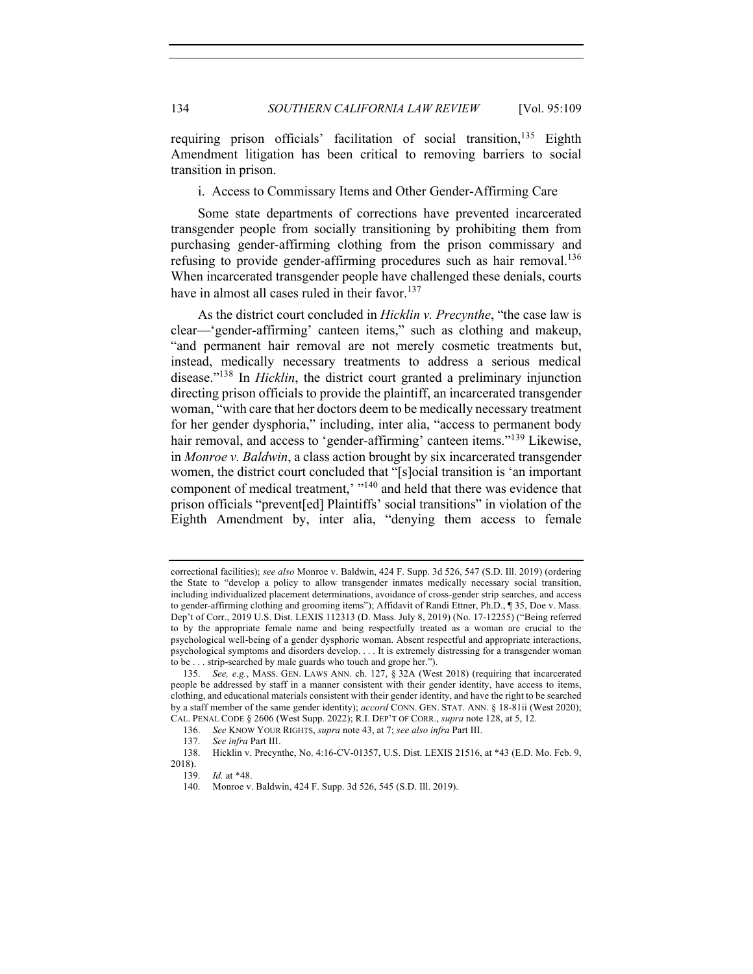requiring prison officials' facilitation of social transition, <sup>135</sup> Eighth Amendment litigation has been critical to removing barriers to social transition in prison.

i. Access to Commissary Items and Other Gender-Affirming Care

Some state departments of corrections have prevented incarcerated transgender people from socially transitioning by prohibiting them from purchasing gender-affirming clothing from the prison commissary and refusing to provide gender-affirming procedures such as hair removal.<sup>136</sup> When incarcerated transgender people have challenged these denials, courts have in almost all cases ruled in their favor.<sup>137</sup>

As the district court concluded in *Hicklin v. Precynthe*, "the case law is clear—'gender-affirming' canteen items," such as clothing and makeup, "and permanent hair removal are not merely cosmetic treatments but, instead, medically necessary treatments to address a serious medical disease."138 In *Hicklin*, the district court granted a preliminary injunction directing prison officials to provide the plaintiff, an incarcerated transgender woman, "with care that her doctors deem to be medically necessary treatment for her gender dysphoria," including, inter alia, "access to permanent body hair removal, and access to 'gender-affirming' canteen items."<sup>139</sup> Likewise, in *Monroe v. Baldwin*, a class action brought by six incarcerated transgender women, the district court concluded that "[s]ocial transition is 'an important component of medical treatment,'  $\frac{140}{140}$  and held that there was evidence that prison officials "prevent[ed] Plaintiffs' social transitions" in violation of the Eighth Amendment by, inter alia, "denying them access to female

correctional facilities); *see also* Monroe v. Baldwin, 424 F. Supp. 3d 526, 547 (S.D. Ill. 2019) (ordering the State to "develop a policy to allow transgender inmates medically necessary social transition, including individualized placement determinations, avoidance of cross-gender strip searches, and access to gender-affirming clothing and grooming items"); Affidavit of Randi Ettner, Ph.D., ¶ 35, Doe v. Mass. Dep't of Corr., 2019 U.S. Dist. LEXIS 112313 (D. Mass. July 8, 2019) (No. 17-12255) ("Being referred to by the appropriate female name and being respectfully treated as a woman are crucial to the psychological well-being of a gender dysphoric woman. Absent respectful and appropriate interactions, psychological symptoms and disorders develop. . . . It is extremely distressing for a transgender woman to be . . . strip-searched by male guards who touch and grope her.").

<sup>135.</sup> *See, e.g.*, MASS. GEN. LAWS ANN. ch. 127, § 32A (West 2018) (requiring that incarcerated people be addressed by staff in a manner consistent with their gender identity, have access to items, clothing, and educational materials consistent with their gender identity, and have the right to be searched by a staff member of the same gender identity); *accord* CONN. GEN. STAT. ANN. § 18-81ii (West 2020); CAL. PENAL CODE § 2606 (West Supp. 2022); R.I. DEP'T OF CORR., *supra* note 128, at 5, 12.

<sup>136.</sup> *See* KNOW YOUR RIGHTS, *supra* note 43, at 7; *see also infra* Part III.

<sup>137.</sup> *See infra* Part III.

<sup>138.</sup> Hicklin v. Precynthe, No. 4:16-CV-01357, U.S. Dist. LEXIS 21516, at \*43 (E.D. Mo. Feb. 9, 2018).

<sup>139.</sup> *Id.* at \*48.

<sup>140.</sup> Monroe v. Baldwin, 424 F. Supp. 3d 526, 545 (S.D. Ill. 2019).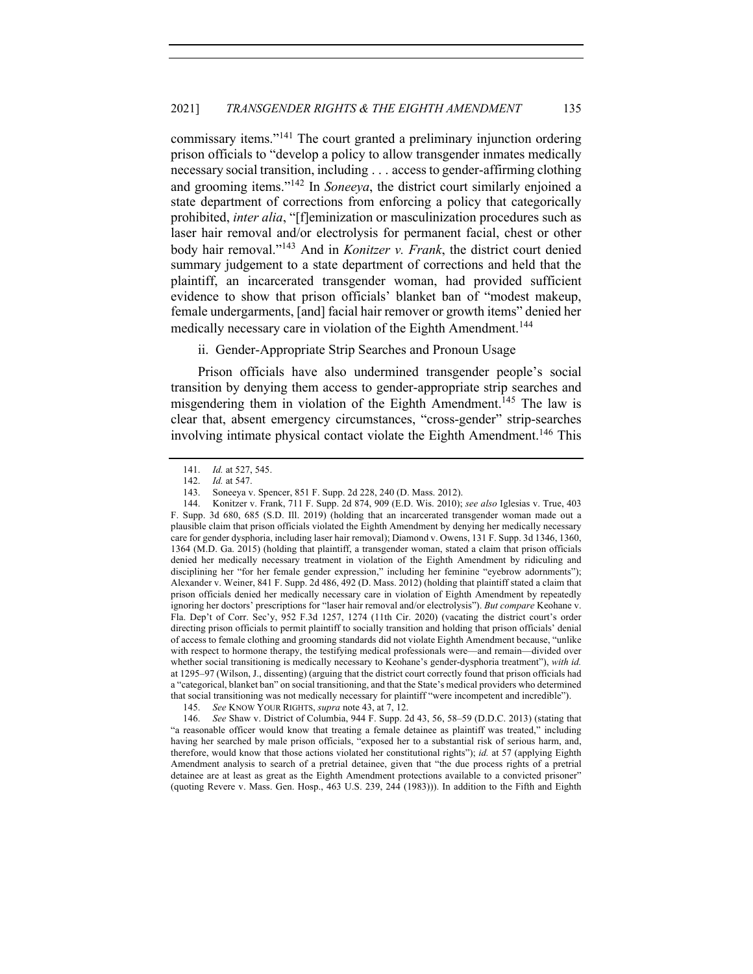commissary items."<sup>141</sup> The court granted a preliminary injunction ordering prison officials to "develop a policy to allow transgender inmates medically necessary social transition, including . . . access to gender-affirming clothing and grooming items."142 In *Soneeya*, the district court similarly enjoined a state department of corrections from enforcing a policy that categorically prohibited, *inter alia*, "[f]eminization or masculinization procedures such as laser hair removal and/or electrolysis for permanent facial, chest or other body hair removal."143 And in *Konitzer v. Frank*, the district court denied summary judgement to a state department of corrections and held that the plaintiff, an incarcerated transgender woman, had provided sufficient evidence to show that prison officials' blanket ban of "modest makeup, female undergarments, [and] facial hair remover or growth items" denied her medically necessary care in violation of the Eighth Amendment.<sup>144</sup>

ii. Gender-Appropriate Strip Searches and Pronoun Usage

Prison officials have also undermined transgender people's social transition by denying them access to gender-appropriate strip searches and misgendering them in violation of the Eighth Amendment.<sup>145</sup> The law is clear that, absent emergency circumstances, "cross-gender" strip-searches involving intimate physical contact violate the Eighth Amendment.<sup>146</sup> This

146. *See* Shaw v. District of Columbia, 944 F. Supp. 2d 43, 56, 58–59 (D.D.C. 2013) (stating that "a reasonable officer would know that treating a female detainee as plaintiff was treated," including having her searched by male prison officials, "exposed her to a substantial risk of serious harm, and, therefore, would know that those actions violated her constitutional rights"); *id.* at 57 (applying Eighth Amendment analysis to search of a pretrial detainee, given that "the due process rights of a pretrial detainee are at least as great as the Eighth Amendment protections available to a convicted prisoner" (quoting Revere v. Mass. Gen. Hosp., 463 U.S. 239, 244 (1983))). In addition to the Fifth and Eighth

<sup>141.</sup> *Id.* at 527, 545.<br>142. *Id.* at 547.

*Id.* at 547.

<sup>143.</sup> Soneeya v. Spencer, 851 F. Supp. 2d 228, 240 (D. Mass. 2012).

<sup>144.</sup> Konitzer v. Frank, 711 F. Supp. 2d 874, 909 (E.D. Wis. 2010); *see also* Iglesias v. True, 403 F. Supp. 3d 680, 685 (S.D. Ill. 2019) (holding that an incarcerated transgender woman made out a plausible claim that prison officials violated the Eighth Amendment by denying her medically necessary care for gender dysphoria, including laser hair removal); Diamond v. Owens, 131 F. Supp. 3d 1346, 1360, 1364 (M.D. Ga. 2015) (holding that plaintiff, a transgender woman, stated a claim that prison officials denied her medically necessary treatment in violation of the Eighth Amendment by ridiculing and disciplining her "for her female gender expression," including her feminine "eyebrow adornments"); Alexander v. Weiner, 841 F. Supp. 2d 486, 492 (D. Mass. 2012) (holding that plaintiff stated a claim that prison officials denied her medically necessary care in violation of Eighth Amendment by repeatedly ignoring her doctors' prescriptions for "laser hair removal and/or electrolysis"). *But compare* Keohane v. Fla. Dep't of Corr. Sec'y, 952 F.3d 1257, 1274 (11th Cir. 2020) (vacating the district court's order directing prison officials to permit plaintiff to socially transition and holding that prison officials' denial of access to female clothing and grooming standards did not violate Eighth Amendment because, "unlike with respect to hormone therapy, the testifying medical professionals were—and remain—divided over whether social transitioning is medically necessary to Keohane's gender-dysphoria treatment"), *with id.* at 1295–97 (Wilson, J., dissenting) (arguing that the district court correctly found that prison officials had a "categorical, blanket ban" on social transitioning, and that the State's medical providers who determined that social transitioning was not medically necessary for plaintiff "were incompetent and incredible").

<sup>145.</sup> *See* KNOW YOUR RIGHTS, *supra* note 43, at 7, 12.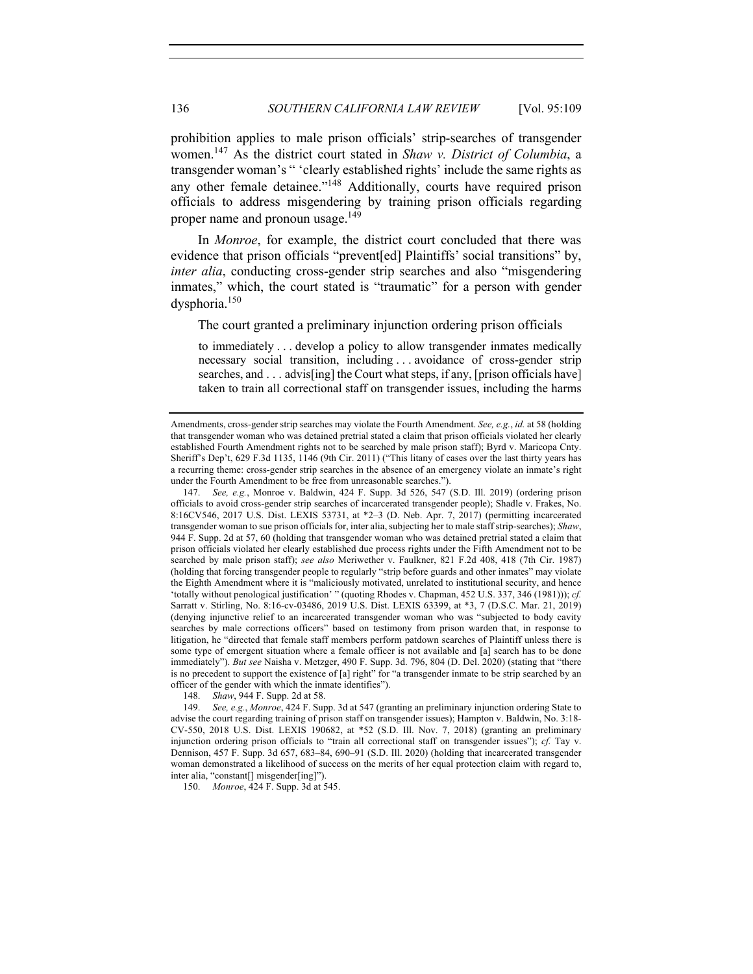prohibition applies to male prison officials' strip-searches of transgender women.147 As the district court stated in *Shaw v. District of Columbia*, a transgender woman's " 'clearly established rights' include the same rights as any other female detainee."<sup>148</sup> Additionally, courts have required prison officials to address misgendering by training prison officials regarding proper name and pronoun usage.<sup>149</sup>

In *Monroe*, for example, the district court concluded that there was evidence that prison officials "prevent[ed] Plaintiffs' social transitions" by, *inter alia*, conducting cross-gender strip searches and also "misgendering" inmates," which, the court stated is "traumatic" for a person with gender dysphoria.150

The court granted a preliminary injunction ordering prison officials

to immediately . . . develop a policy to allow transgender inmates medically necessary social transition, including . . . avoidance of cross-gender strip searches, and . . . advis[ing] the Court what steps, if any, [prison officials have] taken to train all correctional staff on transgender issues, including the harms

148. *Shaw*, 944 F. Supp. 2d at 58.

149. *See, e.g.*, *Monroe*, 424 F. Supp. 3d at 547 (granting an preliminary injunction ordering State to advise the court regarding training of prison staff on transgender issues); Hampton v. Baldwin, No. 3:18- CV-550, 2018 U.S. Dist. LEXIS 190682, at \*52 (S.D. Ill. Nov. 7, 2018) (granting an preliminary injunction ordering prison officials to "train all correctional staff on transgender issues"); *cf.* Tay v. Dennison, 457 F. Supp. 3d 657, 683–84, 690–91 (S.D. Ill. 2020) (holding that incarcerated transgender woman demonstrated a likelihood of success on the merits of her equal protection claim with regard to, inter alia, "constant[] misgender[ing]").

150. *Monroe*, 424 F. Supp. 3d at 545.

Amendments, cross-gender strip searches may violate the Fourth Amendment. *See, e.g.*, *id.* at 58 (holding that transgender woman who was detained pretrial stated a claim that prison officials violated her clearly established Fourth Amendment rights not to be searched by male prison staff); Byrd v. Maricopa Cnty. Sheriff's Dep't, 629 F.3d 1135, 1146 (9th Cir. 2011) ("This litany of cases over the last thirty years has a recurring theme: cross-gender strip searches in the absence of an emergency violate an inmate's right under the Fourth Amendment to be free from unreasonable searches.").

<sup>147.</sup> *See, e.g.*, Monroe v. Baldwin, 424 F. Supp. 3d 526, 547 (S.D. Ill. 2019) (ordering prison officials to avoid cross-gender strip searches of incarcerated transgender people); Shadle v. Frakes, No. 8:16CV546, 2017 U.S. Dist. LEXIS 53731, at \*2–3 (D. Neb. Apr. 7, 2017) (permitting incarcerated transgender woman to sue prison officials for, inter alia, subjecting her to male staff strip-searches); *Shaw*, 944 F. Supp. 2d at 57, 60 (holding that transgender woman who was detained pretrial stated a claim that prison officials violated her clearly established due process rights under the Fifth Amendment not to be searched by male prison staff); *see also* Meriwether v. Faulkner, 821 F.2d 408, 418 (7th Cir. 1987) (holding that forcing transgender people to regularly "strip before guards and other inmates" may violate the Eighth Amendment where it is "maliciously motivated, unrelated to institutional security, and hence 'totally without penological justification' " (quoting Rhodes v. Chapman, 452 U.S. 337, 346 (1981))); *cf.* Sarratt v. Stirling, No. 8:16-cv-03486, 2019 U.S. Dist. LEXIS 63399, at \*3, 7 (D.S.C. Mar. 21, 2019) (denying injunctive relief to an incarcerated transgender woman who was "subjected to body cavity searches by male corrections officers" based on testimony from prison warden that, in response to litigation, he "directed that female staff members perform patdown searches of Plaintiff unless there is some type of emergent situation where a female officer is not available and [a] search has to be done immediately"). *But see* Naisha v. Metzger, 490 F. Supp. 3d. 796, 804 (D. Del. 2020) (stating that "there is no precedent to support the existence of [a] right" for "a transgender inmate to be strip searched by an officer of the gender with which the inmate identifies").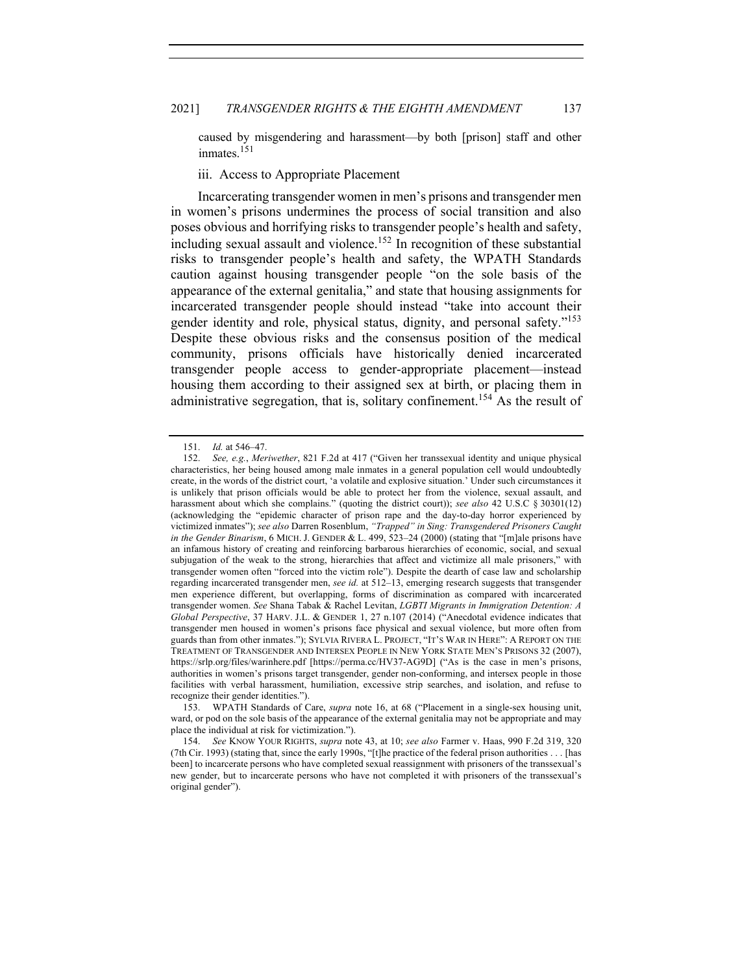caused by misgendering and harassment—by both [prison] staff and other inmates.<sup>151</sup>

iii. Access to Appropriate Placement

Incarcerating transgender women in men's prisons and transgender men in women's prisons undermines the process of social transition and also poses obvious and horrifying risks to transgender people's health and safety, including sexual assault and violence.<sup>152</sup> In recognition of these substantial risks to transgender people's health and safety, the WPATH Standards caution against housing transgender people "on the sole basis of the appearance of the external genitalia," and state that housing assignments for incarcerated transgender people should instead "take into account their gender identity and role, physical status, dignity, and personal safety."153 Despite these obvious risks and the consensus position of the medical community, prisons officials have historically denied incarcerated transgender people access to gender-appropriate placement—instead housing them according to their assigned sex at birth, or placing them in administrative segregation, that is, solitary confinement.<sup>154</sup> As the result of

<sup>151.</sup> *Id.* at 546–47.<br>152. *See e.g. Mer* 

<sup>152.</sup> *See, e.g.*, *Meriwether*, 821 F.2d at 417 ("Given her transsexual identity and unique physical characteristics, her being housed among male inmates in a general population cell would undoubtedly create, in the words of the district court, 'a volatile and explosive situation.' Under such circumstances it is unlikely that prison officials would be able to protect her from the violence, sexual assault, and harassment about which she complains." (quoting the district court)); *see also* 42 U.S.C § 30301(12) (acknowledging the "epidemic character of prison rape and the day-to-day horror experienced by victimized inmates"); *see also* Darren Rosenblum, *"Trapped" in Sing: Transgendered Prisoners Caught in the Gender Binarism*, 6 MICH. J. GENDER & L. 499, 523–24 (2000) (stating that "[m]ale prisons have an infamous history of creating and reinforcing barbarous hierarchies of economic, social, and sexual subjugation of the weak to the strong, hierarchies that affect and victimize all male prisoners," with transgender women often "forced into the victim role"). Despite the dearth of case law and scholarship regarding incarcerated transgender men, *see id.* at 512–13, emerging research suggests that transgender men experience different, but overlapping, forms of discrimination as compared with incarcerated transgender women. *See* Shana Tabak & Rachel Levitan, *LGBTI Migrants in Immigration Detention: A Global Perspective*, 37 HARV. J.L. & GENDER 1, 27 n.107 (2014) ("Anecdotal evidence indicates that transgender men housed in women's prisons face physical and sexual violence, but more often from guards than from other inmates."); SYLVIA RIVERA L. PROJECT, "IT'S WAR IN HERE": A REPORT ON THE TREATMENT OF TRANSGENDER AND INTERSEX PEOPLE IN NEW YORK STATE MEN'S PRISONS 32 (2007), https://srlp.org/files/warinhere.pdf [https://perma.cc/HV37-AG9D] ("As is the case in men's prisons, authorities in women's prisons target transgender, gender non-conforming, and intersex people in those facilities with verbal harassment, humiliation, excessive strip searches, and isolation, and refuse to recognize their gender identities.").

<sup>153.</sup> WPATH Standards of Care, *supra* note 16, at 68 ("Placement in a single-sex housing unit, ward, or pod on the sole basis of the appearance of the external genitalia may not be appropriate and may place the individual at risk for victimization.").

<sup>154.</sup> *See* KNOW YOUR RIGHTS, *supra* note 43, at 10; *see also* Farmer v. Haas, 990 F.2d 319, 320 (7th Cir. 1993) (stating that, since the early 1990s, "[t]he practice of the federal prison authorities . . . [has been] to incarcerate persons who have completed sexual reassignment with prisoners of the transsexual's new gender, but to incarcerate persons who have not completed it with prisoners of the transsexual's original gender").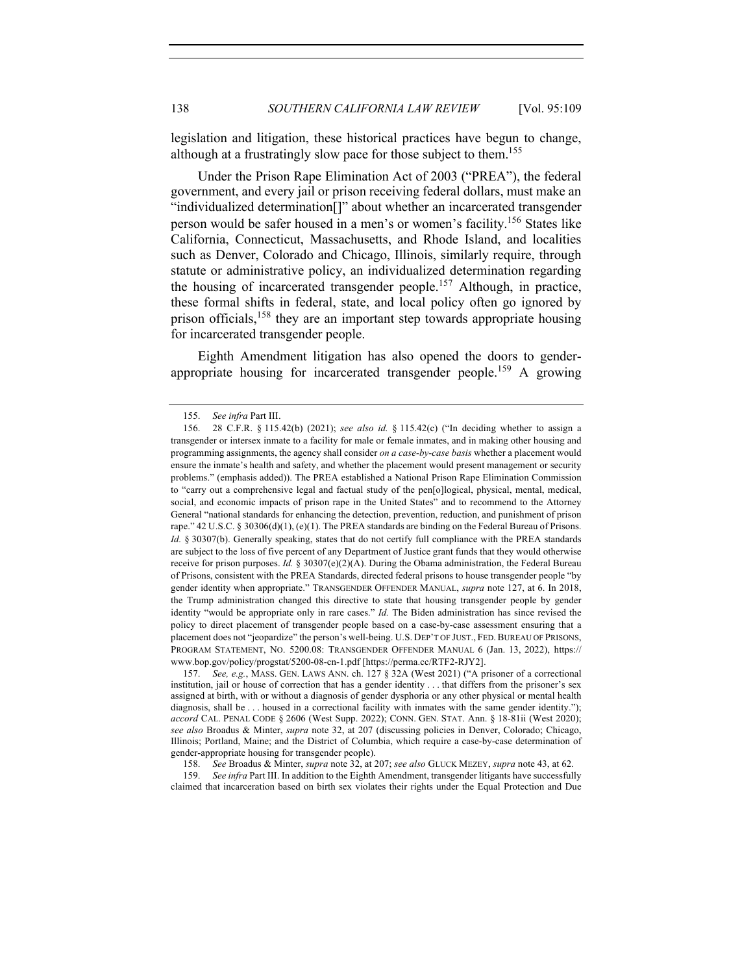legislation and litigation, these historical practices have begun to change, although at a frustratingly slow pace for those subject to them.<sup>155</sup>

Under the Prison Rape Elimination Act of 2003 ("PREA"), the federal government, and every jail or prison receiving federal dollars, must make an "individualized determination[]" about whether an incarcerated transgender person would be safer housed in a men's or women's facility.156 States like California, Connecticut, Massachusetts, and Rhode Island, and localities such as Denver, Colorado and Chicago, Illinois, similarly require, through statute or administrative policy, an individualized determination regarding the housing of incarcerated transgender people.<sup>157</sup> Although, in practice, these formal shifts in federal, state, and local policy often go ignored by prison officials,<sup>158</sup> they are an important step towards appropriate housing for incarcerated transgender people.

Eighth Amendment litigation has also opened the doors to genderappropriate housing for incarcerated transgender people.<sup>159</sup> A growing

157. *See, e.g.*, MASS. GEN. LAWS ANN. ch. 127 § 32A (West 2021) ("A prisoner of a correctional institution, jail or house of correction that has a gender identity . . . that differs from the prisoner's sex assigned at birth, with or without a diagnosis of gender dysphoria or any other physical or mental health diagnosis, shall be . . . housed in a correctional facility with inmates with the same gender identity."); *accord* CAL. PENAL CODE § 2606 (West Supp. 2022); CONN. GEN. STAT. Ann. § 18-81ii (West 2020); *see also* Broadus & Minter, *supra* note 32, at 207 (discussing policies in Denver, Colorado; Chicago, Illinois; Portland, Maine; and the District of Columbia, which require a case-by-case determination of gender-appropriate housing for transgender people).

158. *See* Broadus & Minter, *supra* note 32, at 207; *see also* GLUCK MEZEY, *supra* note 43, at 62.

159. *See infra* Part III. In addition to the Eighth Amendment, transgender litigants have successfully claimed that incarceration based on birth sex violates their rights under the Equal Protection and Due

<sup>155.</sup> *See infra* Part III.

<sup>156.</sup> 28 C.F.R. § 115.42(b) (2021); *see also id.* § 115.42(c) ("In deciding whether to assign a transgender or intersex inmate to a facility for male or female inmates, and in making other housing and programming assignments, the agency shall consider *on a case-by-case basis* whether a placement would ensure the inmate's health and safety, and whether the placement would present management or security problems." (emphasis added)). The PREA established a National Prison Rape Elimination Commission to "carry out a comprehensive legal and factual study of the pen[o]logical, physical, mental, medical, social, and economic impacts of prison rape in the United States" and to recommend to the Attorney General "national standards for enhancing the detection, prevention, reduction, and punishment of prison rape." 42 U.S.C. § 30306(d)(1), (e)(1). The PREA standards are binding on the Federal Bureau of Prisons. *Id.* § 30307(b). Generally speaking, states that do not certify full compliance with the PREA standards are subject to the loss of five percent of any Department of Justice grant funds that they would otherwise receive for prison purposes. *Id.* § 30307(e)(2)(A). During the Obama administration, the Federal Bureau of Prisons, consistent with the PREA Standards, directed federal prisons to house transgender people "by gender identity when appropriate." TRANSGENDER OFFENDER MANUAL, *supra* note 127, at 6. In 2018, the Trump administration changed this directive to state that housing transgender people by gender identity "would be appropriate only in rare cases." *Id.* The Biden administration has since revised the policy to direct placement of transgender people based on a case-by-case assessment ensuring that a placement does not "jeopardize" the person's well-being. U.S. DEP'T OF JUST., FED.BUREAU OF PRISONS, PROGRAM STATEMENT, NO. 5200.08: TRANSGENDER OFFENDER MANUAL 6 (Jan. 13, 2022), https:// www.bop.gov/policy/progstat/5200-08-cn-1.pdf [https://perma.cc/RTF2-RJY2].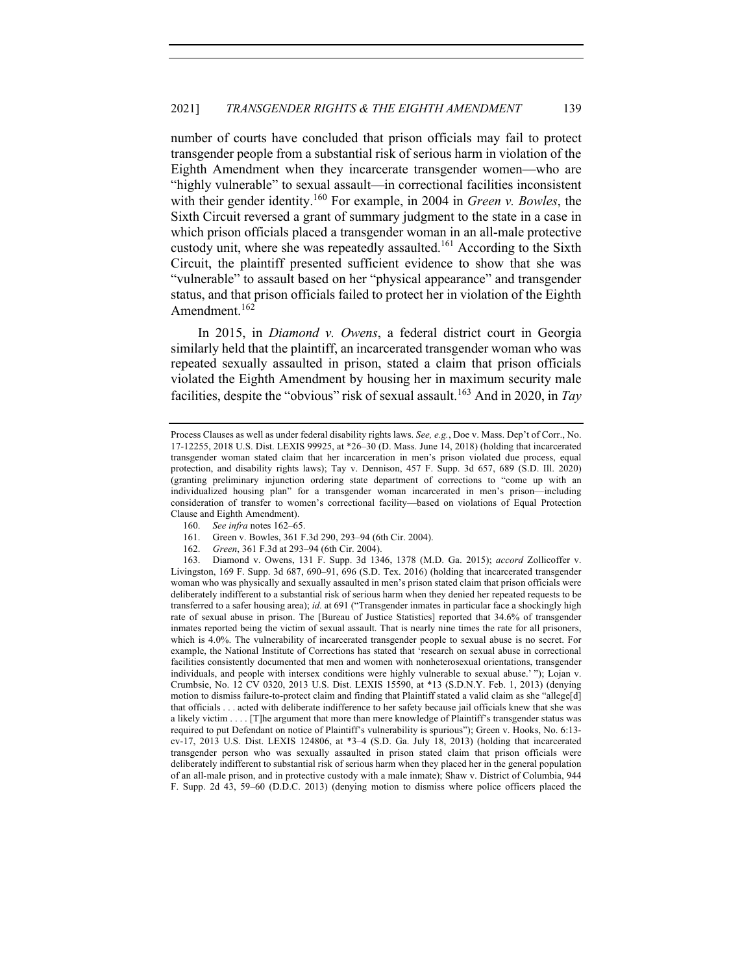number of courts have concluded that prison officials may fail to protect transgender people from a substantial risk of serious harm in violation of the Eighth Amendment when they incarcerate transgender women—who are "highly vulnerable" to sexual assault—in correctional facilities inconsistent with their gender identity.160 For example, in 2004 in *Green v. Bowles*, the Sixth Circuit reversed a grant of summary judgment to the state in a case in which prison officials placed a transgender woman in an all-male protective custody unit, where she was repeatedly assaulted.<sup>161</sup> According to the Sixth Circuit, the plaintiff presented sufficient evidence to show that she was "vulnerable" to assault based on her "physical appearance" and transgender status, and that prison officials failed to protect her in violation of the Eighth Amendment.<sup>162</sup>

In 2015, in *Diamond v. Owens*, a federal district court in Georgia similarly held that the plaintiff, an incarcerated transgender woman who was repeated sexually assaulted in prison, stated a claim that prison officials violated the Eighth Amendment by housing her in maximum security male facilities, despite the "obvious" risk of sexual assault.<sup>163</sup> And in 2020, in *Tay* 

- 160. *See infra* notes 162–65.
- 161. Green v. Bowles, 361 F.3d 290, 293–94 (6th Cir. 2004).
- 162. *Green*, 361 F.3d at 293–94 (6th Cir. 2004).

Process Clauses as well as under federal disability rights laws. *See, e.g.*, Doe v. Mass. Dep't of Corr., No. 17-12255, 2018 U.S. Dist. LEXIS 99925, at \*26–30 (D. Mass. June 14, 2018) (holding that incarcerated transgender woman stated claim that her incarceration in men's prison violated due process, equal protection, and disability rights laws); Tay v. Dennison, 457 F. Supp. 3d 657, 689 (S.D. Ill. 2020) (granting preliminary injunction ordering state department of corrections to "come up with an individualized housing plan" for a transgender woman incarcerated in men's prison—including consideration of transfer to women's correctional facility—based on violations of Equal Protection Clause and Eighth Amendment).

<sup>163.</sup> Diamond v. Owens, 131 F. Supp. 3d 1346, 1378 (M.D. Ga. 2015); *accord* Zollicoffer v. Livingston, 169 F. Supp. 3d 687, 690–91, 696 (S.D. Tex. 2016) (holding that incarcerated transgender woman who was physically and sexually assaulted in men's prison stated claim that prison officials were deliberately indifferent to a substantial risk of serious harm when they denied her repeated requests to be transferred to a safer housing area); *id.* at 691 ("Transgender inmates in particular face a shockingly high rate of sexual abuse in prison. The [Bureau of Justice Statistics] reported that 34.6% of transgender inmates reported being the victim of sexual assault. That is nearly nine times the rate for all prisoners, which is 4.0%. The vulnerability of incarcerated transgender people to sexual abuse is no secret. For example, the National Institute of Corrections has stated that 'research on sexual abuse in correctional facilities consistently documented that men and women with nonheterosexual orientations, transgender individuals, and people with intersex conditions were highly vulnerable to sexual abuse.' "); Lojan v. Crumbsie, No. 12 CV 0320, 2013 U.S. Dist. LEXIS 15590, at \*13 (S.D.N.Y. Feb. 1, 2013) (denying motion to dismiss failure-to-protect claim and finding that Plaintiff stated a valid claim as she "allege[d] that officials . . . acted with deliberate indifference to her safety because jail officials knew that she was a likely victim . . . . [T]he argument that more than mere knowledge of Plaintiff's transgender status was required to put Defendant on notice of Plaintiff's vulnerability is spurious"); Green v. Hooks, No. 6:13 cv-17, 2013 U.S. Dist. LEXIS 124806, at \*3–4 (S.D. Ga. July 18, 2013) (holding that incarcerated transgender person who was sexually assaulted in prison stated claim that prison officials were deliberately indifferent to substantial risk of serious harm when they placed her in the general population of an all-male prison, and in protective custody with a male inmate); Shaw v. District of Columbia, 944 F. Supp. 2d 43, 59–60 (D.D.C. 2013) (denying motion to dismiss where police officers placed the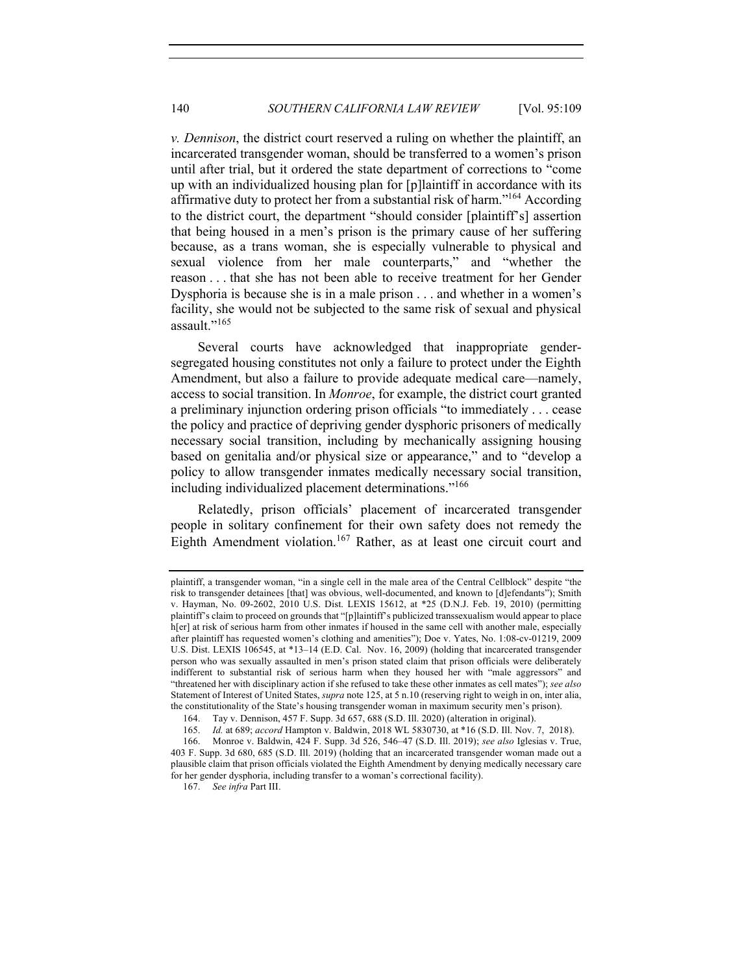*v. Dennison*, the district court reserved a ruling on whether the plaintiff, an incarcerated transgender woman, should be transferred to a women's prison until after trial, but it ordered the state department of corrections to "come up with an individualized housing plan for [p]laintiff in accordance with its affirmative duty to protect her from a substantial risk of harm."<sup>164</sup> According to the district court, the department "should consider [plaintiff's] assertion that being housed in a men's prison is the primary cause of her suffering because, as a trans woman, she is especially vulnerable to physical and sexual violence from her male counterparts," and "whether the reason . . . that she has not been able to receive treatment for her Gender Dysphoria is because she is in a male prison . . . and whether in a women's facility, she would not be subjected to the same risk of sexual and physical assault."<sup>165</sup>

Several courts have acknowledged that inappropriate gendersegregated housing constitutes not only a failure to protect under the Eighth Amendment, but also a failure to provide adequate medical care—namely, access to social transition. In *Monroe*, for example, the district court granted a preliminary injunction ordering prison officials "to immediately . . . cease the policy and practice of depriving gender dysphoric prisoners of medically necessary social transition, including by mechanically assigning housing based on genitalia and/or physical size or appearance," and to "develop a policy to allow transgender inmates medically necessary social transition, including individualized placement determinations."<sup>166</sup>

Relatedly, prison officials' placement of incarcerated transgender people in solitary confinement for their own safety does not remedy the Eighth Amendment violation.<sup>167</sup> Rather, as at least one circuit court and

plaintiff, a transgender woman, "in a single cell in the male area of the Central Cellblock" despite "the risk to transgender detainees [that] was obvious, well-documented, and known to [d]efendants"); Smith v. Hayman, No. 09-2602, 2010 U.S. Dist. LEXIS 15612, at \*25 (D.N.J. Feb. 19, 2010) (permitting plaintiff's claim to proceed on grounds that "[p]laintiff's publicized transsexualism would appear to place h[er] at risk of serious harm from other inmates if housed in the same cell with another male, especially after plaintiff has requested women's clothing and amenities"); Doe v. Yates, No. 1:08-cv-01219, 2009 U.S. Dist. LEXIS 106545, at \*13–14 (E.D. Cal. Nov. 16, 2009) (holding that incarcerated transgender person who was sexually assaulted in men's prison stated claim that prison officials were deliberately indifferent to substantial risk of serious harm when they housed her with "male aggressors" and "threatened her with disciplinary action if she refused to take these other inmates as cell mates"); *see also* Statement of Interest of United States, *supra* note 125, at 5 n.10 (reserving right to weigh in on, inter alia, the constitutionality of the State's housing transgender woman in maximum security men's prison).

<sup>164.</sup> Tay v. Dennison, 457 F. Supp. 3d 657, 688 (S.D. Ill. 2020) (alteration in original).

<sup>165.</sup> *Id.* at 689; *accord* Hampton v. Baldwin, 2018 WL 5830730, at \*16 (S.D. Ill. Nov. 7, 2018).

<sup>166.</sup> Monroe v. Baldwin, 424 F. Supp. 3d 526, 546–47 (S.D. Ill. 2019); *see also* Iglesias v. True, 403 F. Supp. 3d 680, 685 (S.D. Ill. 2019) (holding that an incarcerated transgender woman made out a plausible claim that prison officials violated the Eighth Amendment by denying medically necessary care for her gender dysphoria, including transfer to a woman's correctional facility).

<sup>167.</sup> *See infra* Part III.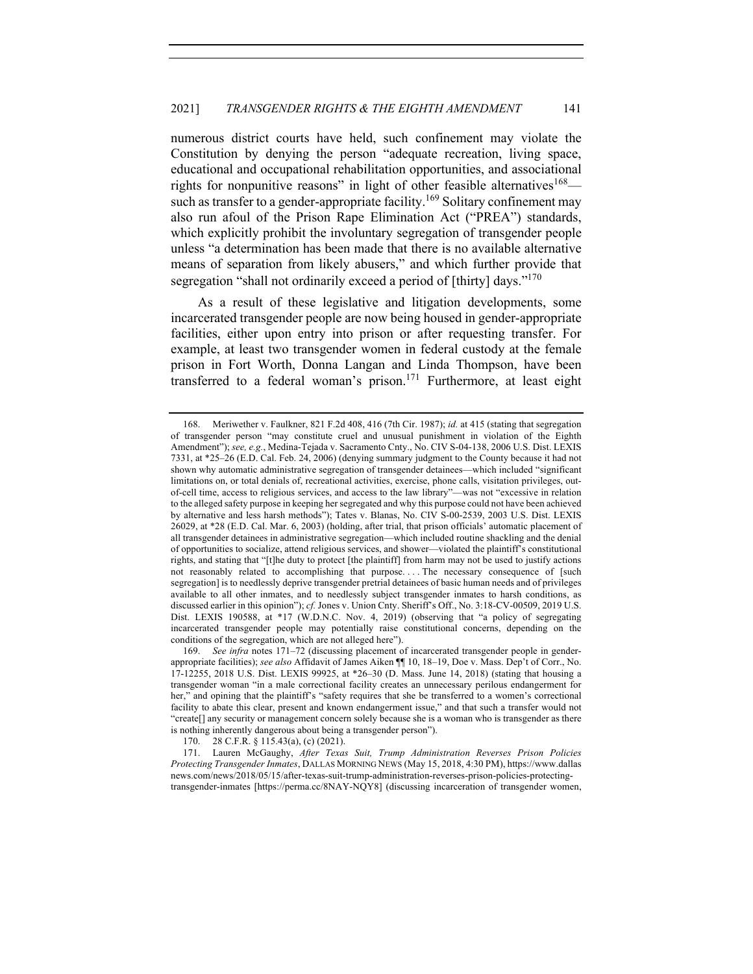numerous district courts have held, such confinement may violate the Constitution by denying the person "adequate recreation, living space, educational and occupational rehabilitation opportunities, and associational rights for nonpunitive reasons" in light of other feasible alternatives  $168$  such as transfer to a gender-appropriate facility.<sup>169</sup> Solitary confinement may also run afoul of the Prison Rape Elimination Act ("PREA") standards, which explicitly prohibit the involuntary segregation of transgender people unless "a determination has been made that there is no available alternative means of separation from likely abusers," and which further provide that segregation "shall not ordinarily exceed a period of [thirty] days."<sup>170</sup>

As a result of these legislative and litigation developments, some incarcerated transgender people are now being housed in gender-appropriate facilities, either upon entry into prison or after requesting transfer. For example, at least two transgender women in federal custody at the female prison in Fort Worth, Donna Langan and Linda Thompson, have been transferred to a federal woman's prison.<sup>171</sup> Furthermore, at least eight

<sup>168.</sup> Meriwether v. Faulkner, 821 F.2d 408, 416 (7th Cir. 1987); *id.* at 415 (stating that segregation of transgender person "may constitute cruel and unusual punishment in violation of the Eighth Amendment"); *see, e.g.*, Medina-Tejada v. Sacramento Cnty., No. CIV S-04-138, 2006 U.S. Dist. LEXIS 7331, at \*25–26 (E.D. Cal. Feb. 24, 2006) (denying summary judgment to the County because it had not shown why automatic administrative segregation of transgender detainees—which included "significant limitations on, or total denials of, recreational activities, exercise, phone calls, visitation privileges, outof-cell time, access to religious services, and access to the law library"—was not "excessive in relation to the alleged safety purpose in keeping her segregated and why this purpose could not have been achieved by alternative and less harsh methods"); Tates v. Blanas, No. CIV S-00-2539, 2003 U.S. Dist. LEXIS 26029, at \*28 (E.D. Cal. Mar. 6, 2003) (holding, after trial, that prison officials' automatic placement of all transgender detainees in administrative segregation—which included routine shackling and the denial of opportunities to socialize, attend religious services, and shower—violated the plaintiff's constitutional rights, and stating that "[t]he duty to protect [the plaintiff] from harm may not be used to justify actions not reasonably related to accomplishing that purpose. . . . The necessary consequence of [such segregation] is to needlessly deprive transgender pretrial detainees of basic human needs and of privileges available to all other inmates, and to needlessly subject transgender inmates to harsh conditions, as discussed earlier in this opinion"); *cf.* Jones v. Union Cnty. Sheriff's Off., No. 3:18-CV-00509, 2019 U.S. Dist. LEXIS 190588, at \*17 (W.D.N.C. Nov. 4, 2019) (observing that "a policy of segregating incarcerated transgender people may potentially raise constitutional concerns, depending on the conditions of the segregation, which are not alleged here").

<sup>169.</sup> *See infra* notes 171–72 (discussing placement of incarcerated transgender people in genderappropriate facilities); *see also* Affidavit of James Aiken ¶¶ 10, 18–19, Doe v. Mass. Dep't of Corr., No. 17-12255, 2018 U.S. Dist. LEXIS 99925, at \*26–30 (D. Mass. June 14, 2018) (stating that housing a transgender woman "in a male correctional facility creates an unnecessary perilous endangerment for her," and opining that the plaintiff's "safety requires that she be transferred to a women's correctional facility to abate this clear, present and known endangerment issue," and that such a transfer would not "create[] any security or management concern solely because she is a woman who is transgender as there is nothing inherently dangerous about being a transgender person").

<sup>170.</sup> 28 C.F.R. § 115.43(a), (c) (2021).

<sup>171.</sup> Lauren McGaughy, *After Texas Suit, Trump Administration Reverses Prison Policies Protecting Transgender Inmates*, DALLAS MORNING NEWS (May 15, 2018, 4:30 PM), https://www.dallas news.com/news/2018/05/15/after-texas-suit-trump-administration-reverses-prison-policies-protectingtransgender-inmates [https://perma.cc/8NAY-NQY8] (discussing incarceration of transgender women,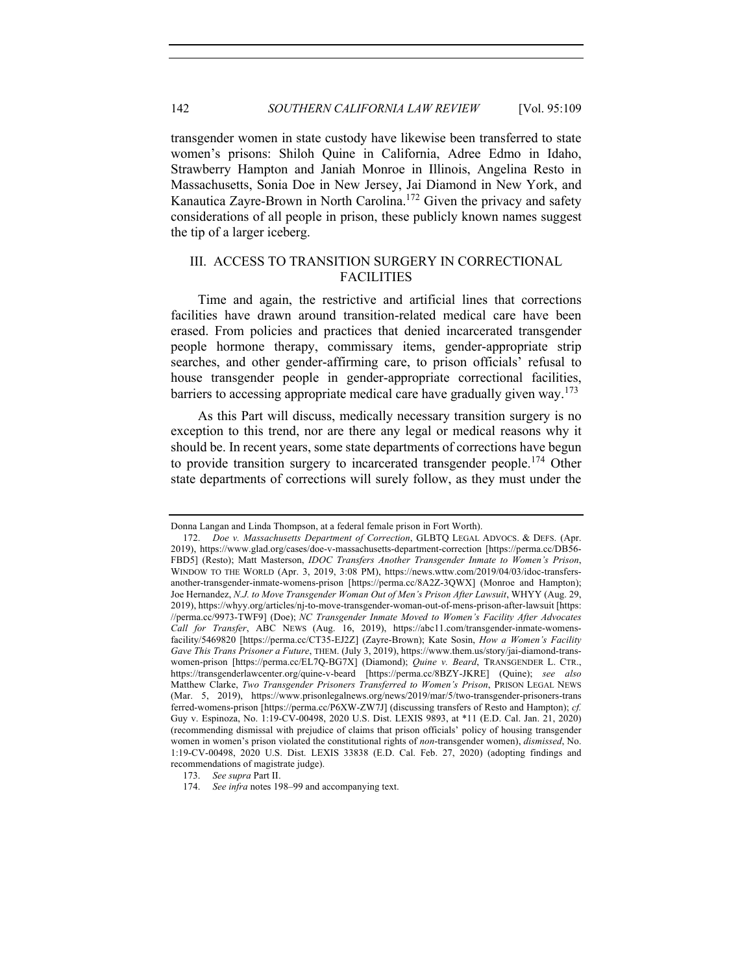transgender women in state custody have likewise been transferred to state women's prisons: Shiloh Quine in California, Adree Edmo in Idaho, Strawberry Hampton and Janiah Monroe in Illinois, Angelina Resto in Massachusetts, Sonia Doe in New Jersey, Jai Diamond in New York, and Kanautica Zayre-Brown in North Carolina.<sup>172</sup> Given the privacy and safety considerations of all people in prison, these publicly known names suggest the tip of a larger iceberg.

# III. ACCESS TO TRANSITION SURGERY IN CORRECTIONAL FACILITIES

Time and again, the restrictive and artificial lines that corrections facilities have drawn around transition-related medical care have been erased. From policies and practices that denied incarcerated transgender people hormone therapy, commissary items, gender-appropriate strip searches, and other gender-affirming care, to prison officials' refusal to house transgender people in gender-appropriate correctional facilities, barriers to accessing appropriate medical care have gradually given way.<sup>173</sup>

As this Part will discuss, medically necessary transition surgery is no exception to this trend, nor are there any legal or medical reasons why it should be. In recent years, some state departments of corrections have begun to provide transition surgery to incarcerated transgender people.<sup>174</sup> Other state departments of corrections will surely follow, as they must under the

Donna Langan and Linda Thompson, at a federal female prison in Fort Worth).

<sup>172.</sup> *Doe v. Massachusetts Department of Correction*, GLBTQ LEGAL ADVOCS. & DEFS. (Apr. 2019), https://www.glad.org/cases/doe-v-massachusetts-department-correction [https://perma.cc/DB56- FBD5] (Resto); Matt Masterson, *IDOC Transfers Another Transgender Inmate to Women's Prison*, WINDOW TO THE WORLD (Apr. 3, 2019, 3:08 PM), https://news.wttw.com/2019/04/03/idoc-transfersanother-transgender-inmate-womens-prison [https://perma.cc/8A2Z-3QWX] (Monroe and Hampton); Joe Hernandez, *N.J. to Move Transgender Woman Out of Men's Prison After Lawsuit*, WHYY (Aug. 29, 2019), https://whyy.org/articles/nj-to-move-transgender-woman-out-of-mens-prison-after-lawsuit [https: //perma.cc/9973-TWF9] (Doe); *NC Transgender Inmate Moved to Women's Facility After Advocates Call for Transfer*, ABC NEWS (Aug. 16, 2019), https://abc11.com/transgender-inmate-womensfacility/5469820 [https://perma.cc/CT35-EJ2Z] (Zayre-Brown); Kate Sosin, *How a Women's Facility Gave This Trans Prisoner a Future*, THEM. (July 3, 2019), https://www.them.us/story/jai-diamond-transwomen-prison [https://perma.cc/EL7Q-BG7X] (Diamond); *Quine v. Beard*, TRANSGENDER L. CTR., https://transgenderlawcenter.org/quine-v-beard [https://perma.cc/8BZY-JKRE] (Quine); *see also* Matthew Clarke, *Two Transgender Prisoners Transferred to Women's Prison*, PRISON LEGAL NEWS (Mar. 5, 2019), https://www.prisonlegalnews.org/news/2019/mar/5/two-transgender-prisoners-trans ferred-womens-prison [https://perma.cc/P6XW-ZW7J] (discussing transfers of Resto and Hampton); *cf.* Guy v. Espinoza, No. 1:19-CV-00498, 2020 U.S. Dist. LEXIS 9893, at \*11 (E.D. Cal. Jan. 21, 2020) (recommending dismissal with prejudice of claims that prison officials' policy of housing transgender women in women's prison violated the constitutional rights of *non*-transgender women), *dismissed*, No. 1:19-CV-00498, 2020 U.S. Dist. LEXIS 33838 (E.D. Cal. Feb. 27, 2020) (adopting findings and recommendations of magistrate judge).

<sup>173.</sup> *See supra* Part II.

<sup>174.</sup> *See infra* notes 198–99 and accompanying text.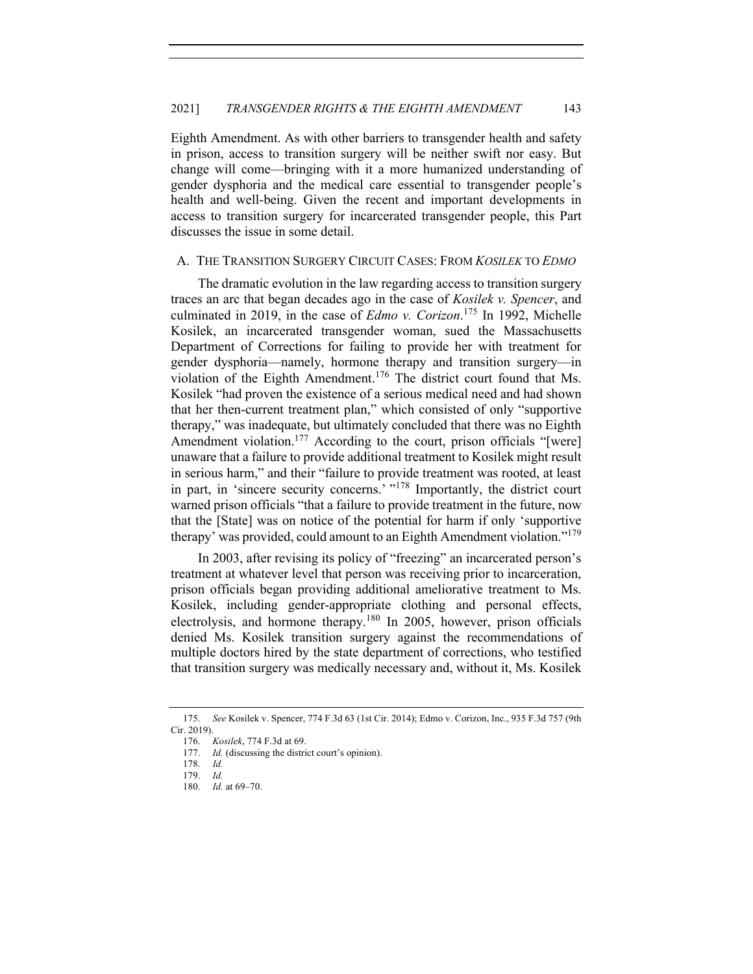Eighth Amendment. As with other barriers to transgender health and safety in prison, access to transition surgery will be neither swift nor easy. But change will come—bringing with it a more humanized understanding of gender dysphoria and the medical care essential to transgender people's health and well-being. Given the recent and important developments in access to transition surgery for incarcerated transgender people, this Part discusses the issue in some detail.

## A. THE TRANSITION SURGERY CIRCUIT CASES: FROM *KOSILEK* TO *EDMO*

The dramatic evolution in the law regarding access to transition surgery traces an arc that began decades ago in the case of *Kosilek v. Spencer*, and culminated in 2019, in the case of *Edmo v. Corizon*. <sup>175</sup> In 1992, Michelle Kosilek, an incarcerated transgender woman, sued the Massachusetts Department of Corrections for failing to provide her with treatment for gender dysphoria—namely, hormone therapy and transition surgery—in violation of the Eighth Amendment.<sup>176</sup> The district court found that Ms. Kosilek "had proven the existence of a serious medical need and had shown that her then-current treatment plan," which consisted of only "supportive therapy," was inadequate, but ultimately concluded that there was no Eighth Amendment violation.<sup>177</sup> According to the court, prison officials "[were] unaware that a failure to provide additional treatment to Kosilek might result in serious harm," and their "failure to provide treatment was rooted, at least in part, in 'sincere security concerns.' "<sup>178</sup> Importantly, the district court warned prison officials "that a failure to provide treatment in the future, now that the [State] was on notice of the potential for harm if only 'supportive therapy' was provided, could amount to an Eighth Amendment violation."<sup>179</sup>

In 2003, after revising its policy of "freezing" an incarcerated person's treatment at whatever level that person was receiving prior to incarceration, prison officials began providing additional ameliorative treatment to Ms. Kosilek, including gender-appropriate clothing and personal effects, electrolysis, and hormone therapy.<sup>180</sup> In 2005, however, prison officials denied Ms. Kosilek transition surgery against the recommendations of multiple doctors hired by the state department of corrections, who testified that transition surgery was medically necessary and, without it, Ms. Kosilek

<sup>175.</sup> *See* Kosilek v. Spencer, 774 F.3d 63 (1st Cir. 2014); Edmo v. Corizon, Inc., 935 F.3d 757 (9th Cir. 2019).

<sup>176.</sup> *Kosilek*, 774 F.3d at 69.

<sup>177.</sup> *Id.* (discussing the district court's opinion).

<sup>178.</sup> *Id.*

<sup>179.</sup> *Id.*

*Id.* at 69–70.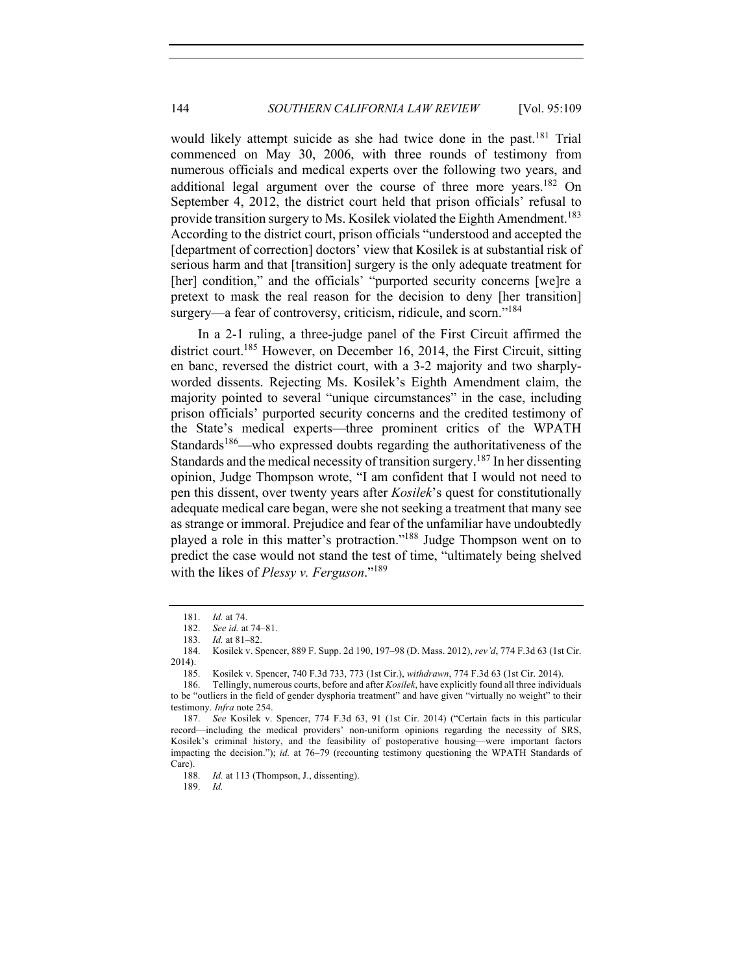would likely attempt suicide as she had twice done in the past.<sup>181</sup> Trial commenced on May 30, 2006, with three rounds of testimony from numerous officials and medical experts over the following two years, and additional legal argument over the course of three more years.<sup>182</sup> On September 4, 2012, the district court held that prison officials' refusal to provide transition surgery to Ms. Kosilek violated the Eighth Amendment.<sup>183</sup> According to the district court, prison officials "understood and accepted the [department of correction] doctors' view that Kosilek is at substantial risk of serious harm and that [transition] surgery is the only adequate treatment for [her] condition," and the officials' "purported security concerns [we]re a pretext to mask the real reason for the decision to deny [her transition] surgery—a fear of controversy, criticism, ridicule, and scorn."<sup>184</sup>

In a 2-1 ruling, a three-judge panel of the First Circuit affirmed the district court.<sup>185</sup> However, on December 16, 2014, the First Circuit, sitting en banc, reversed the district court, with a 3-2 majority and two sharplyworded dissents. Rejecting Ms. Kosilek's Eighth Amendment claim, the majority pointed to several "unique circumstances" in the case, including prison officials' purported security concerns and the credited testimony of the State's medical experts—three prominent critics of the WPATH Standards<sup>186</sup>—who expressed doubts regarding the authoritativeness of the Standards and the medical necessity of transition surgery.<sup>187</sup> In her dissenting opinion, Judge Thompson wrote, "I am confident that I would not need to pen this dissent, over twenty years after *Kosilek*'s quest for constitutionally adequate medical care began, were she not seeking a treatment that many see as strange or immoral. Prejudice and fear of the unfamiliar have undoubtedly played a role in this matter's protraction."188 Judge Thompson went on to predict the case would not stand the test of time, "ultimately being shelved with the likes of *Plessy v. Ferguson*."189

188. *Id.* at 113 (Thompson, J., dissenting).

189. *Id.*

<sup>181.</sup> *Id.* at 74.

<sup>182.</sup> *See id.* at 74–81.

<sup>183.</sup> *Id.* at 81–82.

<sup>184.</sup> Kosilek v. Spencer, 889 F. Supp. 2d 190, 197–98 (D. Mass. 2012), *rev'd*, 774 F.3d 63 (1st Cir. 2014).

<sup>185.</sup> Kosilek v. Spencer, 740 F.3d 733, 773 (1st Cir.), *withdrawn*, 774 F.3d 63 (1st Cir. 2014).

<sup>186.</sup> Tellingly, numerous courts, before and after *Kosilek*, have explicitly found all three individuals to be "outliers in the field of gender dysphoria treatment" and have given "virtually no weight" to their testimony. *Infra* note 254.

<sup>187.</sup> *See* Kosilek v. Spencer, 774 F.3d 63, 91 (1st Cir. 2014) ("Certain facts in this particular record—including the medical providers' non-uniform opinions regarding the necessity of SRS, Kosilek's criminal history, and the feasibility of postoperative housing—were important factors impacting the decision."); *id.* at 76–79 (recounting testimony questioning the WPATH Standards of Care).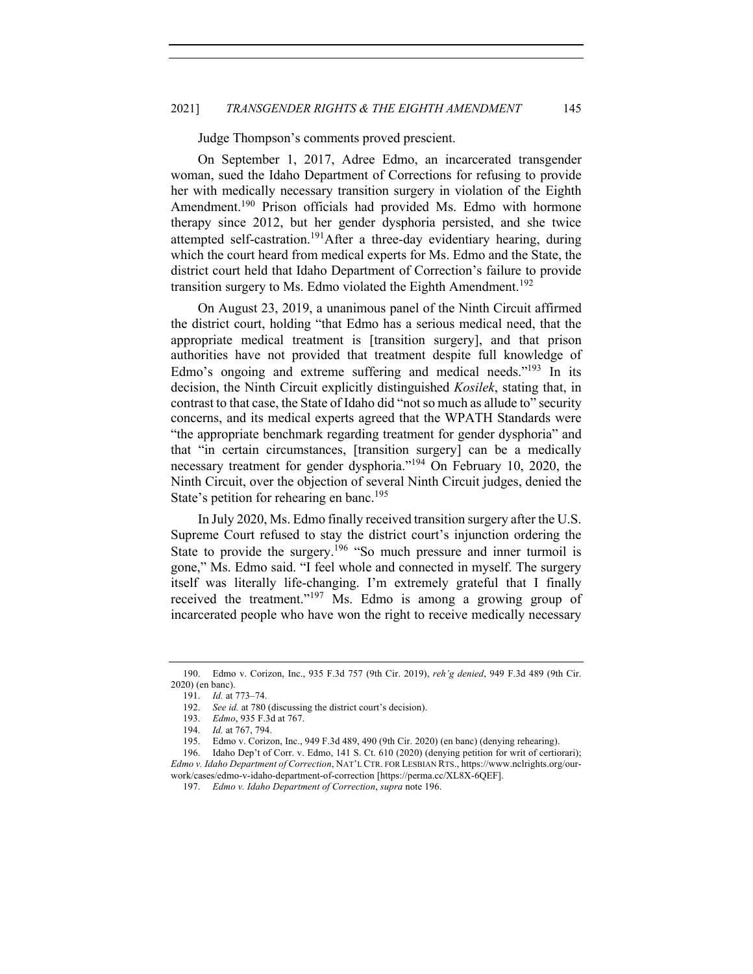Judge Thompson's comments proved prescient.

On September 1, 2017, Adree Edmo, an incarcerated transgender woman, sued the Idaho Department of Corrections for refusing to provide her with medically necessary transition surgery in violation of the Eighth Amendment.<sup>190</sup> Prison officials had provided Ms. Edmo with hormone therapy since 2012, but her gender dysphoria persisted, and she twice attempted self-castration.<sup>191</sup>After a three-day evidentiary hearing, during which the court heard from medical experts for Ms. Edmo and the State, the district court held that Idaho Department of Correction's failure to provide transition surgery to Ms. Edmo violated the Eighth Amendment.<sup>192</sup>

On August 23, 2019, a unanimous panel of the Ninth Circuit affirmed the district court, holding "that Edmo has a serious medical need, that the appropriate medical treatment is [transition surgery], and that prison authorities have not provided that treatment despite full knowledge of Edmo's ongoing and extreme suffering and medical needs."<sup>193</sup> In its decision, the Ninth Circuit explicitly distinguished *Kosilek*, stating that, in contrast to that case, the State of Idaho did "not so much as allude to" security concerns, and its medical experts agreed that the WPATH Standards were "the appropriate benchmark regarding treatment for gender dysphoria" and that "in certain circumstances, [transition surgery] can be a medically necessary treatment for gender dysphoria."194 On February 10, 2020, the Ninth Circuit, over the objection of several Ninth Circuit judges, denied the State's petition for rehearing en banc.<sup>195</sup>

In July 2020, Ms. Edmo finally received transition surgery after the U.S. Supreme Court refused to stay the district court's injunction ordering the State to provide the surgery.<sup>196</sup> "So much pressure and inner turmoil is gone," Ms. Edmo said. "I feel whole and connected in myself. The surgery itself was literally life-changing. I'm extremely grateful that I finally received the treatment."<sup>197</sup> Ms. Edmo is among a growing group of incarcerated people who have won the right to receive medically necessary

<sup>190.</sup> Edmo v. Corizon, Inc., 935 F.3d 757 (9th Cir. 2019), *reh'g denied*, 949 F.3d 489 (9th Cir. 2020) (en banc).

<sup>191.</sup> *Id.* at 773–74.

<sup>192.</sup> *See id.* at 780 (discussing the district court's decision).

<sup>193.</sup> *Edmo*, 935 F.3d at 767.

<sup>194.</sup> *Id.* at 767, 794.

<sup>195.</sup> Edmo v. Corizon, Inc., 949 F.3d 489, 490 (9th Cir. 2020) (en banc) (denying rehearing).

<sup>196.</sup> Idaho Dep't of Corr. v. Edmo, 141 S. Ct. 610 (2020) (denying petition for writ of certiorari); *Edmo v. Idaho Department of Correction*, NAT'L CTR. FOR LESBIAN RTS., https://www.nclrights.org/ourwork/cases/edmo-v-idaho-department-of-correction [https://perma.cc/XL8X-6QEF].

<sup>197.</sup> *Edmo v. Idaho Department of Correction*, *supra* note 196.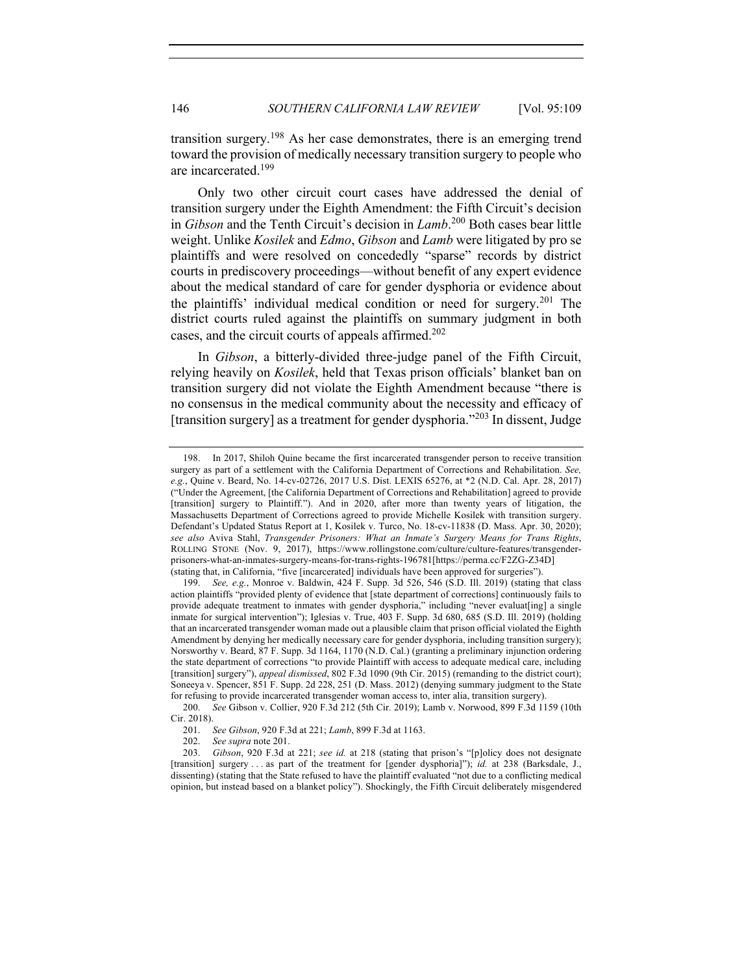transition surgery.<sup>198</sup> As her case demonstrates, there is an emerging trend toward the provision of medically necessary transition surgery to people who are incarcerated.<sup>199</sup>

Only two other circuit court cases have addressed the denial of transition surgery under the Eighth Amendment: the Fifth Circuit's decision in *Gibson* and the Tenth Circuit's decision in *Lamb*. <sup>200</sup> Both cases bear little weight. Unlike *Kosilek* and *Edmo*, *Gibson* and *Lamb* were litigated by pro se plaintiffs and were resolved on concededly "sparse" records by district courts in prediscovery proceedings—without benefit of any expert evidence about the medical standard of care for gender dysphoria or evidence about the plaintiffs' individual medical condition or need for surgery.<sup>201</sup> The district courts ruled against the plaintiffs on summary judgment in both cases, and the circuit courts of appeals affirmed.<sup>202</sup>

In *Gibson*, a bitterly-divided three-judge panel of the Fifth Circuit, relying heavily on *Kosilek*, held that Texas prison officials' blanket ban on transition surgery did not violate the Eighth Amendment because "there is no consensus in the medical community about the necessity and efficacy of [transition surgery] as a treatment for gender dysphoria."<sup>203</sup> In dissent, Judge

<sup>198.</sup> In 2017, Shiloh Quine became the first incarcerated transgender person to receive transition surgery as part of a settlement with the California Department of Corrections and Rehabilitation. *See, e.g.*, Quine v. Beard, No. 14-cv-02726, 2017 U.S. Dist. LEXIS 65276, at \*2 (N.D. Cal. Apr. 28, 2017) ("Under the Agreement, [the California Department of Corrections and Rehabilitation] agreed to provide [transition] surgery to Plaintiff."). And in 2020, after more than twenty years of litigation, the Massachusetts Department of Corrections agreed to provide Michelle Kosilek with transition surgery. Defendant's Updated Status Report at 1, Kosilek v. Turco, No. 18-cv-11838 (D. Mass. Apr. 30, 2020); *see also* Aviva Stahl, *Transgender Prisoners: What an Inmate's Surgery Means for Trans Rights*, ROLLING STONE (Nov. 9, 2017), https://www.rollingstone.com/culture/culture-features/transgenderprisoners-what-an-inmates-surgery-means-for-trans-rights-196781[https://perma.cc/F2ZG-Z34D] (stating that, in California, "five [incarcerated] individuals have been approved for surgeries").

<sup>199.</sup> *See, e.g.*, Monroe v. Baldwin, 424 F. Supp. 3d 526, 546 (S.D. Ill. 2019) (stating that class action plaintiffs "provided plenty of evidence that [state department of corrections] continuously fails to provide adequate treatment to inmates with gender dysphoria," including "never evaluat[ing] a single inmate for surgical intervention"); Iglesias v. True, 403 F. Supp. 3d 680, 685 (S.D. Ill. 2019) (holding that an incarcerated transgender woman made out a plausible claim that prison official violated the Eighth Amendment by denying her medically necessary care for gender dysphoria, including transition surgery); Norsworthy v. Beard, 87 F. Supp. 3d 1164, 1170 (N.D. Cal.) (granting a preliminary injunction ordering the state department of corrections "to provide Plaintiff with access to adequate medical care, including [transition] surgery"), *appeal dismissed*, 802 F.3d 1090 (9th Cir. 2015) (remanding to the district court); Soneeya v. Spencer, 851 F. Supp. 2d 228, 251 (D. Mass. 2012) (denying summary judgment to the State for refusing to provide incarcerated transgender woman access to, inter alia, transition surgery).

<sup>200.</sup> *See* Gibson v. Collier, 920 F.3d 212 (5th Cir. 2019); Lamb v. Norwood, 899 F.3d 1159 (10th Cir. 2018).

<sup>201.</sup> *See Gibson*, 920 F.3d at 221; *Lamb*, 899 F.3d at 1163.

<sup>202.</sup> *See supra* note 201.

<sup>203.</sup> *Gibson*, 920 F.3d at 221; *see id.* at 218 (stating that prison's "[p]olicy does not designate [transition] surgery . . . as part of the treatment for [gender dysphoria]"); *id.* at 238 (Barksdale, J., dissenting) (stating that the State refused to have the plaintiff evaluated "not due to a conflicting medical opinion, but instead based on a blanket policy"). Shockingly, the Fifth Circuit deliberately misgendered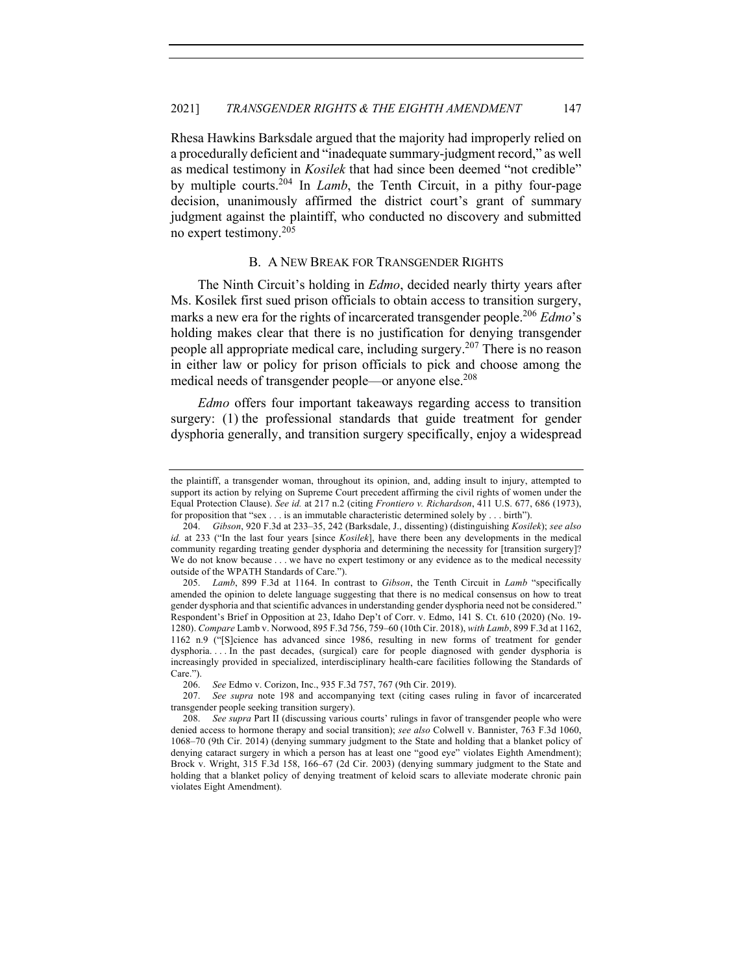Rhesa Hawkins Barksdale argued that the majority had improperly relied on a procedurally deficient and "inadequate summary-judgment record," as well as medical testimony in *Kosilek* that had since been deemed "not credible" by multiple courts.204 In *Lamb*, the Tenth Circuit, in a pithy four-page decision, unanimously affirmed the district court's grant of summary judgment against the plaintiff, who conducted no discovery and submitted no expert testimony.<sup>205</sup>

## B. A NEW BREAK FOR TRANSGENDER RIGHTS

The Ninth Circuit's holding in *Edmo*, decided nearly thirty years after Ms. Kosilek first sued prison officials to obtain access to transition surgery, marks a new era for the rights of incarcerated transgender people.<sup>206</sup> *Edmo*'s holding makes clear that there is no justification for denying transgender people all appropriate medical care, including surgery.<sup>207</sup> There is no reason in either law or policy for prison officials to pick and choose among the medical needs of transgender people—or anyone else.<sup>208</sup>

*Edmo* offers four important takeaways regarding access to transition surgery: (1) the professional standards that guide treatment for gender dysphoria generally, and transition surgery specifically, enjoy a widespread

the plaintiff, a transgender woman, throughout its opinion, and, adding insult to injury, attempted to support its action by relying on Supreme Court precedent affirming the civil rights of women under the Equal Protection Clause). *See id.* at 217 n.2 (citing *Frontiero v. Richardson*, 411 U.S. 677, 686 (1973), for proposition that "sex . . . is an immutable characteristic determined solely by . . . birth").

<sup>204.</sup> *Gibson*, 920 F.3d at 233–35, 242 (Barksdale, J., dissenting) (distinguishing *Kosilek*); *see also id.* at 233 ("In the last four years [since *Kosilek*], have there been any developments in the medical community regarding treating gender dysphoria and determining the necessity for [transition surgery]? We do not know because . . . we have no expert testimony or any evidence as to the medical necessity outside of the WPATH Standards of Care.").

<sup>205.</sup> *Lamb*, 899 F.3d at 1164. In contrast to *Gibson*, the Tenth Circuit in *Lamb* "specifically amended the opinion to delete language suggesting that there is no medical consensus on how to treat gender dysphoria and that scientific advances in understanding gender dysphoria need not be considered." Respondent's Brief in Opposition at 23, Idaho Dep't of Corr. v. Edmo, 141 S. Ct. 610 (2020) (No. 19- 1280). *Compare* Lamb v. Norwood, 895 F.3d 756, 759–60 (10th Cir. 2018), *with Lamb*, 899 F.3d at 1162, 1162 n.9 ("[S]cience has advanced since 1986, resulting in new forms of treatment for gender dysphoria. . . . In the past decades, (surgical) care for people diagnosed with gender dysphoria is increasingly provided in specialized, interdisciplinary health-care facilities following the Standards of Care.").

<sup>206.</sup> *See* Edmo v. Corizon, Inc., 935 F.3d 757, 767 (9th Cir. 2019).

<sup>207.</sup> *See supra* note 198 and accompanying text (citing cases ruling in favor of incarcerated transgender people seeking transition surgery).

<sup>208.</sup> *See supra* Part II (discussing various courts' rulings in favor of transgender people who were denied access to hormone therapy and social transition); *see also* Colwell v. Bannister, 763 F.3d 1060, 1068–70 (9th Cir. 2014) (denying summary judgment to the State and holding that a blanket policy of denying cataract surgery in which a person has at least one "good eye" violates Eighth Amendment); Brock v. Wright, 315 F.3d 158, 166–67 (2d Cir. 2003) (denying summary judgment to the State and holding that a blanket policy of denying treatment of keloid scars to alleviate moderate chronic pain violates Eight Amendment).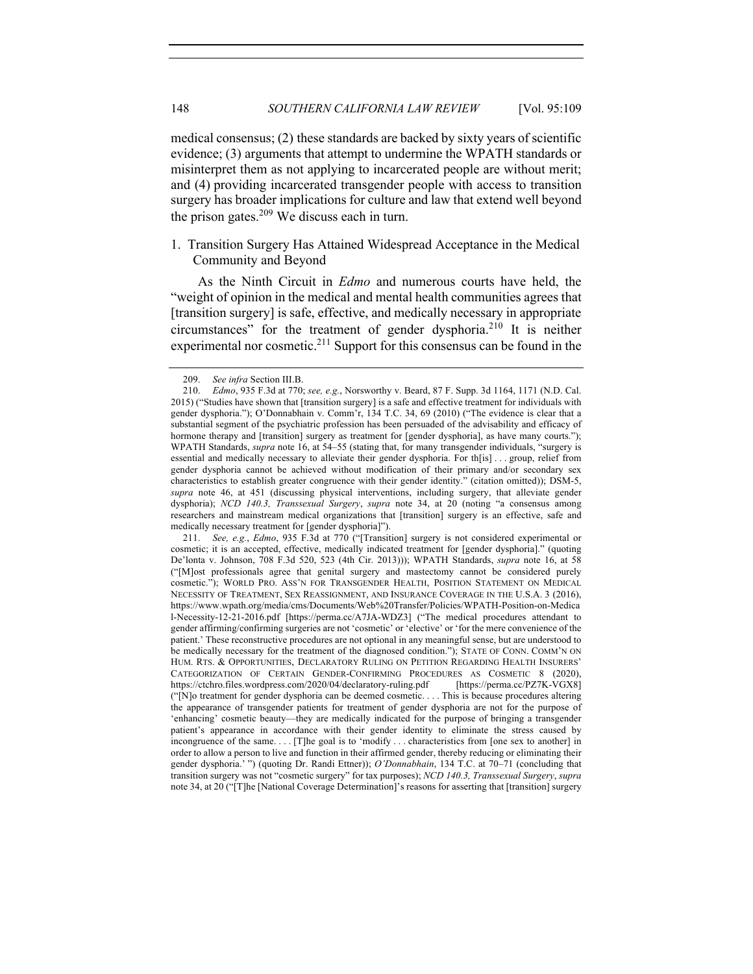medical consensus; (2) these standards are backed by sixty years of scientific evidence; (3) arguments that attempt to undermine the WPATH standards or misinterpret them as not applying to incarcerated people are without merit; and (4) providing incarcerated transgender people with access to transition surgery has broader implications for culture and law that extend well beyond the prison gates. $209$  We discuss each in turn.

1. Transition Surgery Has Attained Widespread Acceptance in the Medical Community and Beyond

As the Ninth Circuit in *Edmo* and numerous courts have held, the "weight of opinion in the medical and mental health communities agrees that [transition surgery] is safe, effective, and medically necessary in appropriate circumstances" for the treatment of gender dysphoria.210 It is neither experimental nor cosmetic.<sup>211</sup> Support for this consensus can be found in the

<sup>209.</sup> *See infra* Section III.B.

<sup>210.</sup> *Edmo*, 935 F.3d at 770; *see, e.g.*, Norsworthy v. Beard, 87 F. Supp. 3d 1164, 1171 (N.D. Cal. 2015) ("Studies have shown that [transition surgery] is a safe and effective treatment for individuals with gender dysphoria."); O'Donnabhain v. Comm'r, 134 T.C. 34, 69 (2010) ("The evidence is clear that a substantial segment of the psychiatric profession has been persuaded of the advisability and efficacy of hormone therapy and [transition] surgery as treatment for [gender dysphoria], as have many courts."); WPATH Standards, *supra* note 16, at 54–55 (stating that, for many transgender individuals, "surgery is essential and medically necessary to alleviate their gender dysphoria. For th[is] . . . group, relief from gender dysphoria cannot be achieved without modification of their primary and/or secondary sex characteristics to establish greater congruence with their gender identity." (citation omitted)); DSM-5, *supra* note 46, at 451 (discussing physical interventions, including surgery, that alleviate gender dysphoria); *NCD 140.3, Transsexual Surgery*, *supra* note 34, at 20 (noting "a consensus among researchers and mainstream medical organizations that [transition] surgery is an effective, safe and medically necessary treatment for [gender dysphoria]").

<sup>211.</sup> *See, e.g.*, *Edmo*, 935 F.3d at 770 ("[Transition] surgery is not considered experimental or cosmetic; it is an accepted, effective, medically indicated treatment for [gender dysphoria]." (quoting De'lonta v. Johnson, 708 F.3d 520, 523 (4th Cir. 2013))); WPATH Standards, *supra* note 16, at 58 ("[M]ost professionals agree that genital surgery and mastectomy cannot be considered purely cosmetic."); WORLD PRO. ASS'N FOR TRANSGENDER HEALTH, POSITION STATEMENT ON MEDICAL NECESSITY OF TREATMENT, SEX REASSIGNMENT, AND INSURANCE COVERAGE IN THE U.S.A. 3 (2016), https://www.wpath.org/media/cms/Documents/Web%20Transfer/Policies/WPATH-Position-on-Medica l-Necessity-12-21-2016.pdf [https://perma.cc/A7JA-WDZ3] ("The medical procedures attendant to gender affirming/confirming surgeries are not 'cosmetic' or 'elective' or 'for the mere convenience of the patient.' These reconstructive procedures are not optional in any meaningful sense, but are understood to be medically necessary for the treatment of the diagnosed condition."); STATE OF CONN. COMM'N ON HUM. RTS. & OPPORTUNITIES, DECLARATORY RULING ON PETITION REGARDING HEALTH INSURERS' CATEGORIZATION OF CERTAIN GENDER-CONFIRMING PROCEDURES AS COSMETIC 8 (2020), https://ctchro.files.wordpress.com/2020/04/declaratory-ruling.pdf [https://perma.cc/PZ7K-VGX8] ("[N]o treatment for gender dysphoria can be deemed cosmetic. . . . This is because procedures altering the appearance of transgender patients for treatment of gender dysphoria are not for the purpose of 'enhancing' cosmetic beauty—they are medically indicated for the purpose of bringing a transgender patient's appearance in accordance with their gender identity to eliminate the stress caused by incongruence of the same.... [T]he goal is to 'modify... characteristics from [one sex to another] in order to allow a person to live and function in their affirmed gender, thereby reducing or eliminating their gender dysphoria.' ") (quoting Dr. Randi Ettner)); *O'Donnabhain*, 134 T.C. at 70–71 (concluding that transition surgery was not "cosmetic surgery" for tax purposes); *NCD 140.3, Transsexual Surgery*, *supra* note 34, at 20 ("[T]he [National Coverage Determination]'s reasons for asserting that [transition] surgery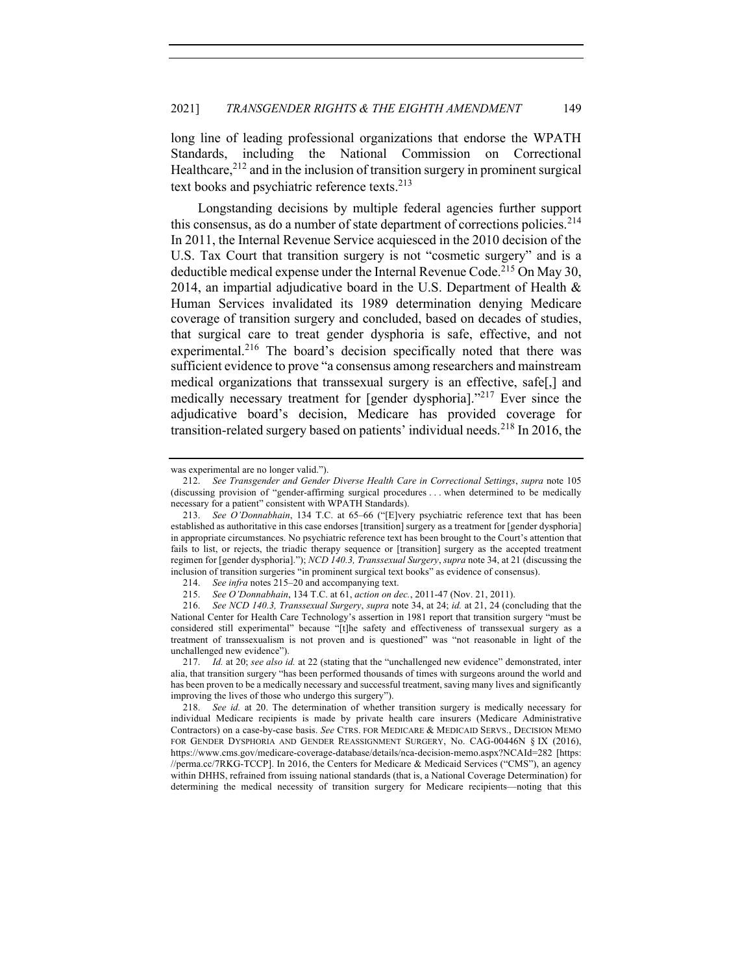long line of leading professional organizations that endorse the WPATH Standards, including the National Commission on Correctional Healthcare,  $2^{12}$  and in the inclusion of transition surgery in prominent surgical text books and psychiatric reference texts.<sup>213</sup>

Longstanding decisions by multiple federal agencies further support this consensus, as do a number of state department of corrections policies.<sup>214</sup> In 2011, the Internal Revenue Service acquiesced in the 2010 decision of the U.S. Tax Court that transition surgery is not "cosmetic surgery" and is a deductible medical expense under the Internal Revenue Code.<sup>215</sup> On May 30, 2014, an impartial adjudicative board in the U.S. Department of Health & Human Services invalidated its 1989 determination denying Medicare coverage of transition surgery and concluded, based on decades of studies, that surgical care to treat gender dysphoria is safe, effective, and not experimental.<sup>216</sup> The board's decision specifically noted that there was sufficient evidence to prove "a consensus among researchers and mainstream medical organizations that transsexual surgery is an effective, safe[,] and medically necessary treatment for [gender dysphoria]."217 Ever since the adjudicative board's decision, Medicare has provided coverage for transition-related surgery based on patients' individual needs.<sup>218</sup> In 2016, the

was experimental are no longer valid.").

<sup>212.</sup> *See Transgender and Gender Diverse Health Care in Correctional Settings*, *supra* note 105 (discussing provision of "gender-affirming surgical procedures . . . when determined to be medically necessary for a patient" consistent with WPATH Standards).

<sup>213.</sup> *See O'Donnabhain*, 134 T.C. at 65–66 ("[E]very psychiatric reference text that has been established as authoritative in this case endorses [transition] surgery as a treatment for [gender dysphoria] in appropriate circumstances. No psychiatric reference text has been brought to the Court's attention that fails to list, or rejects, the triadic therapy sequence or [transition] surgery as the accepted treatment regimen for [gender dysphoria]."); *NCD 140.3, Transsexual Surgery*, *supra* note 34, at 21 (discussing the inclusion of transition surgeries "in prominent surgical text books" as evidence of consensus).

<sup>214.</sup> *See infra* notes 215–20 and accompanying text.

<sup>215.</sup> *See O'Donnabhain*, 134 T.C. at 61, *action on dec.*, 2011-47 (Nov. 21, 2011).

<sup>216.</sup> *See NCD 140.3, Transsexual Surgery*, *supra* note 34, at 24; *id.* at 21, 24 (concluding that the National Center for Health Care Technology's assertion in 1981 report that transition surgery "must be considered still experimental" because "[t]he safety and effectiveness of transsexual surgery as a treatment of transsexualism is not proven and is questioned" was "not reasonable in light of the unchallenged new evidence").

<sup>217.</sup> *Id.* at 20; *see also id.* at 22 (stating that the "unchallenged new evidence" demonstrated, inter alia, that transition surgery "has been performed thousands of times with surgeons around the world and has been proven to be a medically necessary and successful treatment, saving many lives and significantly improving the lives of those who undergo this surgery").

<sup>218.</sup> *See id.* at 20. The determination of whether transition surgery is medically necessary for individual Medicare recipients is made by private health care insurers (Medicare Administrative Contractors) on a case-by-case basis. *See* CTRS. FOR MEDICARE & MEDICAID SERVS., DECISION MEMO FOR GENDER DYSPHORIA AND GENDER REASSIGNMENT SURGERY, No. CAG-00446N § IX (2016), https://www.cms.gov/medicare-coverage-database/details/nca-decision-memo.aspx?NCAId=282 [https: //perma.cc/7RKG-TCCP]. In 2016, the Centers for Medicare & Medicaid Services ("CMS"), an agency within DHHS, refrained from issuing national standards (that is, a National Coverage Determination) for determining the medical necessity of transition surgery for Medicare recipients—noting that this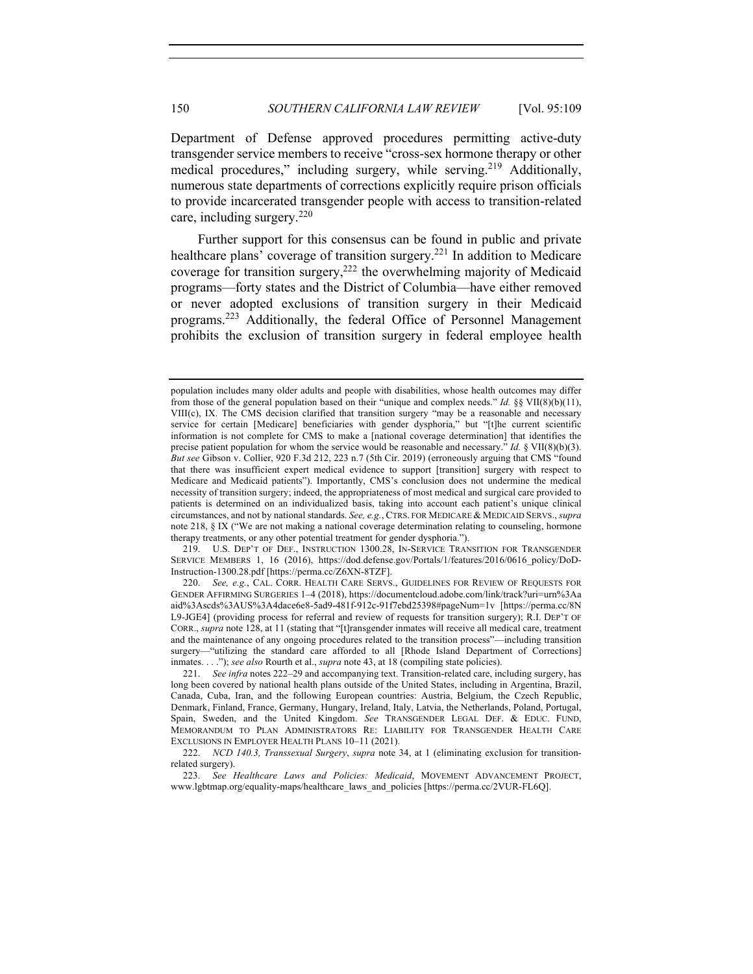Department of Defense approved procedures permitting active-duty transgender service members to receive "cross-sex hormone therapy or other medical procedures," including surgery, while serving.<sup>219</sup> Additionally, numerous state departments of corrections explicitly require prison officials to provide incarcerated transgender people with access to transition-related care, including surgery.<sup>220</sup>

Further support for this consensus can be found in public and private healthcare plans' coverage of transition surgery.221 In addition to Medicare coverage for transition surgery, $222$  the overwhelming majority of Medicaid programs—forty states and the District of Columbia—have either removed or never adopted exclusions of transition surgery in their Medicaid programs.<sup>223</sup> Additionally, the federal Office of Personnel Management prohibits the exclusion of transition surgery in federal employee health

219. U.S. DEP'T OF DEF., INSTRUCTION 1300.28, IN-SERVICE TRANSITION FOR TRANSGENDER SERVICE MEMBERS 1, 16 (2016), https://dod.defense.gov/Portals/1/features/2016/0616\_policy/DoD-Instruction-1300.28.pdf [https://perma.cc/Z6XN-8TZF].

population includes many older adults and people with disabilities, whose health outcomes may differ from those of the general population based on their "unique and complex needs." *Id.* §§ VII(8)(b)(11), VIII(c), IX. The CMS decision clarified that transition surgery "may be a reasonable and necessary service for certain [Medicare] beneficiaries with gender dysphoria," but "[t]he current scientific information is not complete for CMS to make a [national coverage determination] that identifies the precise patient population for whom the service would be reasonable and necessary." *Id.* § VII(8)(b)(3). *But see* Gibson v. Collier, 920 F.3d 212, 223 n.7 (5th Cir. 2019) (erroneously arguing that CMS "found that there was insufficient expert medical evidence to support [transition] surgery with respect to Medicare and Medicaid patients"). Importantly, CMS's conclusion does not undermine the medical necessity of transition surgery; indeed, the appropriateness of most medical and surgical care provided to patients is determined on an individualized basis, taking into account each patient's unique clinical circumstances, and not by national standards. *See, e.g.*, CTRS. FOR MEDICARE & MEDICAID SERVS., *supra* note 218, § IX ("We are not making a national coverage determination relating to counseling, hormone therapy treatments, or any other potential treatment for gender dysphoria.").

<sup>220.</sup> *See, e.g.*, CAL. CORR. HEALTH CARE SERVS., GUIDELINES FOR REVIEW OF REQUESTS FOR GENDER AFFIRMING SURGERIES 1–4 (2018), https://documentcloud.adobe.com/link/track?uri=urn%3Aa aid%3Ascds%3AUS%3A4dace6e8-5ad9-481f-912c-91f7ebd25398#pageNum=1v [https://perma.cc/8N L9-JGE4] (providing process for referral and review of requests for transition surgery); R.I. DEP'T OF CORR., *supra* note 128, at 11 (stating that "[t]ransgender inmates will receive all medical care, treatment and the maintenance of any ongoing procedures related to the transition process"—including transition surgery—"utilizing the standard care afforded to all [Rhode Island Department of Corrections] inmates. . . ."); *see also* Rourth et al., *supra* note 43, at 18 (compiling state policies).

<sup>221.</sup> *See infra* notes 222–29 and accompanying text. Transition-related care, including surgery, has long been covered by national health plans outside of the United States, including in Argentina, Brazil, Canada, Cuba, Iran, and the following European countries: Austria, Belgium, the Czech Republic, Denmark, Finland, France, Germany, Hungary, Ireland, Italy, Latvia, the Netherlands, Poland, Portugal, Spain, Sweden, and the United Kingdom. *See* TRANSGENDER LEGAL DEF. & EDUC. FUND, MEMORANDUM TO PLAN ADMINISTRATORS RE: LIABILITY FOR TRANSGENDER HEALTH CARE EXCLUSIONS IN EMPLOYER HEALTH PLANS 10–11 (2021).

<sup>222.</sup> *NCD 140.3, Transsexual Surgery*, *supra* note 34, at 1 (eliminating exclusion for transitionrelated surgery).

<sup>223.</sup> *See Healthcare Laws and Policies: Medicaid*, MOVEMENT ADVANCEMENT PROJECT, www.lgbtmap.org/equality-maps/healthcare\_laws\_and\_policies [https://perma.cc/2VUR-FL6Q].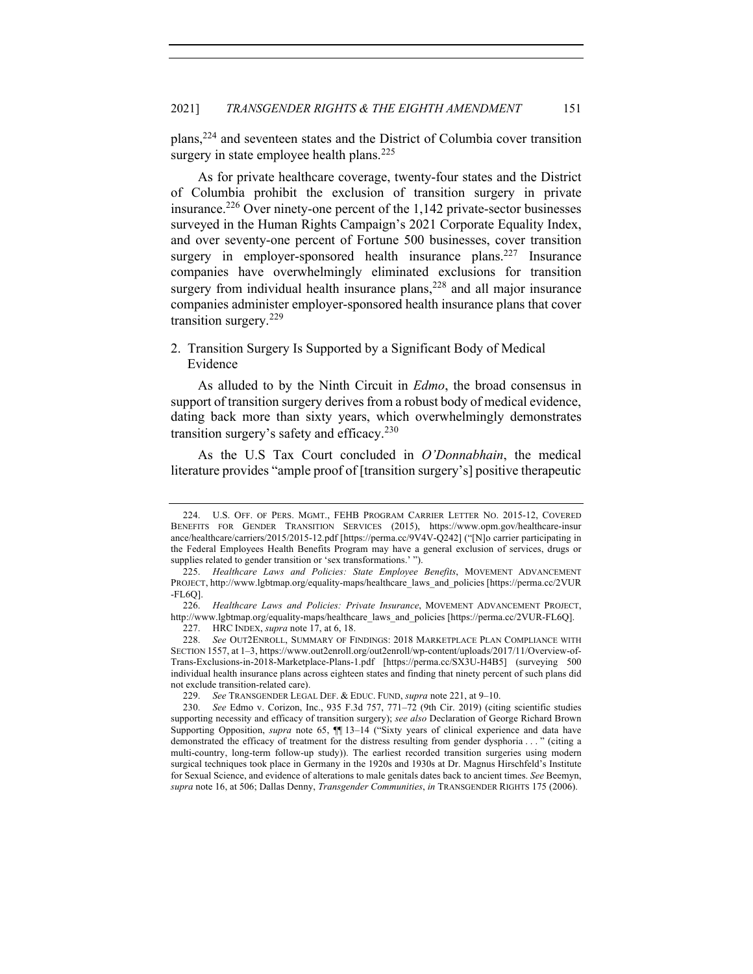plans, <sup>224</sup> and seventeen states and the District of Columbia cover transition surgery in state employee health plans.<sup>225</sup>

As for private healthcare coverage, twenty-four states and the District of Columbia prohibit the exclusion of transition surgery in private insurance.<sup>226</sup> Over ninety-one percent of the  $1,142$  private-sector businesses surveyed in the Human Rights Campaign's 2021 Corporate Equality Index, and over seventy-one percent of Fortune 500 businesses, cover transition surgery in employer-sponsored health insurance plans.<sup>227</sup> Insurance companies have overwhelmingly eliminated exclusions for transition surgery from individual health insurance plans,  $228$  and all major insurance companies administer employer-sponsored health insurance plans that cover transition surgery.<sup>229</sup>

# 2. Transition Surgery Is Supported by a Significant Body of Medical Evidence

As alluded to by the Ninth Circuit in *Edmo*, the broad consensus in support of transition surgery derives from a robust body of medical evidence, dating back more than sixty years, which overwhelmingly demonstrates transition surgery's safety and efficacy. $230$ 

As the U.S Tax Court concluded in *O'Donnabhain*, the medical literature provides "ample proof of [transition surgery's] positive therapeutic

<sup>224.</sup> U.S. OFF. OF PERS. MGMT., FEHB PROGRAM CARRIER LETTER NO. 2015-12, COVERED BENEFITS FOR GENDER TRANSITION SERVICES (2015), https://www.opm.gov/healthcare-insur ance/healthcare/carriers/2015/2015-12.pdf [https://perma.cc/9V4V-Q242] ("[N]o carrier participating in the Federal Employees Health Benefits Program may have a general exclusion of services, drugs or supplies related to gender transition or 'sex transformations.' ").

<sup>225.</sup> *Healthcare Laws and Policies: State Employee Benefits*, MOVEMENT ADVANCEMENT PROJECT, http://www.lgbtmap.org/equality-maps/healthcare\_laws\_and\_policies [https://perma.cc/2VUR -FL6Q].

<sup>226.</sup> *Healthcare Laws and Policies: Private Insurance*, MOVEMENT ADVANCEMENT PROJECT, http://www.lgbtmap.org/equality-maps/healthcare\_laws\_and\_policies [https://perma.cc/2VUR-FL6Q].

<sup>227.</sup> HRC INDEX, *supra* note 17, at 6, 18.

<sup>228.</sup> *See* OUT2ENROLL, SUMMARY OF FINDINGS: 2018 MARKETPLACE PLAN COMPLIANCE WITH SECTION 1557, at 1–3, https://www.out2enroll.org/out2enroll/wp-content/uploads/2017/11/Overview-of-Trans-Exclusions-in-2018-Marketplace-Plans-1.pdf [https://perma.cc/SX3U-H4B5] (surveying 500 individual health insurance plans across eighteen states and finding that ninety percent of such plans did not exclude transition-related care).

<sup>229.</sup> *See* TRANSGENDER LEGAL DEF. & EDUC. FUND, *supra* note 221, at 9–10.

<sup>230.</sup> *See* Edmo v. Corizon, Inc., 935 F.3d 757, 771–72 (9th Cir. 2019) (citing scientific studies supporting necessity and efficacy of transition surgery); *see also* Declaration of George Richard Brown Supporting Opposition, *supra* note 65,  $\P$  13-14 ("Sixty years of clinical experience and data have demonstrated the efficacy of treatment for the distress resulting from gender dysphoria . . . " (citing a multi-country, long-term follow-up study)). The earliest recorded transition surgeries using modern surgical techniques took place in Germany in the 1920s and 1930s at Dr. Magnus Hirschfeld's Institute for Sexual Science, and evidence of alterations to male genitals dates back to ancient times. *See* Beemyn, *supra* note 16, at 506; Dallas Denny, *Transgender Communities*, *in* TRANSGENDER RIGHTS 175 (2006).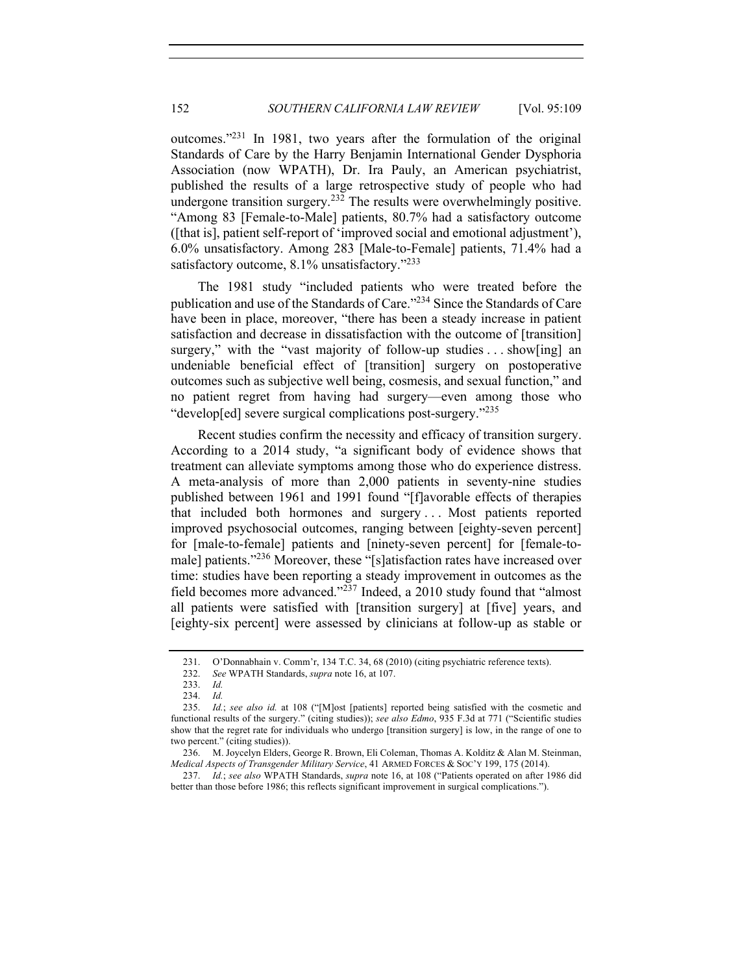outcomes."231 In 1981, two years after the formulation of the original Standards of Care by the Harry Benjamin International Gender Dysphoria Association (now WPATH), Dr. Ira Pauly, an American psychiatrist, published the results of a large retrospective study of people who had undergone transition surgery.<sup>232</sup> The results were overwhelmingly positive. "Among 83 [Female-to-Male] patients, 80.7% had a satisfactory outcome ([that is], patient self-report of 'improved social and emotional adjustment'), 6.0% unsatisfactory. Among 283 [Male-to-Female] patients, 71.4% had a satisfactory outcome, 8.1% unsatisfactory."<sup>233</sup>

The 1981 study "included patients who were treated before the publication and use of the Standards of Care."234 Since the Standards of Care have been in place, moreover, "there has been a steady increase in patient satisfaction and decrease in dissatisfaction with the outcome of [transition] surgery," with the "vast majority of follow-up studies ... show [ing] an undeniable beneficial effect of [transition] surgery on postoperative outcomes such as subjective well being, cosmesis, and sexual function," and no patient regret from having had surgery—even among those who "develop[ed] severe surgical complications post-surgery."<sup>235</sup>

Recent studies confirm the necessity and efficacy of transition surgery. According to a 2014 study, "a significant body of evidence shows that treatment can alleviate symptoms among those who do experience distress. A meta-analysis of more than 2,000 patients in seventy-nine studies published between 1961 and 1991 found "[f]avorable effects of therapies that included both hormones and surgery . . . Most patients reported improved psychosocial outcomes, ranging between [eighty-seven percent] for [male-to-female] patients and [ninety-seven percent] for [female-tomale] patients."<sup>236</sup> Moreover, these "[s]atisfaction rates have increased over time: studies have been reporting a steady improvement in outcomes as the field becomes more advanced."<sup>237</sup> Indeed, a 2010 study found that "almost" all patients were satisfied with [transition surgery] at [five] years, and [eighty-six percent] were assessed by clinicians at follow-up as stable or

<sup>231.</sup> O'Donnabhain v. Comm'r, 134 T.C. 34, 68 (2010) (citing psychiatric reference texts).

<sup>232.</sup> *See* WPATH Standards, *supra* note 16, at 107.

<sup>233.</sup> *Id.*

<sup>234.</sup> *Id.*

<sup>235.</sup> *Id.*; *see also id.* at 108 ("[M]ost [patients] reported being satisfied with the cosmetic and functional results of the surgery." (citing studies)); *see also Edmo*, 935 F.3d at 771 ("Scientific studies show that the regret rate for individuals who undergo [transition surgery] is low, in the range of one to two percent." (citing studies)).

<sup>236.</sup> M. Joycelyn Elders, George R. Brown, Eli Coleman, Thomas A. Kolditz & Alan M. Steinman, *Medical Aspects of Transgender Military Service*, 41 ARMED FORCES & SOC'Y 199, 175 (2014).

<sup>237.</sup> *Id.*; *see also* WPATH Standards, *supra* note 16, at 108 ("Patients operated on after 1986 did better than those before 1986; this reflects significant improvement in surgical complications.").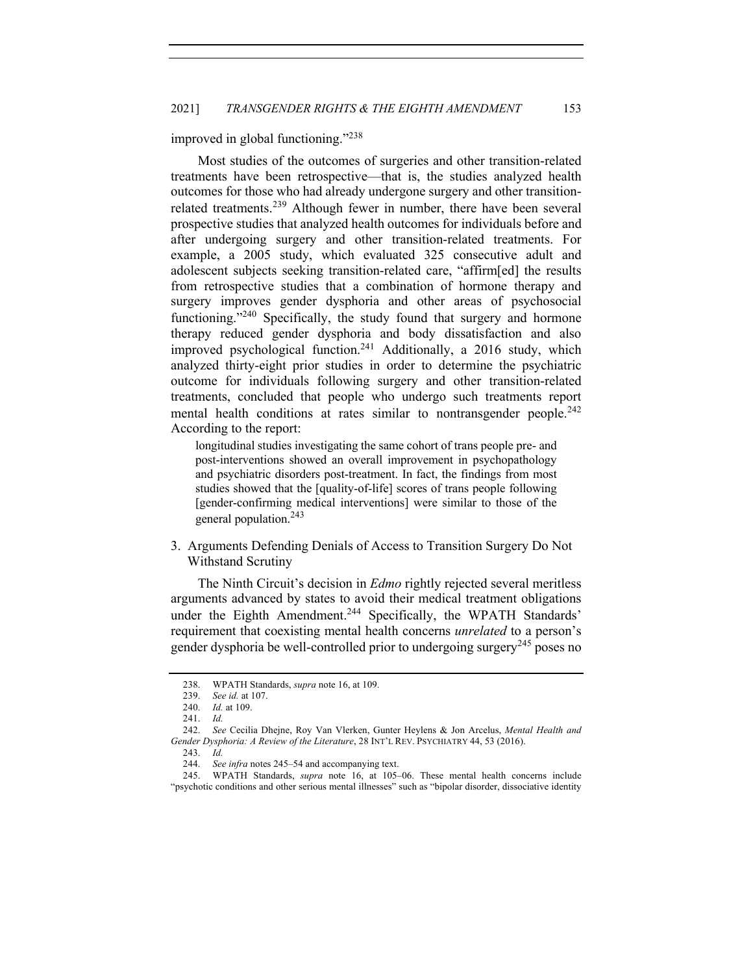improved in global functioning."<sup>238</sup>

Most studies of the outcomes of surgeries and other transition-related treatments have been retrospective—that is, the studies analyzed health outcomes for those who had already undergone surgery and other transitionrelated treatments.<sup>239</sup> Although fewer in number, there have been several prospective studies that analyzed health outcomes for individuals before and after undergoing surgery and other transition-related treatments. For example, a 2005 study, which evaluated 325 consecutive adult and adolescent subjects seeking transition-related care, "affirm[ed] the results from retrospective studies that a combination of hormone therapy and surgery improves gender dysphoria and other areas of psychosocial functioning."<sup>240</sup> Specifically, the study found that surgery and hormone therapy reduced gender dysphoria and body dissatisfaction and also improved psychological function.<sup>241</sup> Additionally, a 2016 study, which analyzed thirty-eight prior studies in order to determine the psychiatric outcome for individuals following surgery and other transition-related treatments, concluded that people who undergo such treatments report mental health conditions at rates similar to nontransgender people.<sup>242</sup> According to the report:

longitudinal studies investigating the same cohort of trans people pre- and post-interventions showed an overall improvement in psychopathology and psychiatric disorders post-treatment. In fact, the findings from most studies showed that the [quality-of-life] scores of trans people following [gender-confirming medical interventions] were similar to those of the general population.243

3.Arguments Defending Denials of Access to Transition Surgery Do Not Withstand Scrutiny

The Ninth Circuit's decision in *Edmo* rightly rejected several meritless arguments advanced by states to avoid their medical treatment obligations under the Eighth Amendment.<sup>244</sup> Specifically, the WPATH Standards' requirement that coexisting mental health concerns *unrelated* to a person's gender dysphoria be well-controlled prior to undergoing surgery<sup>245</sup> poses no

<sup>238.</sup> WPATH Standards, *supra* note 16, at 109.

<sup>239.</sup> *See id.* at 107.

<sup>240.</sup> *Id.* at 109.

<sup>241.</sup> *Id.*

<sup>242.</sup> *See* Cecilia Dhejne, Roy Van Vlerken, Gunter Heylens & Jon Arcelus, *Mental Health and Gender Dysphoria: A Review of the Literature*, 28 INT'L REV. PSYCHIATRY 44, 53 (2016).

<sup>243.</sup> *Id.*

<sup>244.</sup> *See infra* notes 245–54 and accompanying text.

<sup>245.</sup> WPATH Standards, *supra* note 16, at 105–06. These mental health concerns include "psychotic conditions and other serious mental illnesses" such as "bipolar disorder, dissociative identity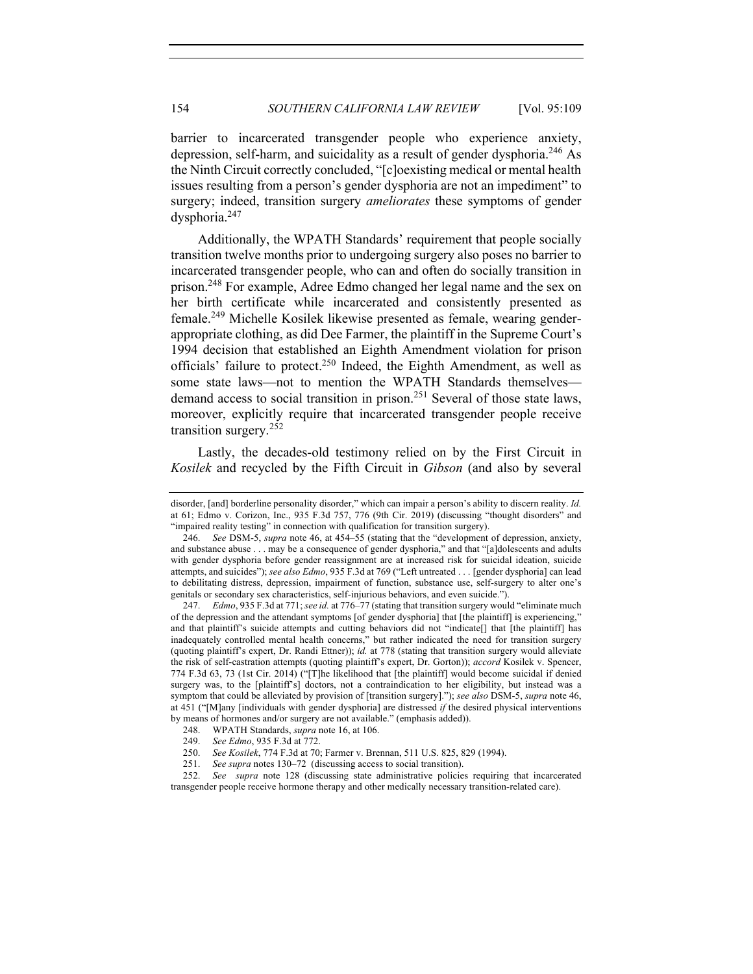barrier to incarcerated transgender people who experience anxiety, depression, self-harm, and suicidality as a result of gender dysphoria.<sup>246</sup> As the Ninth Circuit correctly concluded, "[c]oexisting medical or mental health issues resulting from a person's gender dysphoria are not an impediment" to surgery; indeed, transition surgery *ameliorates* these symptoms of gender dysphoria.247

Additionally, the WPATH Standards' requirement that people socially transition twelve months prior to undergoing surgery also poses no barrier to incarcerated transgender people, who can and often do socially transition in prison.<sup>248</sup> For example, Adree Edmo changed her legal name and the sex on her birth certificate while incarcerated and consistently presented as female.249 Michelle Kosilek likewise presented as female, wearing genderappropriate clothing, as did Dee Farmer, the plaintiff in the Supreme Court's 1994 decision that established an Eighth Amendment violation for prison officials' failure to protect.250 Indeed, the Eighth Amendment, as well as some state laws—not to mention the WPATH Standards themselves demand access to social transition in prison.<sup>251</sup> Several of those state laws, moreover, explicitly require that incarcerated transgender people receive transition surgery.<sup>252</sup>

Lastly, the decades-old testimony relied on by the First Circuit in *Kosilek* and recycled by the Fifth Circuit in *Gibson* (and also by several

disorder, [and] borderline personality disorder," which can impair a person's ability to discern reality. *Id.* at 61; Edmo v. Corizon, Inc., 935 F.3d 757, 776 (9th Cir. 2019) (discussing "thought disorders" and "impaired reality testing" in connection with qualification for transition surgery).

<sup>246.</sup> *See* DSM-5, *supra* note 46, at 454–55 (stating that the "development of depression, anxiety, and substance abuse . . . may be a consequence of gender dysphoria," and that "[a]dolescents and adults with gender dysphoria before gender reassignment are at increased risk for suicidal ideation, suicide attempts, and suicides"); *see also Edmo*, 935 F.3d at 769 ("Left untreated . . . [gender dysphoria] can lead to debilitating distress, depression, impairment of function, substance use, self-surgery to alter one's genitals or secondary sex characteristics, self-injurious behaviors, and even suicide.").

<sup>247.</sup> *Edmo*, 935 F.3d at 771; *see id.* at 776–77 (stating that transition surgery would "eliminate much of the depression and the attendant symptoms [of gender dysphoria] that [the plaintiff] is experiencing," and that plaintiff's suicide attempts and cutting behaviors did not "indicate[] that [the plaintiff] has inadequately controlled mental health concerns," but rather indicated the need for transition surgery (quoting plaintiff's expert, Dr. Randi Ettner)); *id.* at 778 (stating that transition surgery would alleviate the risk of self-castration attempts (quoting plaintiff's expert, Dr. Gorton)); *accord* Kosilek v. Spencer, 774 F.3d 63, 73 (1st Cir. 2014) ("[T]he likelihood that [the plaintiff] would become suicidal if denied surgery was, to the [plaintiff's] doctors, not a contraindication to her eligibility, but instead was a symptom that could be alleviated by provision of [transition surgery]."); *see also* DSM-5, *supra* note 46, at 451 ("[M]any [individuals with gender dysphoria] are distressed *if* the desired physical interventions by means of hormones and/or surgery are not available." (emphasis added)).

<sup>248.</sup> WPATH Standards, *supra* note 16, at 106.

<sup>249.</sup> *See Edmo*, 935 F.3d at 772.

<sup>250.</sup> *See Kosilek*, 774 F.3d at 70; Farmer v. Brennan, 511 U.S. 825, 829 (1994).

<sup>251.</sup> *See supra* notes 130–72 (discussing access to social transition).

<sup>252.</sup> *See supra* note 128 (discussing state administrative policies requiring that incarcerated transgender people receive hormone therapy and other medically necessary transition-related care).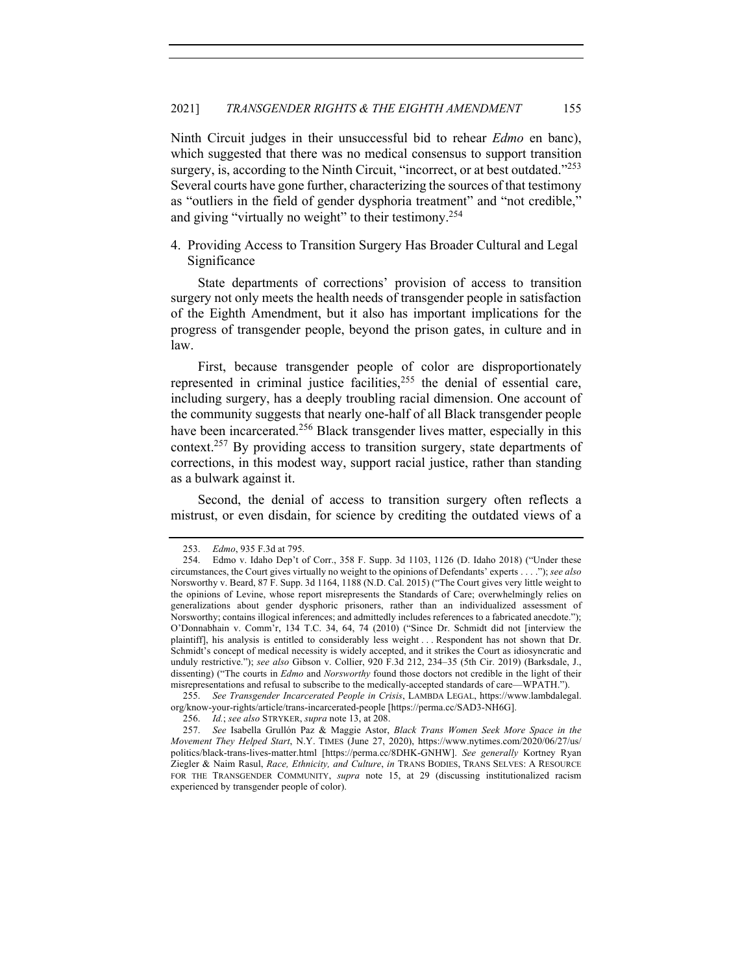Ninth Circuit judges in their unsuccessful bid to rehear *Edmo* en banc), which suggested that there was no medical consensus to support transition surgery, is, according to the Ninth Circuit, "incorrect, or at best outdated."<sup>253</sup> Several courts have gone further, characterizing the sources of that testimony as "outliers in the field of gender dysphoria treatment" and "not credible," and giving "virtually no weight" to their testimony.<sup>254</sup>

4. Providing Access to Transition Surgery Has Broader Cultural and Legal Significance

State departments of corrections' provision of access to transition surgery not only meets the health needs of transgender people in satisfaction of the Eighth Amendment, but it also has important implications for the progress of transgender people, beyond the prison gates, in culture and in law.

First, because transgender people of color are disproportionately represented in criminal justice facilities,  $255$  the denial of essential care, including surgery, has a deeply troubling racial dimension. One account of the community suggests that nearly one-half of all Black transgender people have been incarcerated.<sup>256</sup> Black transgender lives matter, especially in this context.<sup>257</sup> By providing access to transition surgery, state departments of corrections, in this modest way, support racial justice, rather than standing as a bulwark against it.

Second, the denial of access to transition surgery often reflects a mistrust, or even disdain, for science by crediting the outdated views of a

<sup>253.</sup> *Edmo*, 935 F.3d at 795.

<sup>254.</sup> Edmo v. Idaho Dep't of Corr., 358 F. Supp. 3d 1103, 1126 (D. Idaho 2018) ("Under these circumstances, the Court gives virtually no weight to the opinions of Defendants' experts . . . ."); *see also* Norsworthy v. Beard, 87 F. Supp. 3d 1164, 1188 (N.D. Cal. 2015) ("The Court gives very little weight to the opinions of Levine, whose report misrepresents the Standards of Care; overwhelmingly relies on generalizations about gender dysphoric prisoners, rather than an individualized assessment of Norsworthy; contains illogical inferences; and admittedly includes references to a fabricated anecdote."); O'Donnabhain v. Comm'r, 134 T.C. 34, 64, 74 (2010) ("Since Dr. Schmidt did not [interview the plaintiff], his analysis is entitled to considerably less weight . . . Respondent has not shown that Dr. Schmidt's concept of medical necessity is widely accepted, and it strikes the Court as idiosyncratic and unduly restrictive."); *see also* Gibson v. Collier, 920 F.3d 212, 234–35 (5th Cir. 2019) (Barksdale, J., dissenting) ("The courts in *Edmo* and *Norsworthy* found those doctors not credible in the light of their misrepresentations and refusal to subscribe to the medically-accepted standards of care—WPATH.").

<sup>255.</sup> *See Transgender Incarcerated People in Crisis*, LAMBDA LEGAL, https://www.lambdalegal. org/know-your-rights/article/trans-incarcerated-people [https://perma.cc/SAD3-NH6G].

<sup>256.</sup> *Id.*; *see also* STRYKER, *supra* note 13, at 208.

<sup>257.</sup> *See* Isabella Grullón Paz & Maggie Astor, *Black Trans Women Seek More Space in the Movement They Helped Start*, N.Y. TIMES (June 27, 2020), https://www.nytimes.com/2020/06/27/us/ politics/black-trans-lives-matter.html [https://perma.cc/8DHK-GNHW]. *See generally* Kortney Ryan Ziegler & Naim Rasul, *Race, Ethnicity, and Culture*, *in* TRANS BODIES, TRANS SELVES: A RESOURCE FOR THE TRANSGENDER COMMUNITY, *supra* note 15, at 29 (discussing institutionalized racism experienced by transgender people of color).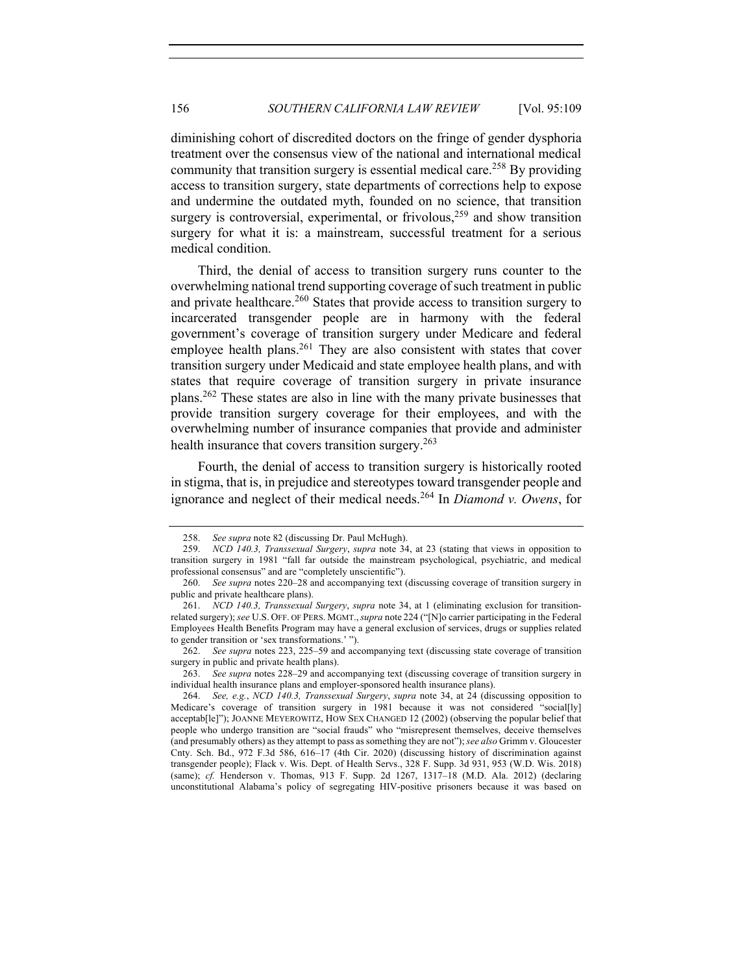diminishing cohort of discredited doctors on the fringe of gender dysphoria treatment over the consensus view of the national and international medical community that transition surgery is essential medical care.<sup>258</sup> By providing access to transition surgery, state departments of corrections help to expose and undermine the outdated myth, founded on no science, that transition surgery is controversial, experimental, or frivolous,  $259$  and show transition surgery for what it is: a mainstream, successful treatment for a serious medical condition.

Third, the denial of access to transition surgery runs counter to the overwhelming national trend supporting coverage of such treatment in public and private healthcare.<sup>260</sup> States that provide access to transition surgery to incarcerated transgender people are in harmony with the federal government's coverage of transition surgery under Medicare and federal employee health plans.<sup>261</sup> They are also consistent with states that cover transition surgery under Medicaid and state employee health plans, and with states that require coverage of transition surgery in private insurance plans.262 These states are also in line with the many private businesses that provide transition surgery coverage for their employees, and with the overwhelming number of insurance companies that provide and administer health insurance that covers transition surgery.<sup>263</sup>

Fourth, the denial of access to transition surgery is historically rooted in stigma, that is, in prejudice and stereotypes toward transgender people and ignorance and neglect of their medical needs. <sup>264</sup> In *Diamond v. Owens*, for

<sup>258.</sup> *See supra* note 82 (discussing Dr. Paul McHugh).

<sup>259.</sup> *NCD 140.3, Transsexual Surgery*, *supra* note 34, at 23 (stating that views in opposition to transition surgery in 1981 "fall far outside the mainstream psychological, psychiatric, and medical professional consensus" and are "completely unscientific").

<sup>260.</sup> *See supra* notes 220–28 and accompanying text (discussing coverage of transition surgery in public and private healthcare plans).

<sup>261.</sup> *NCD 140.3, Transsexual Surgery*, *supra* note 34, at 1 (eliminating exclusion for transitionrelated surgery); *see* U.S. OFF. OF PERS. MGMT.,*supra* note 224 ("[N]o carrier participating in the Federal Employees Health Benefits Program may have a general exclusion of services, drugs or supplies related to gender transition or 'sex transformations.' ").

<sup>262.</sup> *See supra* notes 223, 225–59 and accompanying text (discussing state coverage of transition surgery in public and private health plans).

<sup>263.</sup> *See supra* notes 228–29 and accompanying text (discussing coverage of transition surgery in individual health insurance plans and employer-sponsored health insurance plans).

<sup>264.</sup> *See, e.g.*, *NCD 140.3, Transsexual Surgery*, *supra* note 34, at 24 (discussing opposition to Medicare's coverage of transition surgery in 1981 because it was not considered "social[ly] acceptab[le]"); JOANNE MEYEROWITZ, HOW SEX CHANGED 12 (2002) (observing the popular belief that people who undergo transition are "social frauds" who "misrepresent themselves, deceive themselves (and presumably others) as they attempt to pass as something they are not"); *see also* Grimm v. Gloucester Cnty. Sch. Bd., 972 F.3d 586, 616–17 (4th Cir. 2020) (discussing history of discrimination against transgender people); Flack v. Wis. Dept. of Health Servs., 328 F. Supp. 3d 931, 953 (W.D. Wis. 2018) (same); *cf.* Henderson v. Thomas, 913 F. Supp. 2d 1267, 1317–18 (M.D. Ala. 2012) (declaring unconstitutional Alabama's policy of segregating HIV-positive prisoners because it was based on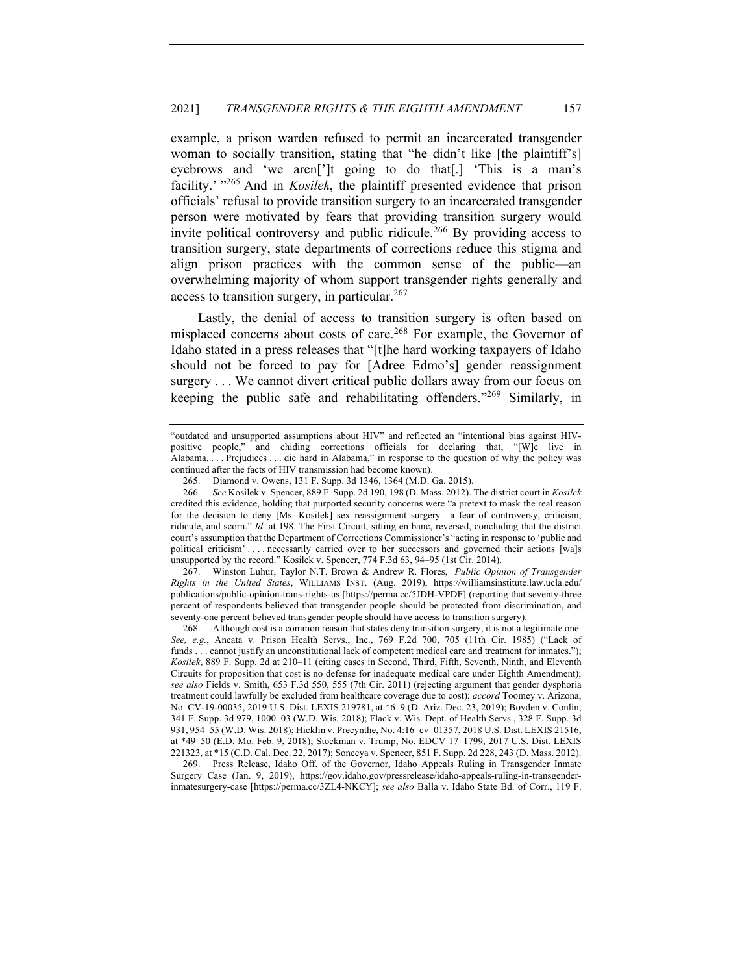example, a prison warden refused to permit an incarcerated transgender woman to socially transition, stating that "he didn't like [the plaintiff's] eyebrows and 'we aren[']t going to do that[.] 'This is a man's facility.' <sup>"265</sup> And in *Kosilek*, the plaintiff presented evidence that prison officials' refusal to provide transition surgery to an incarcerated transgender person were motivated by fears that providing transition surgery would invite political controversy and public ridicule.<sup>266</sup> By providing access to transition surgery, state departments of corrections reduce this stigma and align prison practices with the common sense of the public—an overwhelming majority of whom support transgender rights generally and access to transition surgery, in particular.  $267$ 

Lastly, the denial of access to transition surgery is often based on misplaced concerns about costs of care.<sup>268</sup> For example, the Governor of Idaho stated in a press releases that "[t]he hard working taxpayers of Idaho should not be forced to pay for [Adree Edmo's] gender reassignment surgery . . . We cannot divert critical public dollars away from our focus on keeping the public safe and rehabilitating offenders."269 Similarly, in

267. Winston Luhur, Taylor N.T. Brown & Andrew R. Flores, *Public Opinion of Transgender Rights in the United States*, WILLIAMS INST. (Aug. 2019), https://williamsinstitute.law.ucla.edu/ publications/public-opinion-trans-rights-us [https://perma.cc/5JDH-VPDF] (reporting that seventy-three percent of respondents believed that transgender people should be protected from discrimination, and seventy-one percent believed transgender people should have access to transition surgery).

268. Although cost is a common reason that states deny transition surgery, it is not a legitimate one. *See, e.g.*, Ancata v. Prison Health Servs., Inc., 769 F.2d 700, 705 (11th Cir. 1985) ("Lack of funds . . . cannot justify an unconstitutional lack of competent medical care and treatment for inmates."); *Kosilek*, 889 F. Supp. 2d at 210–11 (citing cases in Second, Third, Fifth, Seventh, Ninth, and Eleventh Circuits for proposition that cost is no defense for inadequate medical care under Eighth Amendment); *see also* Fields v. Smith, 653 F.3d 550, 555 (7th Cir. 2011) (rejecting argument that gender dysphoria treatment could lawfully be excluded from healthcare coverage due to cost); *accord* Toomey v. Arizona, No. CV-19-00035, 2019 U.S. Dist. LEXIS 219781, at \*6–9 (D. Ariz. Dec. 23, 2019); Boyden v. Conlin, 341 F. Supp. 3d 979, 1000–03 (W.D. Wis. 2018); Flack v. Wis. Dept. of Health Servs., 328 F. Supp. 3d 931, 954–55 (W.D. Wis. 2018); Hicklin v. Precynthe, No. 4:16–cv–01357, 2018 U.S. Dist. LEXIS 21516, at \*49–50 (E.D. Mo. Feb. 9, 2018); Stockman v. Trump, No. EDCV 17–1799, 2017 U.S. Dist. LEXIS 221323, at \*15 (C.D. Cal. Dec. 22, 2017); Soneeya v. Spencer, 851 F. Supp. 2d 228, 243 (D. Mass. 2012).

269. Press Release, Idaho Off. of the Governor, Idaho Appeals Ruling in Transgender Inmate Surgery Case (Jan. 9, 2019), https://gov.idaho.gov/pressrelease/idaho-appeals-ruling-in-transgenderinmatesurgery-case [https://perma.cc/3ZL4-NKCY]; *see also* Balla v. Idaho State Bd. of Corr., 119 F.

<sup>&</sup>quot;outdated and unsupported assumptions about HIV" and reflected an "intentional bias against HIVpositive people," and chiding corrections officials for declaring that, "[W]e live in Alabama. . . . Prejudices . . . die hard in Alabama," in response to the question of why the policy was continued after the facts of HIV transmission had become known).

<sup>265.</sup> Diamond v. Owens, 131 F. Supp. 3d 1346, 1364 (M.D. Ga. 2015).

<sup>266.</sup> *See* Kosilek v. Spencer, 889 F. Supp. 2d 190, 198 (D. Mass. 2012). The district court in *Kosilek* credited this evidence, holding that purported security concerns were "a pretext to mask the real reason for the decision to deny [Ms. Kosilek] sex reassignment surgery—a fear of controversy, criticism, ridicule, and scorn." *Id.* at 198. The First Circuit, sitting en banc, reversed, concluding that the district court's assumption that the Department of Corrections Commissioner's "acting in response to 'public and political criticism' . . . . necessarily carried over to her successors and governed their actions [wa]s unsupported by the record." Kosilek v. Spencer, 774 F.3d 63, 94–95 (1st Cir. 2014).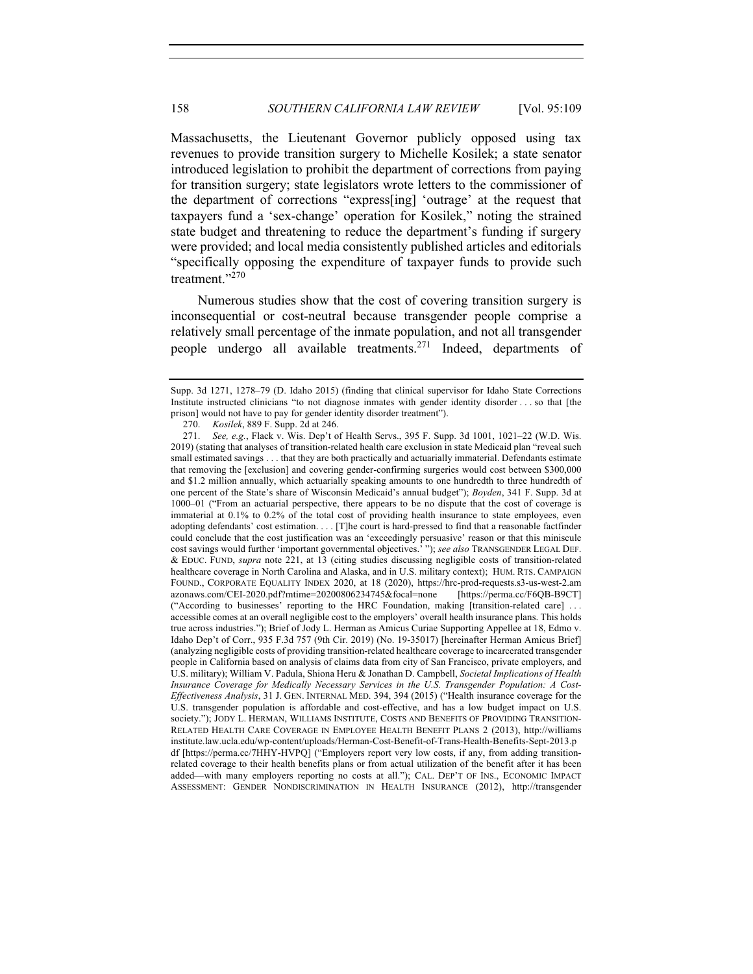Massachusetts, the Lieutenant Governor publicly opposed using tax revenues to provide transition surgery to Michelle Kosilek; a state senator introduced legislation to prohibit the department of corrections from paying for transition surgery; state legislators wrote letters to the commissioner of the department of corrections "express[ing] 'outrage' at the request that taxpayers fund a 'sex-change' operation for Kosilek," noting the strained state budget and threatening to reduce the department's funding if surgery were provided; and local media consistently published articles and editorials "specifically opposing the expenditure of taxpayer funds to provide such treatment."<sup>270</sup>

Numerous studies show that the cost of covering transition surgery is inconsequential or cost-neutral because transgender people comprise a relatively small percentage of the inmate population, and not all transgender people undergo all available treatments.271 Indeed, departments of

Supp. 3d 1271, 1278–79 (D. Idaho 2015) (finding that clinical supervisor for Idaho State Corrections Institute instructed clinicians "to not diagnose inmates with gender identity disorder . . . so that [the prison] would not have to pay for gender identity disorder treatment").

<sup>270.</sup> *Kosilek*, 889 F. Supp. 2d at 246.

<sup>271.</sup> *See, e.g.*, Flack v. Wis. Dep't of Health Servs., 395 F. Supp. 3d 1001, 1021–22 (W.D. Wis. 2019) (stating that analyses of transition-related health care exclusion in state Medicaid plan "reveal such small estimated savings . . . that they are both practically and actuarially immaterial. Defendants estimate that removing the [exclusion] and covering gender-confirming surgeries would cost between \$300,000 and \$1.2 million annually, which actuarially speaking amounts to one hundredth to three hundredth of one percent of the State's share of Wisconsin Medicaid's annual budget"); *Boyden*, 341 F. Supp. 3d at 1000–01 ("From an actuarial perspective, there appears to be no dispute that the cost of coverage is immaterial at 0.1% to 0.2% of the total cost of providing health insurance to state employees, even adopting defendants' cost estimation. . . . [T]he court is hard-pressed to find that a reasonable factfinder could conclude that the cost justification was an 'exceedingly persuasive' reason or that this miniscule cost savings would further 'important governmental objectives.' "); *see also* TRANSGENDER LEGAL DEF. & EDUC. FUND, *supra* note 221, at 13 (citing studies discussing negligible costs of transition-related healthcare coverage in North Carolina and Alaska, and in U.S. military context); HUM. RTS. CAMPAIGN FOUND., CORPORATE EQUALITY INDEX 2020, at 18 (2020), https://hrc-prod-requests.s3-us-west-2.am azonaws.com/CEI-2020.pdf?mtime=20200806234745&focal=none [https://perma.cc/F6QB-B9CT] ("According to businesses' reporting to the HRC Foundation, making [transition-related care] . . . accessible comes at an overall negligible cost to the employers' overall health insurance plans. This holds true across industries."); Brief of Jody L. Herman as Amicus Curiae Supporting Appellee at 18, Edmo v. Idaho Dep't of Corr., 935 F.3d 757 (9th Cir. 2019) (No. 19-35017) [hereinafter Herman Amicus Brief] (analyzing negligible costs of providing transition-related healthcare coverage to incarcerated transgender people in California based on analysis of claims data from city of San Francisco, private employers, and U.S. military); William V. Padula, Shiona Heru & Jonathan D. Campbell, *Societal Implications of Health Insurance Coverage for Medically Necessary Services in the U.S. Transgender Population: A Cost-Effectiveness Analysis*, 31 J. GEN. INTERNAL MED. 394, 394 (2015) ("Health insurance coverage for the U.S. transgender population is affordable and cost-effective, and has a low budget impact on U.S. society."); JODY L. HERMAN, WILLIAMS INSTITUTE, COSTS AND BENEFITS OF PROVIDING TRANSITION-RELATED HEALTH CARE COVERAGE IN EMPLOYEE HEALTH BENEFIT PLANS 2 (2013), http://williams institute.law.ucla.edu/wp-content/uploads/Herman-Cost-Benefit-of-Trans-Health-Benefits-Sept-2013.p df [https://perma.cc/7HHY-HVPQ] ("Employers report very low costs, if any, from adding transitionrelated coverage to their health benefits plans or from actual utilization of the benefit after it has been added—with many employers reporting no costs at all."); CAL. DEP'T OF INS., ECONOMIC IMPACT ASSESSMENT: GENDER NONDISCRIMINATION IN HEALTH INSURANCE (2012), http://transgender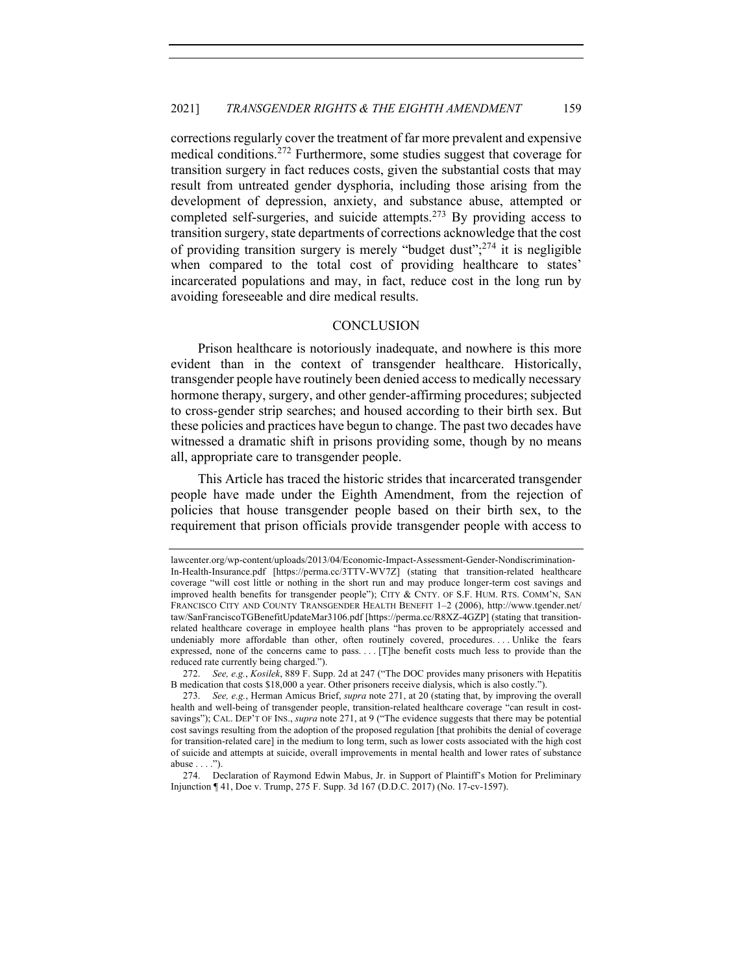corrections regularly cover the treatment of far more prevalent and expensive medical conditions.<sup>272</sup> Furthermore, some studies suggest that coverage for transition surgery in fact reduces costs, given the substantial costs that may result from untreated gender dysphoria, including those arising from the development of depression, anxiety, and substance abuse, attempted or completed self-surgeries, and suicide attempts.<sup>273</sup> By providing access to transition surgery, state departments of corrections acknowledge that the cost of providing transition surgery is merely "budget dust"; <sup>274</sup> it is negligible when compared to the total cost of providing healthcare to states' incarcerated populations and may, in fact, reduce cost in the long run by avoiding foreseeable and dire medical results.

## **CONCLUSION**

Prison healthcare is notoriously inadequate, and nowhere is this more evident than in the context of transgender healthcare. Historically, transgender people have routinely been denied access to medically necessary hormone therapy, surgery, and other gender-affirming procedures; subjected to cross-gender strip searches; and housed according to their birth sex. But these policies and practices have begun to change. The past two decades have witnessed a dramatic shift in prisons providing some, though by no means all, appropriate care to transgender people.

This Article has traced the historic strides that incarcerated transgender people have made under the Eighth Amendment, from the rejection of policies that house transgender people based on their birth sex, to the requirement that prison officials provide transgender people with access to

lawcenter.org/wp-content/uploads/2013/04/Economic-Impact-Assessment-Gender-Nondiscrimination-In-Health-Insurance.pdf [https://perma.cc/3TTV-WV7Z] (stating that transition-related healthcare coverage "will cost little or nothing in the short run and may produce longer-term cost savings and improved health benefits for transgender people"); CITY & CNTY. OF S.F. HUM. RTS. COMM'N, SAN FRANCISCO CITY AND COUNTY TRANSGENDER HEALTH BENEFIT 1–2 (2006), http://www.tgender.net/ taw/SanFranciscoTGBenefitUpdateMar3106.pdf [https://perma.cc/R8XZ-4GZP] (stating that transitionrelated healthcare coverage in employee health plans "has proven to be appropriately accessed and undeniably more affordable than other, often routinely covered, procedures. . . . Unlike the fears expressed, none of the concerns came to pass. . . . [T]he benefit costs much less to provide than the reduced rate currently being charged.").

<sup>272.</sup> *See, e.g.*, *Kosilek*, 889 F. Supp. 2d at 247 ("The DOC provides many prisoners with Hepatitis B medication that costs \$18,000 a year. Other prisoners receive dialysis, which is also costly.").

<sup>273.</sup> *See, e.g.*, Herman Amicus Brief, *supra* note 271, at 20 (stating that, by improving the overall health and well-being of transgender people, transition-related healthcare coverage "can result in costsavings"); CAL. DEP'T OF INS., *supra* note 271, at 9 ("The evidence suggests that there may be potential cost savings resulting from the adoption of the proposed regulation [that prohibits the denial of coverage for transition-related care] in the medium to long term, such as lower costs associated with the high cost of suicide and attempts at suicide, overall improvements in mental health and lower rates of substance abuse . . . .").

<sup>274.</sup> Declaration of Raymond Edwin Mabus, Jr. in Support of Plaintiff's Motion for Preliminary Injunction ¶ 41, Doe v. Trump, 275 F. Supp. 3d 167 (D.D.C. 2017) (No. 17-cv-1597).